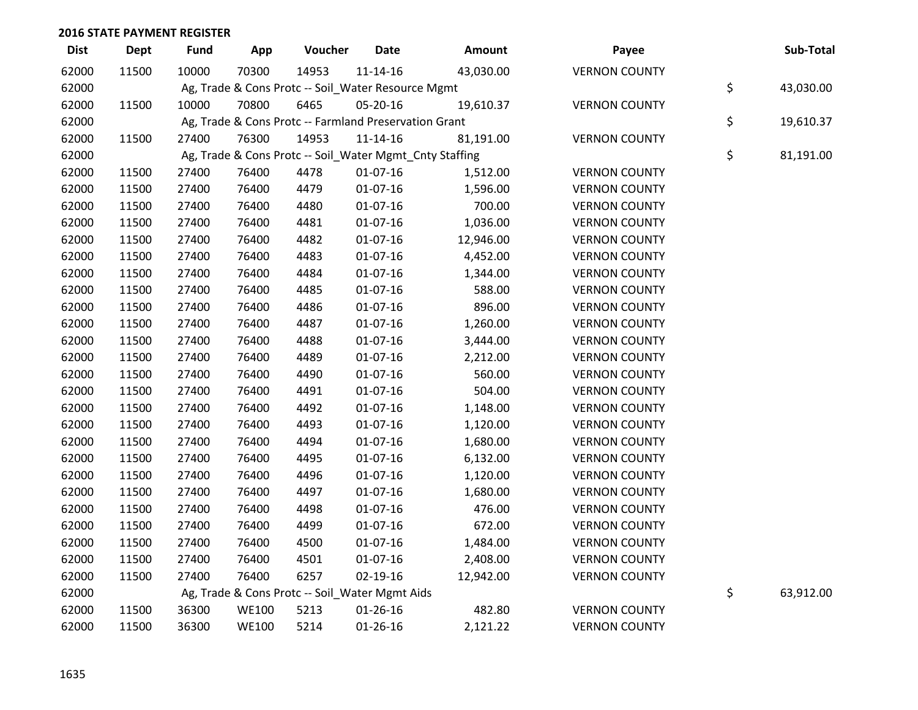| <b>Dist</b> | <b>Dept</b> | <b>Fund</b> | App          | Voucher | <b>Date</b>                                             | Amount    | Payee                | Sub-Total       |
|-------------|-------------|-------------|--------------|---------|---------------------------------------------------------|-----------|----------------------|-----------------|
| 62000       | 11500       | 10000       | 70300        | 14953   | $11 - 14 - 16$                                          | 43,030.00 | <b>VERNON COUNTY</b> |                 |
| 62000       |             |             |              |         | Ag, Trade & Cons Protc -- Soil_Water Resource Mgmt      |           |                      | \$<br>43,030.00 |
| 62000       | 11500       | 10000       | 70800        | 6465    | 05-20-16                                                | 19,610.37 | <b>VERNON COUNTY</b> |                 |
| 62000       |             |             |              |         | Ag, Trade & Cons Protc -- Farmland Preservation Grant   |           |                      | \$<br>19,610.37 |
| 62000       | 11500       | 27400       | 76300        | 14953   | 11-14-16                                                | 81,191.00 | <b>VERNON COUNTY</b> |                 |
| 62000       |             |             |              |         | Ag, Trade & Cons Protc -- Soil_Water Mgmt_Cnty Staffing |           |                      | \$<br>81,191.00 |
| 62000       | 11500       | 27400       | 76400        | 4478    | $01 - 07 - 16$                                          | 1,512.00  | <b>VERNON COUNTY</b> |                 |
| 62000       | 11500       | 27400       | 76400        | 4479    | $01-07-16$                                              | 1,596.00  | <b>VERNON COUNTY</b> |                 |
| 62000       | 11500       | 27400       | 76400        | 4480    | 01-07-16                                                | 700.00    | <b>VERNON COUNTY</b> |                 |
| 62000       | 11500       | 27400       | 76400        | 4481    | 01-07-16                                                | 1,036.00  | <b>VERNON COUNTY</b> |                 |
| 62000       | 11500       | 27400       | 76400        | 4482    | $01-07-16$                                              | 12,946.00 | <b>VERNON COUNTY</b> |                 |
| 62000       | 11500       | 27400       | 76400        | 4483    | $01-07-16$                                              | 4,452.00  | <b>VERNON COUNTY</b> |                 |
| 62000       | 11500       | 27400       | 76400        | 4484    | 01-07-16                                                | 1,344.00  | <b>VERNON COUNTY</b> |                 |
| 62000       | 11500       | 27400       | 76400        | 4485    | $01 - 07 - 16$                                          | 588.00    | <b>VERNON COUNTY</b> |                 |
| 62000       | 11500       | 27400       | 76400        | 4486    | $01 - 07 - 16$                                          | 896.00    | <b>VERNON COUNTY</b> |                 |
| 62000       | 11500       | 27400       | 76400        | 4487    | 01-07-16                                                | 1,260.00  | <b>VERNON COUNTY</b> |                 |
| 62000       | 11500       | 27400       | 76400        | 4488    | 01-07-16                                                | 3,444.00  | <b>VERNON COUNTY</b> |                 |
| 62000       | 11500       | 27400       | 76400        | 4489    | $01-07-16$                                              | 2,212.00  | <b>VERNON COUNTY</b> |                 |
| 62000       | 11500       | 27400       | 76400        | 4490    | 01-07-16                                                | 560.00    | <b>VERNON COUNTY</b> |                 |
| 62000       | 11500       | 27400       | 76400        | 4491    | 01-07-16                                                | 504.00    | <b>VERNON COUNTY</b> |                 |
| 62000       | 11500       | 27400       | 76400        | 4492    | $01 - 07 - 16$                                          | 1,148.00  | <b>VERNON COUNTY</b> |                 |
| 62000       | 11500       | 27400       | 76400        | 4493    | $01 - 07 - 16$                                          | 1,120.00  | <b>VERNON COUNTY</b> |                 |
| 62000       | 11500       | 27400       | 76400        | 4494    | 01-07-16                                                | 1,680.00  | <b>VERNON COUNTY</b> |                 |
| 62000       | 11500       | 27400       | 76400        | 4495    | 01-07-16                                                | 6,132.00  | <b>VERNON COUNTY</b> |                 |
| 62000       | 11500       | 27400       | 76400        | 4496    | $01-07-16$                                              | 1,120.00  | <b>VERNON COUNTY</b> |                 |
| 62000       | 11500       | 27400       | 76400        | 4497    | $01-07-16$                                              | 1,680.00  | <b>VERNON COUNTY</b> |                 |
| 62000       | 11500       | 27400       | 76400        | 4498    | 01-07-16                                                | 476.00    | <b>VERNON COUNTY</b> |                 |
| 62000       | 11500       | 27400       | 76400        | 4499    | 01-07-16                                                | 672.00    | <b>VERNON COUNTY</b> |                 |
| 62000       | 11500       | 27400       | 76400        | 4500    | $01-07-16$                                              | 1,484.00  | <b>VERNON COUNTY</b> |                 |
| 62000       | 11500       | 27400       | 76400        | 4501    | $01 - 07 - 16$                                          | 2,408.00  | <b>VERNON COUNTY</b> |                 |
| 62000       | 11500       | 27400       | 76400        | 6257    | 02-19-16                                                | 12,942.00 | <b>VERNON COUNTY</b> |                 |
| 62000       |             |             |              |         | Ag, Trade & Cons Protc -- Soil_Water Mgmt Aids          |           |                      | \$<br>63,912.00 |
| 62000       | 11500       | 36300       | <b>WE100</b> | 5213    | $01 - 26 - 16$                                          | 482.80    | <b>VERNON COUNTY</b> |                 |
| 62000       | 11500       | 36300       | <b>WE100</b> | 5214    | $01 - 26 - 16$                                          | 2,121.22  | <b>VERNON COUNTY</b> |                 |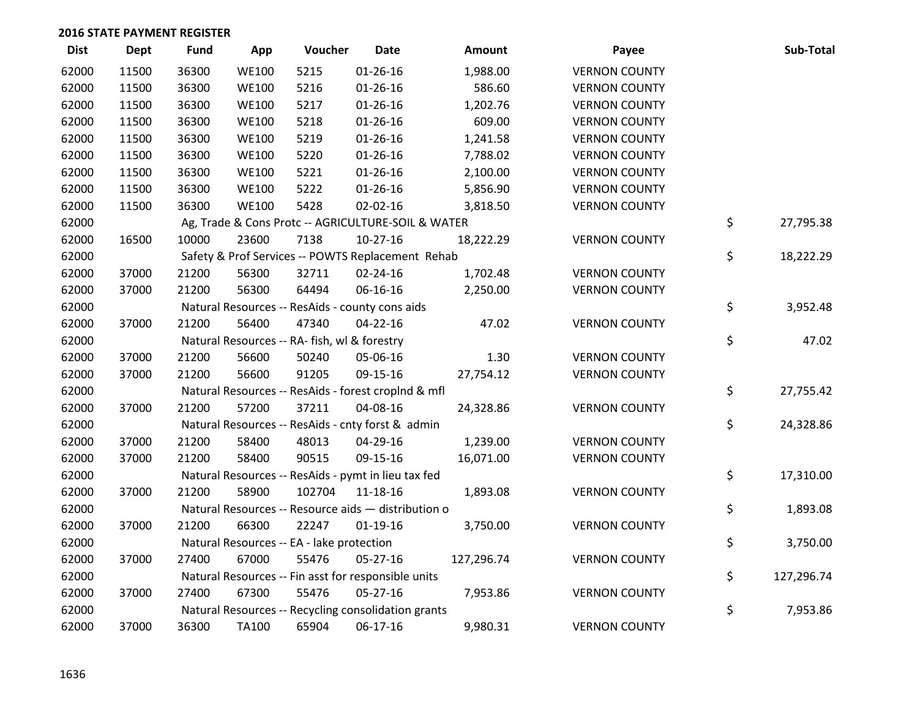| <b>Dist</b> | <b>Dept</b> | <b>Fund</b> | App          | Voucher                                             | <b>Date</b>    | <b>Amount</b> | Payee                | Sub-Total        |
|-------------|-------------|-------------|--------------|-----------------------------------------------------|----------------|---------------|----------------------|------------------|
| 62000       | 11500       | 36300       | <b>WE100</b> | 5215                                                | $01 - 26 - 16$ | 1,988.00      | <b>VERNON COUNTY</b> |                  |
| 62000       | 11500       | 36300       | <b>WE100</b> | 5216                                                | $01 - 26 - 16$ | 586.60        | <b>VERNON COUNTY</b> |                  |
| 62000       | 11500       | 36300       | <b>WE100</b> | 5217                                                | $01 - 26 - 16$ | 1,202.76      | <b>VERNON COUNTY</b> |                  |
| 62000       | 11500       | 36300       | <b>WE100</b> | 5218                                                | $01 - 26 - 16$ | 609.00        | <b>VERNON COUNTY</b> |                  |
| 62000       | 11500       | 36300       | <b>WE100</b> | 5219                                                | $01 - 26 - 16$ | 1,241.58      | <b>VERNON COUNTY</b> |                  |
| 62000       | 11500       | 36300       | <b>WE100</b> | 5220                                                | $01 - 26 - 16$ | 7,788.02      | <b>VERNON COUNTY</b> |                  |
| 62000       | 11500       | 36300       | <b>WE100</b> | 5221                                                | $01 - 26 - 16$ | 2,100.00      | <b>VERNON COUNTY</b> |                  |
| 62000       | 11500       | 36300       | <b>WE100</b> | 5222                                                | $01 - 26 - 16$ | 5,856.90      | <b>VERNON COUNTY</b> |                  |
| 62000       | 11500       | 36300       | <b>WE100</b> | 5428                                                | 02-02-16       | 3,818.50      | <b>VERNON COUNTY</b> |                  |
| 62000       |             |             |              | Ag, Trade & Cons Protc -- AGRICULTURE-SOIL & WATER  |                |               |                      | \$<br>27,795.38  |
| 62000       | 16500       | 10000       | 23600        | 7138                                                | $10-27-16$     | 18,222.29     | <b>VERNON COUNTY</b> |                  |
| 62000       |             |             |              | Safety & Prof Services -- POWTS Replacement Rehab   |                |               |                      | \$<br>18,222.29  |
| 62000       | 37000       | 21200       | 56300        | 32711                                               | 02-24-16       | 1,702.48      | <b>VERNON COUNTY</b> |                  |
| 62000       | 37000       | 21200       | 56300        | 64494                                               | 06-16-16       | 2,250.00      | <b>VERNON COUNTY</b> |                  |
| 62000       |             |             |              | Natural Resources -- ResAids - county cons aids     |                |               |                      | \$<br>3,952.48   |
| 62000       | 37000       | 21200       | 56400        | 47340                                               | $04 - 22 - 16$ | 47.02         | <b>VERNON COUNTY</b> |                  |
| 62000       |             |             |              | Natural Resources -- RA- fish, wl & forestry        |                |               |                      | \$<br>47.02      |
| 62000       | 37000       | 21200       | 56600        | 50240                                               | 05-06-16       | 1.30          | <b>VERNON COUNTY</b> |                  |
| 62000       | 37000       | 21200       | 56600        | 91205                                               | 09-15-16       | 27,754.12     | <b>VERNON COUNTY</b> |                  |
| 62000       |             |             |              | Natural Resources -- ResAids - forest croplnd & mfl |                |               |                      | \$<br>27,755.42  |
| 62000       | 37000       | 21200       | 57200        | 37211                                               | 04-08-16       | 24,328.86     | <b>VERNON COUNTY</b> |                  |
| 62000       |             |             |              | Natural Resources -- ResAids - cnty forst & admin   |                |               |                      | \$<br>24,328.86  |
| 62000       | 37000       | 21200       | 58400        | 48013                                               | 04-29-16       | 1,239.00      | <b>VERNON COUNTY</b> |                  |
| 62000       | 37000       | 21200       | 58400        | 90515                                               | 09-15-16       | 16,071.00     | <b>VERNON COUNTY</b> |                  |
| 62000       |             |             |              | Natural Resources -- ResAids - pymt in lieu tax fed |                |               |                      | \$<br>17,310.00  |
| 62000       | 37000       | 21200       | 58900        | 102704                                              | 11-18-16       | 1,893.08      | <b>VERNON COUNTY</b> |                  |
| 62000       |             |             |              | Natural Resources -- Resource aids - distribution o |                |               |                      | \$<br>1,893.08   |
| 62000       | 37000       | 21200       | 66300        | 22247                                               | $01-19-16$     | 3,750.00      | <b>VERNON COUNTY</b> |                  |
| 62000       |             |             |              | Natural Resources -- EA - lake protection           |                |               |                      | \$<br>3,750.00   |
| 62000       | 37000       | 27400       | 67000        | 55476                                               | 05-27-16       | 127,296.74    | <b>VERNON COUNTY</b> |                  |
| 62000       |             |             |              | Natural Resources -- Fin asst for responsible units |                |               |                      | \$<br>127,296.74 |
| 62000       | 37000       | 27400       | 67300        | 55476                                               | 05-27-16       | 7,953.86      | <b>VERNON COUNTY</b> |                  |
| 62000       |             |             |              | Natural Resources -- Recycling consolidation grants |                |               |                      | \$<br>7,953.86   |
| 62000       | 37000       | 36300       | <b>TA100</b> | 65904                                               | 06-17-16       | 9,980.31      | <b>VERNON COUNTY</b> |                  |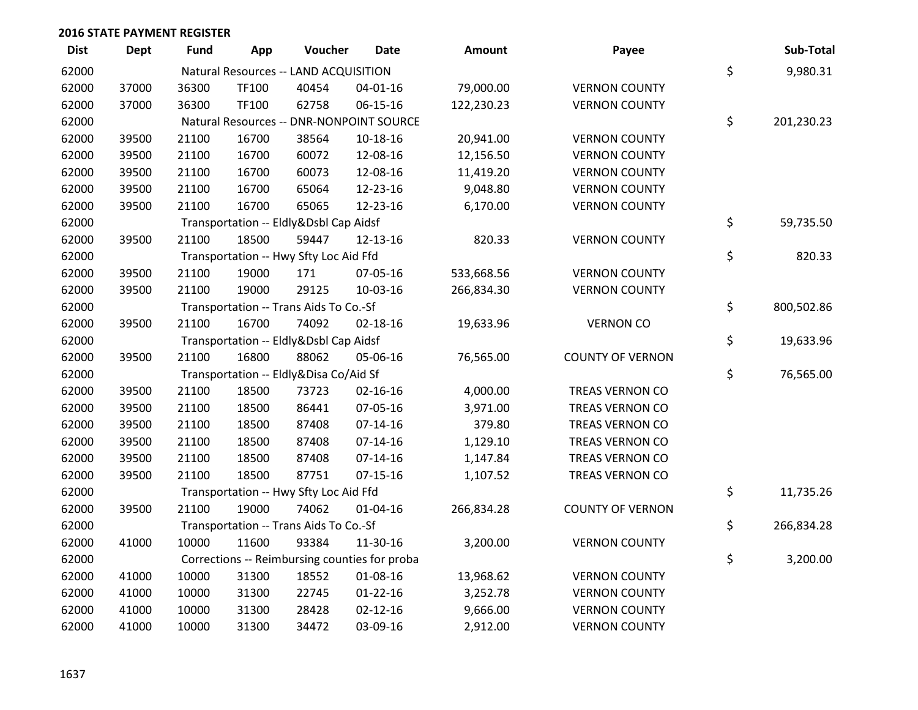| <b>Dist</b> | <b>Dept</b> | <b>Fund</b> | App          | Voucher                                | <b>Date</b>                                   | Amount     | Payee                   | Sub-Total        |
|-------------|-------------|-------------|--------------|----------------------------------------|-----------------------------------------------|------------|-------------------------|------------------|
| 62000       |             |             |              | Natural Resources -- LAND ACQUISITION  |                                               |            |                         | \$<br>9,980.31   |
| 62000       | 37000       | 36300       | TF100        | 40454                                  | 04-01-16                                      | 79,000.00  | <b>VERNON COUNTY</b>    |                  |
| 62000       | 37000       | 36300       | <b>TF100</b> | 62758                                  | 06-15-16                                      | 122,230.23 | <b>VERNON COUNTY</b>    |                  |
| 62000       |             |             |              |                                        | Natural Resources -- DNR-NONPOINT SOURCE      |            |                         | \$<br>201,230.23 |
| 62000       | 39500       | 21100       | 16700        | 38564                                  | 10-18-16                                      | 20,941.00  | <b>VERNON COUNTY</b>    |                  |
| 62000       | 39500       | 21100       | 16700        | 60072                                  | 12-08-16                                      | 12,156.50  | <b>VERNON COUNTY</b>    |                  |
| 62000       | 39500       | 21100       | 16700        | 60073                                  | 12-08-16                                      | 11,419.20  | <b>VERNON COUNTY</b>    |                  |
| 62000       | 39500       | 21100       | 16700        | 65064                                  | 12-23-16                                      | 9,048.80   | <b>VERNON COUNTY</b>    |                  |
| 62000       | 39500       | 21100       | 16700        | 65065                                  | 12-23-16                                      | 6,170.00   | <b>VERNON COUNTY</b>    |                  |
| 62000       |             |             |              | Transportation -- Eldly&Dsbl Cap Aidsf |                                               |            |                         | \$<br>59,735.50  |
| 62000       | 39500       | 21100       | 18500        | 59447                                  | 12-13-16                                      | 820.33     | <b>VERNON COUNTY</b>    |                  |
| 62000       |             |             |              | Transportation -- Hwy Sfty Loc Aid Ffd |                                               |            |                         | \$<br>820.33     |
| 62000       | 39500       | 21100       | 19000        | 171                                    | 07-05-16                                      | 533,668.56 | <b>VERNON COUNTY</b>    |                  |
| 62000       | 39500       | 21100       | 19000        | 29125                                  | 10-03-16                                      | 266,834.30 | <b>VERNON COUNTY</b>    |                  |
| 62000       |             |             |              | Transportation -- Trans Aids To Co.-Sf |                                               |            |                         | \$<br>800,502.86 |
| 62000       | 39500       | 21100       | 16700        | 74092                                  | $02 - 18 - 16$                                | 19,633.96  | <b>VERNON CO</b>        |                  |
| 62000       |             |             |              | Transportation -- Eldly&Dsbl Cap Aidsf |                                               |            |                         | \$<br>19,633.96  |
| 62000       | 39500       | 21100       | 16800        | 88062                                  | 05-06-16                                      | 76,565.00  | <b>COUNTY OF VERNON</b> |                  |
| 62000       |             |             |              | Transportation -- Eldly&Disa Co/Aid Sf |                                               |            |                         | \$<br>76,565.00  |
| 62000       | 39500       | 21100       | 18500        | 73723                                  | 02-16-16                                      | 4,000.00   | <b>TREAS VERNON CO</b>  |                  |
| 62000       | 39500       | 21100       | 18500        | 86441                                  | 07-05-16                                      | 3,971.00   | <b>TREAS VERNON CO</b>  |                  |
| 62000       | 39500       | 21100       | 18500        | 87408                                  | $07 - 14 - 16$                                | 379.80     | <b>TREAS VERNON CO</b>  |                  |
| 62000       | 39500       | 21100       | 18500        | 87408                                  | $07-14-16$                                    | 1,129.10   | <b>TREAS VERNON CO</b>  |                  |
| 62000       | 39500       | 21100       | 18500        | 87408                                  | $07-14-16$                                    | 1,147.84   | <b>TREAS VERNON CO</b>  |                  |
| 62000       | 39500       | 21100       | 18500        | 87751                                  | $07-15-16$                                    | 1,107.52   | TREAS VERNON CO         |                  |
| 62000       |             |             |              | Transportation -- Hwy Sfty Loc Aid Ffd |                                               |            |                         | \$<br>11,735.26  |
| 62000       | 39500       | 21100       | 19000        | 74062                                  | 01-04-16                                      | 266,834.28 | <b>COUNTY OF VERNON</b> |                  |
| 62000       |             |             |              | Transportation -- Trans Aids To Co.-Sf |                                               |            |                         | \$<br>266,834.28 |
| 62000       | 41000       | 10000       | 11600        | 93384                                  | 11-30-16                                      | 3,200.00   | <b>VERNON COUNTY</b>    |                  |
| 62000       |             |             |              |                                        | Corrections -- Reimbursing counties for proba |            |                         | \$<br>3,200.00   |
| 62000       | 41000       | 10000       | 31300        | 18552                                  | 01-08-16                                      | 13,968.62  | <b>VERNON COUNTY</b>    |                  |
| 62000       | 41000       | 10000       | 31300        | 22745                                  | $01 - 22 - 16$                                | 3,252.78   | <b>VERNON COUNTY</b>    |                  |
| 62000       | 41000       | 10000       | 31300        | 28428                                  | $02 - 12 - 16$                                | 9,666.00   | <b>VERNON COUNTY</b>    |                  |
| 62000       | 41000       | 10000       | 31300        | 34472                                  | 03-09-16                                      | 2,912.00   | <b>VERNON COUNTY</b>    |                  |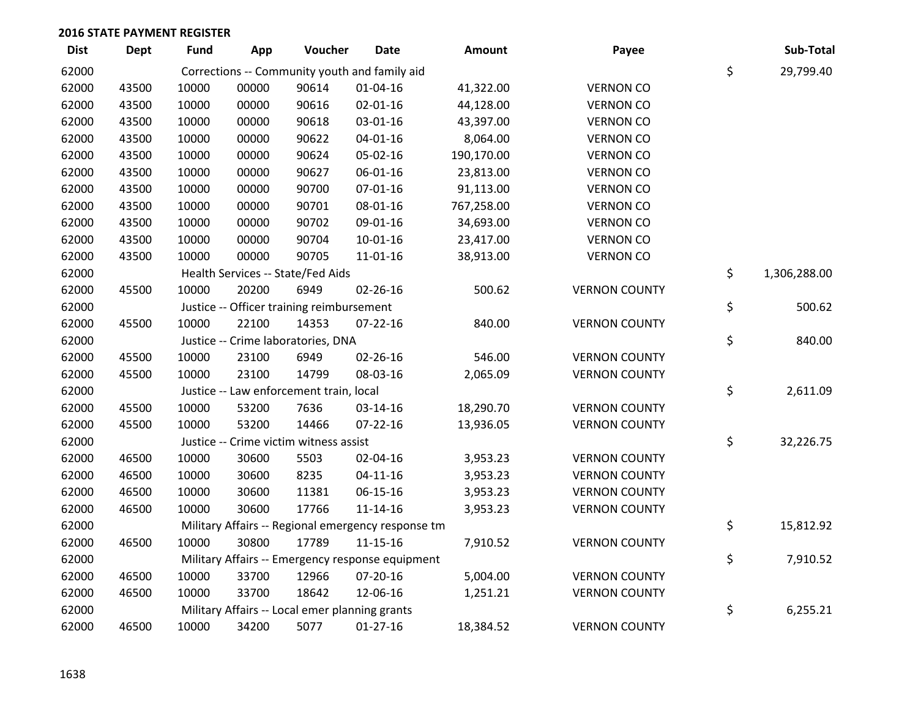| <b>Dist</b> | <b>Dept</b> | <b>Fund</b> | App   | Voucher                                        | <b>Date</b>                                        | Amount     | Payee                | Sub-Total          |
|-------------|-------------|-------------|-------|------------------------------------------------|----------------------------------------------------|------------|----------------------|--------------------|
| 62000       |             |             |       |                                                | Corrections -- Community youth and family aid      |            |                      | \$<br>29,799.40    |
| 62000       | 43500       | 10000       | 00000 | 90614                                          | $01 - 04 - 16$                                     | 41,322.00  | <b>VERNON CO</b>     |                    |
| 62000       | 43500       | 10000       | 00000 | 90616                                          | $02 - 01 - 16$                                     | 44,128.00  | <b>VERNON CO</b>     |                    |
| 62000       | 43500       | 10000       | 00000 | 90618                                          | 03-01-16                                           | 43,397.00  | <b>VERNON CO</b>     |                    |
| 62000       | 43500       | 10000       | 00000 | 90622                                          | $04 - 01 - 16$                                     | 8,064.00   | <b>VERNON CO</b>     |                    |
| 62000       | 43500       | 10000       | 00000 | 90624                                          | 05-02-16                                           | 190,170.00 | <b>VERNON CO</b>     |                    |
| 62000       | 43500       | 10000       | 00000 | 90627                                          | 06-01-16                                           | 23,813.00  | <b>VERNON CO</b>     |                    |
| 62000       | 43500       | 10000       | 00000 | 90700                                          | 07-01-16                                           | 91,113.00  | <b>VERNON CO</b>     |                    |
| 62000       | 43500       | 10000       | 00000 | 90701                                          | 08-01-16                                           | 767,258.00 | <b>VERNON CO</b>     |                    |
| 62000       | 43500       | 10000       | 00000 | 90702                                          | 09-01-16                                           | 34,693.00  | <b>VERNON CO</b>     |                    |
| 62000       | 43500       | 10000       | 00000 | 90704                                          | $10-01-16$                                         | 23,417.00  | <b>VERNON CO</b>     |                    |
| 62000       | 43500       | 10000       | 00000 | 90705                                          | $11 - 01 - 16$                                     | 38,913.00  | <b>VERNON CO</b>     |                    |
| 62000       |             |             |       | Health Services -- State/Fed Aids              |                                                    |            |                      | \$<br>1,306,288.00 |
| 62000       | 45500       | 10000       | 20200 | 6949                                           | $02 - 26 - 16$                                     | 500.62     | <b>VERNON COUNTY</b> |                    |
| 62000       |             |             |       | Justice -- Officer training reimbursement      |                                                    |            |                      | \$<br>500.62       |
| 62000       | 45500       | 10000       | 22100 | 14353                                          | $07 - 22 - 16$                                     | 840.00     | <b>VERNON COUNTY</b> |                    |
| 62000       |             |             |       | Justice -- Crime laboratories, DNA             |                                                    |            |                      | \$<br>840.00       |
| 62000       | 45500       | 10000       | 23100 | 6949                                           | 02-26-16                                           | 546.00     | <b>VERNON COUNTY</b> |                    |
| 62000       | 45500       | 10000       | 23100 | 14799                                          | 08-03-16                                           | 2,065.09   | <b>VERNON COUNTY</b> |                    |
| 62000       |             |             |       | Justice -- Law enforcement train, local        |                                                    |            |                      | \$<br>2,611.09     |
| 62000       | 45500       | 10000       | 53200 | 7636                                           | 03-14-16                                           | 18,290.70  | <b>VERNON COUNTY</b> |                    |
| 62000       | 45500       | 10000       | 53200 | 14466                                          | 07-22-16                                           | 13,936.05  | <b>VERNON COUNTY</b> |                    |
| 62000       |             |             |       | Justice -- Crime victim witness assist         |                                                    |            |                      | \$<br>32,226.75    |
| 62000       | 46500       | 10000       | 30600 | 5503                                           | 02-04-16                                           | 3,953.23   | <b>VERNON COUNTY</b> |                    |
| 62000       | 46500       | 10000       | 30600 | 8235                                           | $04 - 11 - 16$                                     | 3,953.23   | <b>VERNON COUNTY</b> |                    |
| 62000       | 46500       | 10000       | 30600 | 11381                                          | 06-15-16                                           | 3,953.23   | <b>VERNON COUNTY</b> |                    |
| 62000       | 46500       | 10000       | 30600 | 17766                                          | $11 - 14 - 16$                                     | 3,953.23   | <b>VERNON COUNTY</b> |                    |
| 62000       |             |             |       |                                                | Military Affairs -- Regional emergency response tm |            |                      | \$<br>15,812.92    |
| 62000       | 46500       | 10000       | 30800 | 17789                                          | $11 - 15 - 16$                                     | 7,910.52   | <b>VERNON COUNTY</b> |                    |
| 62000       |             |             |       |                                                | Military Affairs -- Emergency response equipment   |            |                      | \$<br>7,910.52     |
| 62000       | 46500       | 10000       | 33700 | 12966                                          | 07-20-16                                           | 5,004.00   | <b>VERNON COUNTY</b> |                    |
| 62000       | 46500       | 10000       | 33700 | 18642                                          | 12-06-16                                           | 1,251.21   | <b>VERNON COUNTY</b> |                    |
| 62000       |             |             |       | Military Affairs -- Local emer planning grants |                                                    |            |                      | \$<br>6,255.21     |
| 62000       | 46500       | 10000       | 34200 | 5077                                           | $01-27-16$                                         | 18,384.52  | <b>VERNON COUNTY</b> |                    |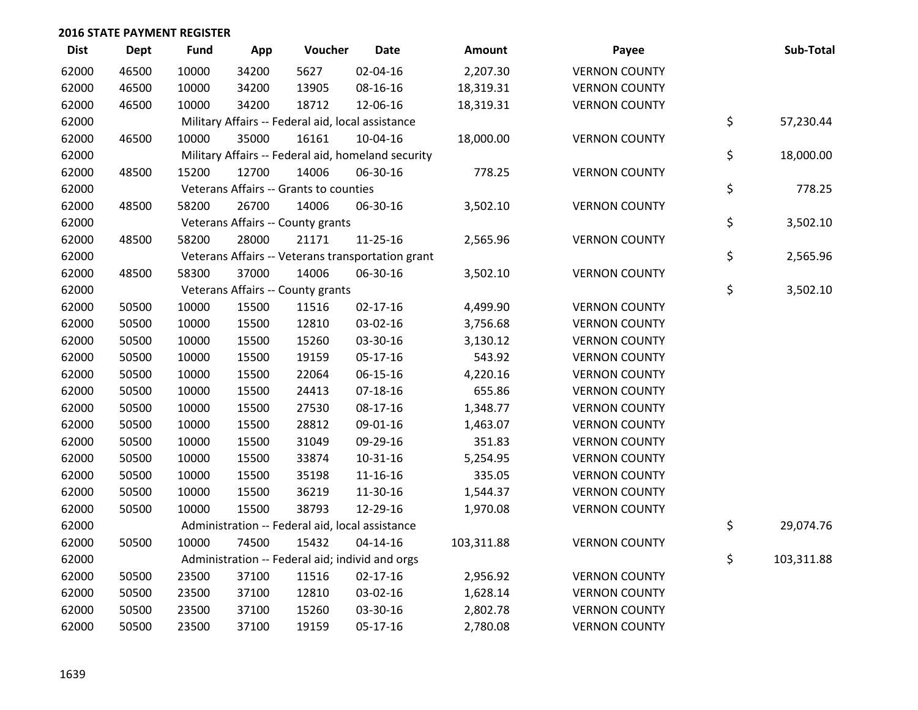| <b>Dist</b> | <b>Dept</b> | <b>Fund</b> | App   | Voucher                                           | <b>Date</b>                                        | <b>Amount</b> | Payee                | Sub-Total        |
|-------------|-------------|-------------|-------|---------------------------------------------------|----------------------------------------------------|---------------|----------------------|------------------|
| 62000       | 46500       | 10000       | 34200 | 5627                                              | 02-04-16                                           | 2,207.30      | <b>VERNON COUNTY</b> |                  |
| 62000       | 46500       | 10000       | 34200 | 13905                                             | 08-16-16                                           | 18,319.31     | <b>VERNON COUNTY</b> |                  |
| 62000       | 46500       | 10000       | 34200 | 18712                                             | 12-06-16                                           | 18,319.31     | <b>VERNON COUNTY</b> |                  |
| 62000       |             |             |       | Military Affairs -- Federal aid, local assistance |                                                    |               |                      | \$<br>57,230.44  |
| 62000       | 46500       | 10000       | 35000 | 16161                                             | $10-04-16$                                         | 18,000.00     | <b>VERNON COUNTY</b> |                  |
| 62000       |             |             |       |                                                   | Military Affairs -- Federal aid, homeland security |               |                      | \$<br>18,000.00  |
| 62000       | 48500       | 15200       | 12700 | 14006                                             | 06-30-16                                           | 778.25        | <b>VERNON COUNTY</b> |                  |
| 62000       |             |             |       | Veterans Affairs -- Grants to counties            |                                                    |               |                      | \$<br>778.25     |
| 62000       | 48500       | 58200       | 26700 | 14006                                             | 06-30-16                                           | 3,502.10      | <b>VERNON COUNTY</b> |                  |
| 62000       |             |             |       | Veterans Affairs -- County grants                 |                                                    |               |                      | \$<br>3,502.10   |
| 62000       | 48500       | 58200       | 28000 | 21171                                             | 11-25-16                                           | 2,565.96      | <b>VERNON COUNTY</b> |                  |
| 62000       |             |             |       |                                                   | Veterans Affairs -- Veterans transportation grant  |               |                      | \$<br>2,565.96   |
| 62000       | 48500       | 58300       | 37000 | 14006                                             | 06-30-16                                           | 3,502.10      | <b>VERNON COUNTY</b> |                  |
| 62000       |             |             |       | Veterans Affairs -- County grants                 |                                                    |               |                      | \$<br>3,502.10   |
| 62000       | 50500       | 10000       | 15500 | 11516                                             | $02 - 17 - 16$                                     | 4,499.90      | <b>VERNON COUNTY</b> |                  |
| 62000       | 50500       | 10000       | 15500 | 12810                                             | 03-02-16                                           | 3,756.68      | <b>VERNON COUNTY</b> |                  |
| 62000       | 50500       | 10000       | 15500 | 15260                                             | 03-30-16                                           | 3,130.12      | <b>VERNON COUNTY</b> |                  |
| 62000       | 50500       | 10000       | 15500 | 19159                                             | 05-17-16                                           | 543.92        | <b>VERNON COUNTY</b> |                  |
| 62000       | 50500       | 10000       | 15500 | 22064                                             | 06-15-16                                           | 4,220.16      | <b>VERNON COUNTY</b> |                  |
| 62000       | 50500       | 10000       | 15500 | 24413                                             | $07 - 18 - 16$                                     | 655.86        | <b>VERNON COUNTY</b> |                  |
| 62000       | 50500       | 10000       | 15500 | 27530                                             | 08-17-16                                           | 1,348.77      | <b>VERNON COUNTY</b> |                  |
| 62000       | 50500       | 10000       | 15500 | 28812                                             | 09-01-16                                           | 1,463.07      | <b>VERNON COUNTY</b> |                  |
| 62000       | 50500       | 10000       | 15500 | 31049                                             | 09-29-16                                           | 351.83        | <b>VERNON COUNTY</b> |                  |
| 62000       | 50500       | 10000       | 15500 | 33874                                             | 10-31-16                                           | 5,254.95      | <b>VERNON COUNTY</b> |                  |
| 62000       | 50500       | 10000       | 15500 | 35198                                             | $11 - 16 - 16$                                     | 335.05        | <b>VERNON COUNTY</b> |                  |
| 62000       | 50500       | 10000       | 15500 | 36219                                             | 11-30-16                                           | 1,544.37      | <b>VERNON COUNTY</b> |                  |
| 62000       | 50500       | 10000       | 15500 | 38793                                             | 12-29-16                                           | 1,970.08      | <b>VERNON COUNTY</b> |                  |
| 62000       |             |             |       | Administration -- Federal aid, local assistance   |                                                    |               |                      | \$<br>29,074.76  |
| 62000       | 50500       | 10000       | 74500 | 15432                                             | $04 - 14 - 16$                                     | 103,311.88    | <b>VERNON COUNTY</b> |                  |
| 62000       |             |             |       |                                                   | Administration -- Federal aid; individ and orgs    |               |                      | \$<br>103,311.88 |
| 62000       | 50500       | 23500       | 37100 | 11516                                             | $02 - 17 - 16$                                     | 2,956.92      | <b>VERNON COUNTY</b> |                  |
| 62000       | 50500       | 23500       | 37100 | 12810                                             | 03-02-16                                           | 1,628.14      | <b>VERNON COUNTY</b> |                  |
| 62000       | 50500       | 23500       | 37100 | 15260                                             | 03-30-16                                           | 2,802.78      | <b>VERNON COUNTY</b> |                  |
| 62000       | 50500       | 23500       | 37100 | 19159                                             | 05-17-16                                           | 2,780.08      | <b>VERNON COUNTY</b> |                  |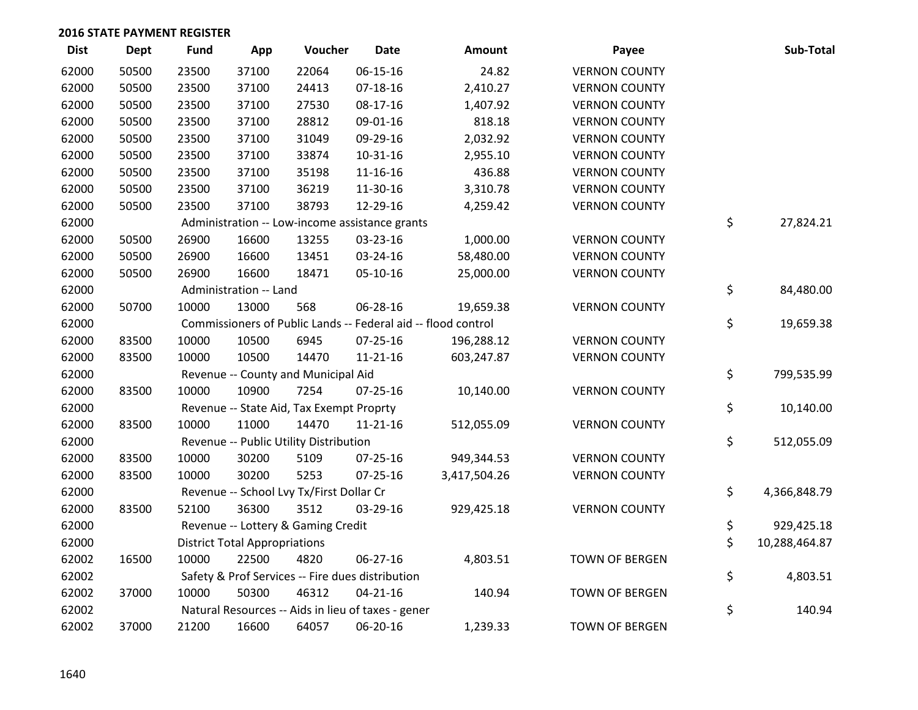| <b>Dist</b> | <b>Dept</b> | <b>Fund</b> | App                                  | Voucher                                            | <b>Date</b>    | Amount                                                        | Payee                 | Sub-Total           |
|-------------|-------------|-------------|--------------------------------------|----------------------------------------------------|----------------|---------------------------------------------------------------|-----------------------|---------------------|
| 62000       | 50500       | 23500       | 37100                                | 22064                                              | 06-15-16       | 24.82                                                         | <b>VERNON COUNTY</b>  |                     |
| 62000       | 50500       | 23500       | 37100                                | 24413                                              | 07-18-16       | 2,410.27                                                      | <b>VERNON COUNTY</b>  |                     |
| 62000       | 50500       | 23500       | 37100                                | 27530                                              | 08-17-16       | 1,407.92                                                      | <b>VERNON COUNTY</b>  |                     |
| 62000       | 50500       | 23500       | 37100                                | 28812                                              | 09-01-16       | 818.18                                                        | <b>VERNON COUNTY</b>  |                     |
| 62000       | 50500       | 23500       | 37100                                | 31049                                              | 09-29-16       | 2,032.92                                                      | <b>VERNON COUNTY</b>  |                     |
| 62000       | 50500       | 23500       | 37100                                | 33874                                              | 10-31-16       | 2,955.10                                                      | <b>VERNON COUNTY</b>  |                     |
| 62000       | 50500       | 23500       | 37100                                | 35198                                              | 11-16-16       | 436.88                                                        | <b>VERNON COUNTY</b>  |                     |
| 62000       | 50500       | 23500       | 37100                                | 36219                                              | 11-30-16       | 3,310.78                                                      | <b>VERNON COUNTY</b>  |                     |
| 62000       | 50500       | 23500       | 37100                                | 38793                                              | 12-29-16       | 4,259.42                                                      | <b>VERNON COUNTY</b>  |                     |
| 62000       |             |             |                                      | Administration -- Low-income assistance grants     |                |                                                               |                       | \$<br>27,824.21     |
| 62000       | 50500       | 26900       | 16600                                | 13255                                              | 03-23-16       | 1,000.00                                                      | <b>VERNON COUNTY</b>  |                     |
| 62000       | 50500       | 26900       | 16600                                | 13451                                              | 03-24-16       | 58,480.00                                                     | <b>VERNON COUNTY</b>  |                     |
| 62000       | 50500       | 26900       | 16600                                | 18471                                              | 05-10-16       | 25,000.00                                                     | <b>VERNON COUNTY</b>  |                     |
| 62000       |             |             | Administration -- Land               |                                                    |                |                                                               |                       | \$<br>84,480.00     |
| 62000       | 50700       | 10000       | 13000                                | 568                                                | 06-28-16       | 19,659.38                                                     | <b>VERNON COUNTY</b>  |                     |
| 62000       |             |             |                                      |                                                    |                | Commissioners of Public Lands -- Federal aid -- flood control |                       | \$<br>19,659.38     |
| 62000       | 83500       | 10000       | 10500                                | 6945                                               | $07 - 25 - 16$ | 196,288.12                                                    | <b>VERNON COUNTY</b>  |                     |
| 62000       | 83500       | 10000       | 10500                                | 14470                                              | $11 - 21 - 16$ | 603,247.87                                                    | <b>VERNON COUNTY</b>  |                     |
| 62000       |             |             |                                      | Revenue -- County and Municipal Aid                |                |                                                               |                       | \$<br>799,535.99    |
| 62000       | 83500       | 10000       | 10900                                | 7254                                               | $07 - 25 - 16$ | 10,140.00                                                     | <b>VERNON COUNTY</b>  |                     |
| 62000       |             |             |                                      | Revenue -- State Aid, Tax Exempt Proprty           |                |                                                               |                       | \$<br>10,140.00     |
| 62000       | 83500       | 10000       | 11000                                | 14470                                              | 11-21-16       | 512,055.09                                                    | <b>VERNON COUNTY</b>  |                     |
| 62000       |             |             |                                      | Revenue -- Public Utility Distribution             |                |                                                               |                       | \$<br>512,055.09    |
| 62000       | 83500       | 10000       | 30200                                | 5109                                               | 07-25-16       | 949,344.53                                                    | <b>VERNON COUNTY</b>  |                     |
| 62000       | 83500       | 10000       | 30200                                | 5253                                               | $07 - 25 - 16$ | 3,417,504.26                                                  | <b>VERNON COUNTY</b>  |                     |
| 62000       |             |             |                                      | Revenue -- School Lvy Tx/First Dollar Cr           |                |                                                               |                       | \$<br>4,366,848.79  |
| 62000       | 83500       | 52100       | 36300                                | 3512                                               | 03-29-16       | 929,425.18                                                    | <b>VERNON COUNTY</b>  |                     |
| 62000       |             |             |                                      | Revenue -- Lottery & Gaming Credit                 |                |                                                               |                       | \$<br>929,425.18    |
| 62000       |             |             | <b>District Total Appropriations</b> |                                                    |                |                                                               |                       | \$<br>10,288,464.87 |
| 62002       | 16500       | 10000       | 22500                                | 4820                                               | 06-27-16       | 4,803.51                                                      | <b>TOWN OF BERGEN</b> |                     |
| 62002       |             |             |                                      | Safety & Prof Services -- Fire dues distribution   |                |                                                               |                       | \$<br>4,803.51      |
| 62002       | 37000       | 10000       | 50300                                | 46312                                              | $04 - 21 - 16$ | 140.94                                                        | <b>TOWN OF BERGEN</b> |                     |
| 62002       |             |             |                                      | Natural Resources -- Aids in lieu of taxes - gener |                |                                                               |                       | \$<br>140.94        |
| 62002       | 37000       | 21200       | 16600                                | 64057                                              | 06-20-16       | 1,239.33                                                      | <b>TOWN OF BERGEN</b> |                     |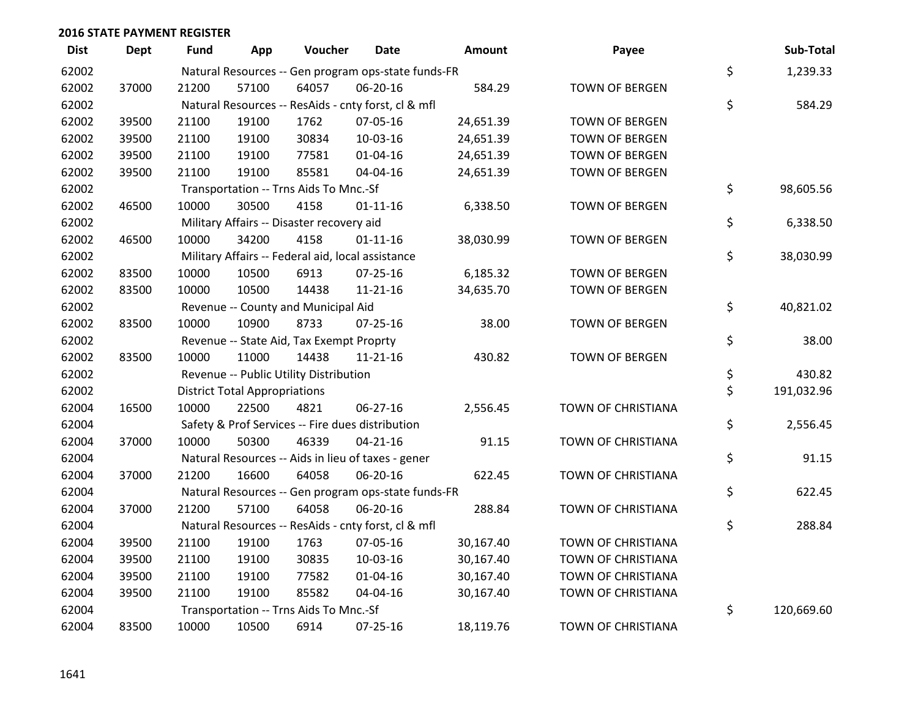| <b>Dist</b> | <b>Dept</b> | Fund  | App                                  | Voucher                                             | Date           | <b>Amount</b> | Payee                 | Sub-Total        |
|-------------|-------------|-------|--------------------------------------|-----------------------------------------------------|----------------|---------------|-----------------------|------------------|
| 62002       |             |       |                                      | Natural Resources -- Gen program ops-state funds-FR |                |               |                       | \$<br>1,239.33   |
| 62002       | 37000       | 21200 | 57100                                | 64057                                               | 06-20-16       | 584.29        | TOWN OF BERGEN        |                  |
| 62002       |             |       |                                      | Natural Resources -- ResAids - cnty forst, cl & mfl |                |               |                       | \$<br>584.29     |
| 62002       | 39500       | 21100 | 19100                                | 1762                                                | 07-05-16       | 24,651.39     | <b>TOWN OF BERGEN</b> |                  |
| 62002       | 39500       | 21100 | 19100                                | 30834                                               | 10-03-16       | 24,651.39     | <b>TOWN OF BERGEN</b> |                  |
| 62002       | 39500       | 21100 | 19100                                | 77581                                               | $01 - 04 - 16$ | 24,651.39     | TOWN OF BERGEN        |                  |
| 62002       | 39500       | 21100 | 19100                                | 85581                                               | 04-04-16       | 24,651.39     | <b>TOWN OF BERGEN</b> |                  |
| 62002       |             |       |                                      | Transportation -- Trns Aids To Mnc.-Sf              |                |               |                       | \$<br>98,605.56  |
| 62002       | 46500       | 10000 | 30500                                | 4158                                                | $01 - 11 - 16$ | 6,338.50      | <b>TOWN OF BERGEN</b> |                  |
| 62002       |             |       |                                      | Military Affairs -- Disaster recovery aid           |                |               |                       | \$<br>6,338.50   |
| 62002       | 46500       | 10000 | 34200                                | 4158                                                | $01 - 11 - 16$ | 38,030.99     | <b>TOWN OF BERGEN</b> |                  |
| 62002       |             |       |                                      | Military Affairs -- Federal aid, local assistance   |                |               |                       | \$<br>38,030.99  |
| 62002       | 83500       | 10000 | 10500                                | 6913                                                | $07 - 25 - 16$ | 6,185.32      | <b>TOWN OF BERGEN</b> |                  |
| 62002       | 83500       | 10000 | 10500                                | 14438                                               | $11 - 21 - 16$ | 34,635.70     | <b>TOWN OF BERGEN</b> |                  |
| 62002       |             |       |                                      | Revenue -- County and Municipal Aid                 |                |               |                       | \$<br>40,821.02  |
| 62002       | 83500       | 10000 | 10900                                | 8733                                                | 07-25-16       | 38.00         | <b>TOWN OF BERGEN</b> |                  |
| 62002       |             |       |                                      | Revenue -- State Aid, Tax Exempt Proprty            |                |               |                       | \$<br>38.00      |
| 62002       | 83500       | 10000 | 11000                                | 14438                                               | $11 - 21 - 16$ | 430.82        | TOWN OF BERGEN        |                  |
| 62002       |             |       |                                      | Revenue -- Public Utility Distribution              |                |               |                       | \$<br>430.82     |
| 62002       |             |       | <b>District Total Appropriations</b> |                                                     |                |               |                       | \$<br>191,032.96 |
| 62004       | 16500       | 10000 | 22500                                | 4821                                                | 06-27-16       | 2,556.45      | TOWN OF CHRISTIANA    |                  |
| 62004       |             |       |                                      | Safety & Prof Services -- Fire dues distribution    |                |               |                       | \$<br>2,556.45   |
| 62004       | 37000       | 10000 | 50300                                | 46339                                               | $04 - 21 - 16$ | 91.15         | TOWN OF CHRISTIANA    |                  |
| 62004       |             |       |                                      | Natural Resources -- Aids in lieu of taxes - gener  |                |               |                       | \$<br>91.15      |
| 62004       | 37000       | 21200 | 16600                                | 64058                                               | 06-20-16       | 622.45        | TOWN OF CHRISTIANA    |                  |
| 62004       |             |       |                                      | Natural Resources -- Gen program ops-state funds-FR |                |               |                       | \$<br>622.45     |
| 62004       | 37000       | 21200 | 57100                                | 64058                                               | 06-20-16       | 288.84        | TOWN OF CHRISTIANA    |                  |
| 62004       |             |       |                                      | Natural Resources -- ResAids - cnty forst, cl & mfl |                |               |                       | \$<br>288.84     |
| 62004       | 39500       | 21100 | 19100                                | 1763                                                | 07-05-16       | 30,167.40     | TOWN OF CHRISTIANA    |                  |
| 62004       | 39500       | 21100 | 19100                                | 30835                                               | 10-03-16       | 30,167.40     | TOWN OF CHRISTIANA    |                  |
| 62004       | 39500       | 21100 | 19100                                | 77582                                               | $01 - 04 - 16$ | 30,167.40     | TOWN OF CHRISTIANA    |                  |
| 62004       | 39500       | 21100 | 19100                                | 85582                                               | 04-04-16       | 30,167.40     | TOWN OF CHRISTIANA    |                  |
| 62004       |             |       |                                      | Transportation -- Trns Aids To Mnc.-Sf              |                |               |                       | \$<br>120,669.60 |
| 62004       | 83500       | 10000 | 10500                                | 6914                                                | 07-25-16       | 18,119.76     | TOWN OF CHRISTIANA    |                  |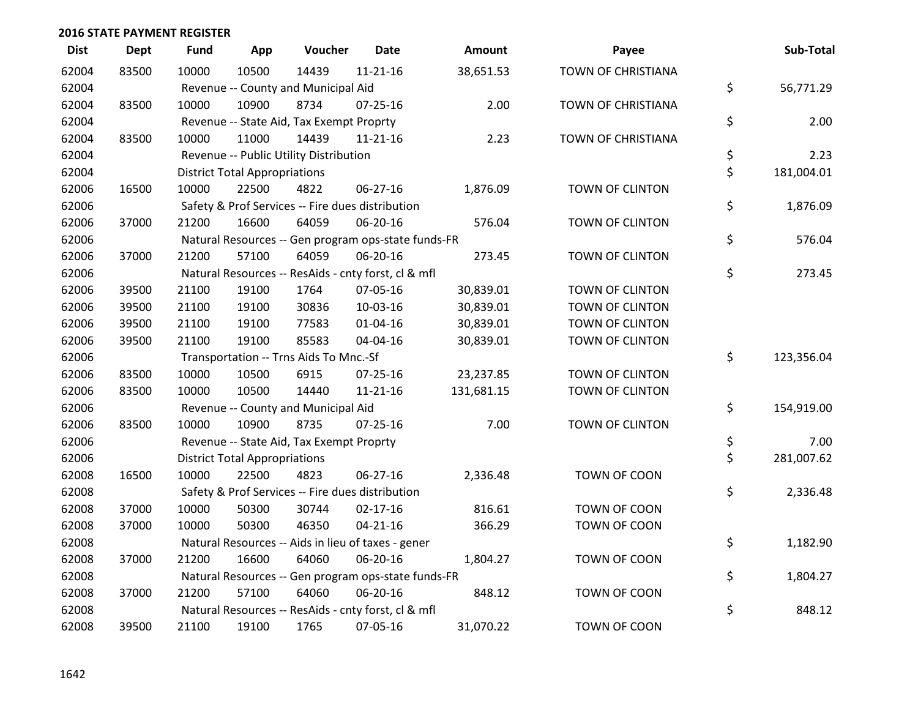| <b>Dist</b> | <b>Dept</b> | <b>Fund</b> | App                                  | Voucher                                             | Date           | <b>Amount</b> | Payee                  | Sub-Total        |
|-------------|-------------|-------------|--------------------------------------|-----------------------------------------------------|----------------|---------------|------------------------|------------------|
| 62004       | 83500       | 10000       | 10500                                | 14439                                               | $11 - 21 - 16$ | 38,651.53     | TOWN OF CHRISTIANA     |                  |
| 62004       |             |             |                                      | Revenue -- County and Municipal Aid                 |                |               |                        | \$<br>56,771.29  |
| 62004       | 83500       | 10000       | 10900                                | 8734                                                | $07 - 25 - 16$ | 2.00          | TOWN OF CHRISTIANA     |                  |
| 62004       |             |             |                                      | Revenue -- State Aid, Tax Exempt Proprty            |                |               |                        | \$<br>2.00       |
| 62004       | 83500       | 10000       | 11000                                | 14439                                               | $11 - 21 - 16$ | 2.23          | TOWN OF CHRISTIANA     |                  |
| 62004       |             |             |                                      | Revenue -- Public Utility Distribution              |                |               |                        | \$<br>2.23       |
| 62004       |             |             | <b>District Total Appropriations</b> |                                                     |                |               |                        | \$<br>181,004.01 |
| 62006       | 16500       | 10000       | 22500                                | 4822                                                | 06-27-16       | 1,876.09      | <b>TOWN OF CLINTON</b> |                  |
| 62006       |             |             |                                      | Safety & Prof Services -- Fire dues distribution    |                |               |                        | \$<br>1,876.09   |
| 62006       | 37000       | 21200       | 16600                                | 64059                                               | 06-20-16       | 576.04        | TOWN OF CLINTON        |                  |
| 62006       |             |             |                                      | Natural Resources -- Gen program ops-state funds-FR |                |               |                        | \$<br>576.04     |
| 62006       | 37000       | 21200       | 57100                                | 64059                                               | 06-20-16       | 273.45        | TOWN OF CLINTON        |                  |
| 62006       |             |             |                                      | Natural Resources -- ResAids - cnty forst, cl & mfl |                |               |                        | \$<br>273.45     |
| 62006       | 39500       | 21100       | 19100                                | 1764                                                | 07-05-16       | 30,839.01     | TOWN OF CLINTON        |                  |
| 62006       | 39500       | 21100       | 19100                                | 30836                                               | 10-03-16       | 30,839.01     | <b>TOWN OF CLINTON</b> |                  |
| 62006       | 39500       | 21100       | 19100                                | 77583                                               | $01 - 04 - 16$ | 30,839.01     | TOWN OF CLINTON        |                  |
| 62006       | 39500       | 21100       | 19100                                | 85583                                               | 04-04-16       | 30,839.01     | TOWN OF CLINTON        |                  |
| 62006       |             |             |                                      | Transportation -- Trns Aids To Mnc.-Sf              |                |               |                        | \$<br>123,356.04 |
| 62006       | 83500       | 10000       | 10500                                | 6915                                                | 07-25-16       | 23,237.85     | TOWN OF CLINTON        |                  |
| 62006       | 83500       | 10000       | 10500                                | 14440                                               | $11 - 21 - 16$ | 131,681.15    | TOWN OF CLINTON        |                  |
| 62006       |             |             |                                      | Revenue -- County and Municipal Aid                 |                |               |                        | \$<br>154,919.00 |
| 62006       | 83500       | 10000       | 10900                                | 8735                                                | $07 - 25 - 16$ | 7.00          | TOWN OF CLINTON        |                  |
| 62006       |             |             |                                      | Revenue -- State Aid, Tax Exempt Proprty            |                |               |                        | \$<br>7.00       |
| 62006       |             |             | <b>District Total Appropriations</b> |                                                     |                |               |                        | \$<br>281,007.62 |
| 62008       | 16500       | 10000       | 22500                                | 4823                                                | 06-27-16       | 2,336.48      | TOWN OF COON           |                  |
| 62008       |             |             |                                      | Safety & Prof Services -- Fire dues distribution    |                |               |                        | \$<br>2,336.48   |
| 62008       | 37000       | 10000       | 50300                                | 30744                                               | $02 - 17 - 16$ | 816.61        | TOWN OF COON           |                  |
| 62008       | 37000       | 10000       | 50300                                | 46350                                               | $04 - 21 - 16$ | 366.29        | TOWN OF COON           |                  |
| 62008       |             |             |                                      | Natural Resources -- Aids in lieu of taxes - gener  |                |               |                        | \$<br>1,182.90   |
| 62008       | 37000       | 21200       | 16600                                | 64060                                               | 06-20-16       | 1,804.27      | TOWN OF COON           |                  |
| 62008       |             |             |                                      | Natural Resources -- Gen program ops-state funds-FR |                |               |                        | \$<br>1,804.27   |
| 62008       | 37000       | 21200       | 57100                                | 64060                                               | 06-20-16       | 848.12        | TOWN OF COON           |                  |
| 62008       |             |             |                                      | Natural Resources -- ResAids - cnty forst, cl & mfl |                |               |                        | \$<br>848.12     |
| 62008       | 39500       | 21100       | 19100                                | 1765                                                | 07-05-16       | 31,070.22     | TOWN OF COON           |                  |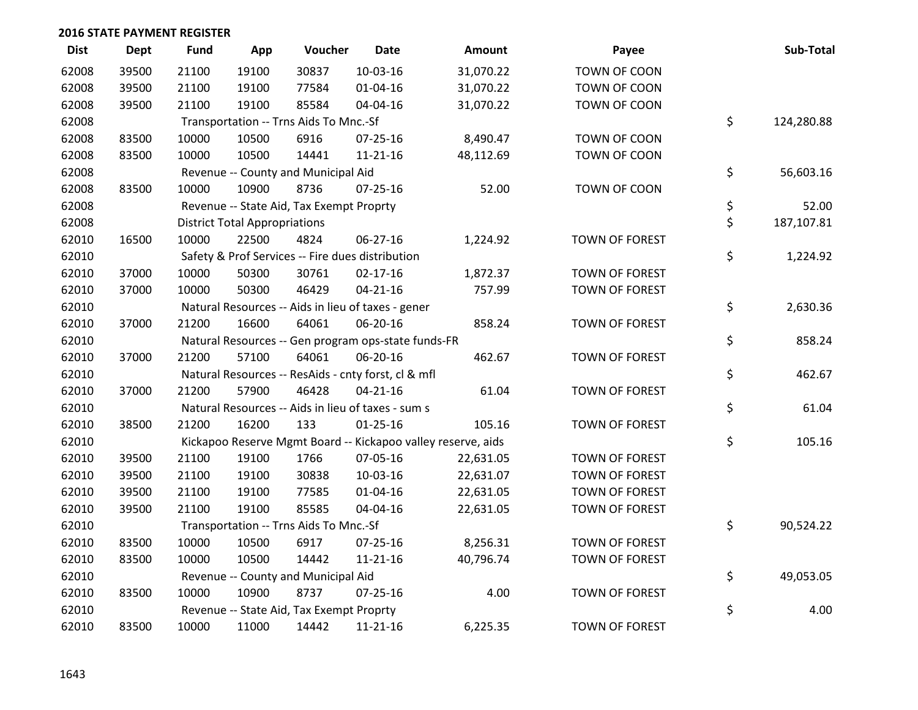| <b>Dist</b> | <b>Dept</b> | <b>Fund</b> | App                                  | Voucher                                  | Date                                                | <b>Amount</b>                                                | Payee                 | Sub-Total        |
|-------------|-------------|-------------|--------------------------------------|------------------------------------------|-----------------------------------------------------|--------------------------------------------------------------|-----------------------|------------------|
| 62008       | 39500       | 21100       | 19100                                | 30837                                    | 10-03-16                                            | 31,070.22                                                    | TOWN OF COON          |                  |
| 62008       | 39500       | 21100       | 19100                                | 77584                                    | 01-04-16                                            | 31,070.22                                                    | TOWN OF COON          |                  |
| 62008       | 39500       | 21100       | 19100                                | 85584                                    | 04-04-16                                            | 31,070.22                                                    | TOWN OF COON          |                  |
| 62008       |             |             |                                      | Transportation -- Trns Aids To Mnc.-Sf   |                                                     |                                                              |                       | \$<br>124,280.88 |
| 62008       | 83500       | 10000       | 10500                                | 6916                                     | 07-25-16                                            | 8,490.47                                                     | TOWN OF COON          |                  |
| 62008       | 83500       | 10000       | 10500                                | 14441                                    | $11 - 21 - 16$                                      | 48,112.69                                                    | TOWN OF COON          |                  |
| 62008       |             |             |                                      | Revenue -- County and Municipal Aid      |                                                     |                                                              |                       | \$<br>56,603.16  |
| 62008       | 83500       | 10000       | 10900                                | 8736                                     | $07 - 25 - 16$                                      | 52.00                                                        | TOWN OF COON          |                  |
| 62008       |             |             |                                      | Revenue -- State Aid, Tax Exempt Proprty |                                                     |                                                              |                       | \$<br>52.00      |
| 62008       |             |             | <b>District Total Appropriations</b> |                                          |                                                     |                                                              |                       | \$<br>187,107.81 |
| 62010       | 16500       | 10000       | 22500                                | 4824                                     | 06-27-16                                            | 1,224.92                                                     | <b>TOWN OF FOREST</b> |                  |
| 62010       |             |             |                                      |                                          | Safety & Prof Services -- Fire dues distribution    |                                                              |                       | \$<br>1,224.92   |
| 62010       | 37000       | 10000       | 50300                                | 30761                                    | $02 - 17 - 16$                                      | 1,872.37                                                     | <b>TOWN OF FOREST</b> |                  |
| 62010       | 37000       | 10000       | 50300                                | 46429                                    | $04 - 21 - 16$                                      | 757.99                                                       | <b>TOWN OF FOREST</b> |                  |
| 62010       |             |             |                                      |                                          | Natural Resources -- Aids in lieu of taxes - gener  |                                                              |                       | \$<br>2,630.36   |
| 62010       | 37000       | 21200       | 16600                                | 64061                                    | 06-20-16                                            | 858.24                                                       | <b>TOWN OF FOREST</b> |                  |
| 62010       |             |             |                                      |                                          | Natural Resources -- Gen program ops-state funds-FR |                                                              |                       | \$<br>858.24     |
| 62010       | 37000       | 21200       | 57100                                | 64061                                    | 06-20-16                                            | 462.67                                                       | <b>TOWN OF FOREST</b> |                  |
| 62010       |             |             |                                      |                                          | Natural Resources -- ResAids - cnty forst, cl & mfl |                                                              |                       | \$<br>462.67     |
| 62010       | 37000       | 21200       | 57900                                | 46428                                    | $04 - 21 - 16$                                      | 61.04                                                        | <b>TOWN OF FOREST</b> |                  |
| 62010       |             |             |                                      |                                          | Natural Resources -- Aids in lieu of taxes - sum s  |                                                              |                       | \$<br>61.04      |
| 62010       | 38500       | 21200       | 16200                                | 133                                      | $01 - 25 - 16$                                      | 105.16                                                       | TOWN OF FOREST        |                  |
| 62010       |             |             |                                      |                                          |                                                     | Kickapoo Reserve Mgmt Board -- Kickapoo valley reserve, aids |                       | \$<br>105.16     |
| 62010       | 39500       | 21100       | 19100                                | 1766                                     | 07-05-16                                            | 22,631.05                                                    | <b>TOWN OF FOREST</b> |                  |
| 62010       | 39500       | 21100       | 19100                                | 30838                                    | 10-03-16                                            | 22,631.07                                                    | <b>TOWN OF FOREST</b> |                  |
| 62010       | 39500       | 21100       | 19100                                | 77585                                    | 01-04-16                                            | 22,631.05                                                    | <b>TOWN OF FOREST</b> |                  |
| 62010       | 39500       | 21100       | 19100                                | 85585                                    | 04-04-16                                            | 22,631.05                                                    | TOWN OF FOREST        |                  |
| 62010       |             |             |                                      | Transportation -- Trns Aids To Mnc.-Sf   |                                                     |                                                              |                       | \$<br>90,524.22  |
| 62010       | 83500       | 10000       | 10500                                | 6917                                     | 07-25-16                                            | 8,256.31                                                     | <b>TOWN OF FOREST</b> |                  |
| 62010       | 83500       | 10000       | 10500                                | 14442                                    | $11 - 21 - 16$                                      | 40,796.74                                                    | <b>TOWN OF FOREST</b> |                  |
| 62010       |             |             |                                      | Revenue -- County and Municipal Aid      |                                                     |                                                              |                       | \$<br>49,053.05  |
| 62010       | 83500       | 10000       | 10900                                | 8737                                     | $07 - 25 - 16$                                      | 4.00                                                         | TOWN OF FOREST        |                  |
| 62010       |             |             |                                      | Revenue -- State Aid, Tax Exempt Proprty |                                                     |                                                              |                       | \$<br>4.00       |
| 62010       | 83500       | 10000       | 11000                                | 14442                                    | $11 - 21 - 16$                                      | 6,225.35                                                     | <b>TOWN OF FOREST</b> |                  |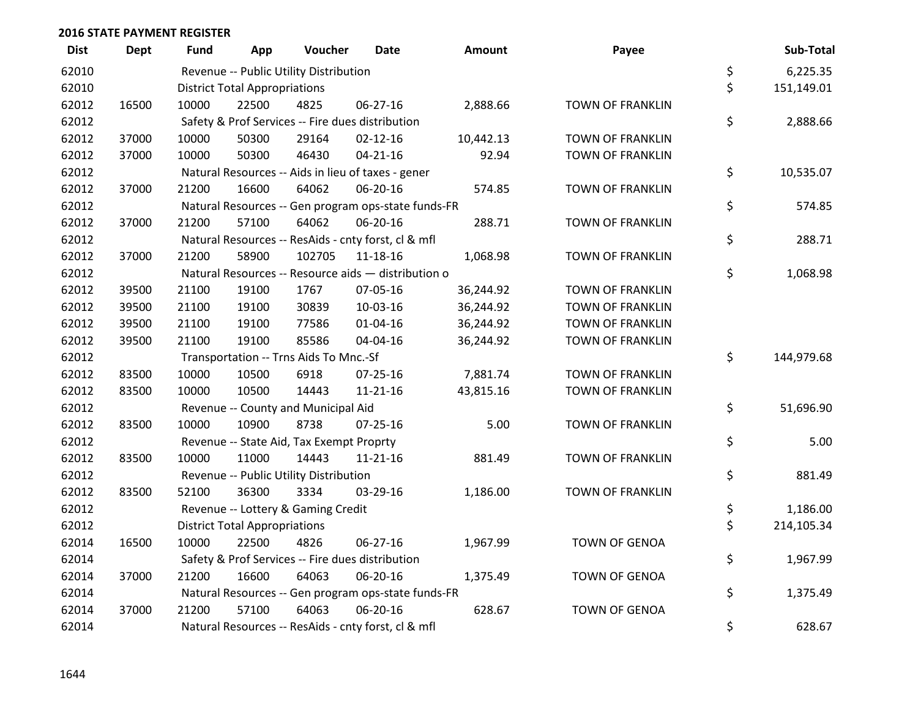| <b>Dist</b> | <b>Dept</b> | Fund  | App                                  | Voucher                                  | <b>Date</b>                                         | Amount    | Payee                   | Sub-Total        |
|-------------|-------------|-------|--------------------------------------|------------------------------------------|-----------------------------------------------------|-----------|-------------------------|------------------|
| 62010       |             |       |                                      | Revenue -- Public Utility Distribution   |                                                     |           |                         | \$<br>6,225.35   |
| 62010       |             |       | <b>District Total Appropriations</b> |                                          |                                                     |           |                         | \$<br>151,149.01 |
| 62012       | 16500       | 10000 | 22500                                | 4825                                     | 06-27-16                                            | 2,888.66  | <b>TOWN OF FRANKLIN</b> |                  |
| 62012       |             |       |                                      |                                          | Safety & Prof Services -- Fire dues distribution    |           |                         | \$<br>2,888.66   |
| 62012       | 37000       | 10000 | 50300                                | 29164                                    | $02 - 12 - 16$                                      | 10,442.13 | <b>TOWN OF FRANKLIN</b> |                  |
| 62012       | 37000       | 10000 | 50300                                | 46430                                    | $04 - 21 - 16$                                      | 92.94     | <b>TOWN OF FRANKLIN</b> |                  |
| 62012       |             |       |                                      |                                          | Natural Resources -- Aids in lieu of taxes - gener  |           |                         | \$<br>10,535.07  |
| 62012       | 37000       | 21200 | 16600                                | 64062                                    | 06-20-16                                            | 574.85    | <b>TOWN OF FRANKLIN</b> |                  |
| 62012       |             |       |                                      |                                          | Natural Resources -- Gen program ops-state funds-FR |           |                         | \$<br>574.85     |
| 62012       | 37000       | 21200 | 57100                                | 64062                                    | 06-20-16                                            | 288.71    | TOWN OF FRANKLIN        |                  |
| 62012       |             |       |                                      |                                          | Natural Resources -- ResAids - cnty forst, cl & mfl |           |                         | \$<br>288.71     |
| 62012       | 37000       | 21200 | 58900                                | 102705                                   | 11-18-16                                            | 1,068.98  | <b>TOWN OF FRANKLIN</b> |                  |
| 62012       |             |       |                                      |                                          | Natural Resources -- Resource aids - distribution o |           |                         | \$<br>1,068.98   |
| 62012       | 39500       | 21100 | 19100                                | 1767                                     | 07-05-16                                            | 36,244.92 | <b>TOWN OF FRANKLIN</b> |                  |
| 62012       | 39500       | 21100 | 19100                                | 30839                                    | 10-03-16                                            | 36,244.92 | <b>TOWN OF FRANKLIN</b> |                  |
| 62012       | 39500       | 21100 | 19100                                | 77586                                    | $01 - 04 - 16$                                      | 36,244.92 | <b>TOWN OF FRANKLIN</b> |                  |
| 62012       | 39500       | 21100 | 19100                                | 85586                                    | 04-04-16                                            | 36,244.92 | <b>TOWN OF FRANKLIN</b> |                  |
| 62012       |             |       |                                      | Transportation -- Trns Aids To Mnc.-Sf   |                                                     |           |                         | \$<br>144,979.68 |
| 62012       | 83500       | 10000 | 10500                                | 6918                                     | 07-25-16                                            | 7,881.74  | <b>TOWN OF FRANKLIN</b> |                  |
| 62012       | 83500       | 10000 | 10500                                | 14443                                    | 11-21-16                                            | 43,815.16 | <b>TOWN OF FRANKLIN</b> |                  |
| 62012       |             |       |                                      | Revenue -- County and Municipal Aid      |                                                     |           |                         | \$<br>51,696.90  |
| 62012       | 83500       | 10000 | 10900                                | 8738                                     | $07 - 25 - 16$                                      | 5.00      | <b>TOWN OF FRANKLIN</b> |                  |
| 62012       |             |       |                                      | Revenue -- State Aid, Tax Exempt Proprty |                                                     |           |                         | \$<br>5.00       |
| 62012       | 83500       | 10000 | 11000                                | 14443                                    | 11-21-16                                            | 881.49    | <b>TOWN OF FRANKLIN</b> |                  |
| 62012       |             |       |                                      | Revenue -- Public Utility Distribution   |                                                     |           |                         | \$<br>881.49     |
| 62012       | 83500       | 52100 | 36300                                | 3334                                     | 03-29-16                                            | 1,186.00  | <b>TOWN OF FRANKLIN</b> |                  |
| 62012       |             |       |                                      | Revenue -- Lottery & Gaming Credit       |                                                     |           |                         | \$<br>1,186.00   |
| 62012       |             |       | <b>District Total Appropriations</b> |                                          |                                                     |           |                         | \$<br>214,105.34 |
| 62014       | 16500       | 10000 | 22500                                | 4826                                     | 06-27-16                                            | 1,967.99  | <b>TOWN OF GENOA</b>    |                  |
| 62014       |             |       |                                      |                                          | Safety & Prof Services -- Fire dues distribution    |           |                         | \$<br>1,967.99   |
| 62014       | 37000       | 21200 | 16600                                | 64063                                    | 06-20-16                                            | 1,375.49  | <b>TOWN OF GENOA</b>    |                  |
| 62014       |             |       |                                      |                                          | Natural Resources -- Gen program ops-state funds-FR |           |                         | \$<br>1,375.49   |
| 62014       | 37000       | 21200 | 57100                                | 64063                                    | 06-20-16                                            | 628.67    | <b>TOWN OF GENOA</b>    |                  |
| 62014       |             |       |                                      |                                          | Natural Resources -- ResAids - cnty forst, cl & mfl |           |                         | \$<br>628.67     |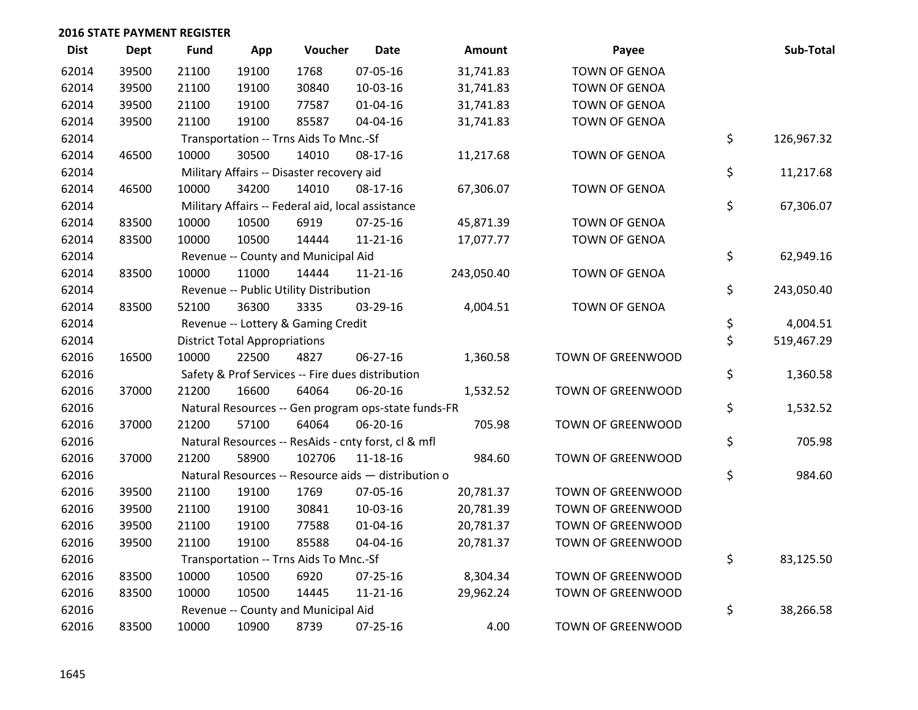| <b>Dist</b> | <b>Dept</b> | <b>Fund</b> | App                                  | Voucher                                             | <b>Date</b>    | Amount     | Payee                    | Sub-Total        |
|-------------|-------------|-------------|--------------------------------------|-----------------------------------------------------|----------------|------------|--------------------------|------------------|
| 62014       | 39500       | 21100       | 19100                                | 1768                                                | 07-05-16       | 31,741.83  | <b>TOWN OF GENOA</b>     |                  |
| 62014       | 39500       | 21100       | 19100                                | 30840                                               | 10-03-16       | 31,741.83  | <b>TOWN OF GENOA</b>     |                  |
| 62014       | 39500       | 21100       | 19100                                | 77587                                               | $01 - 04 - 16$ | 31,741.83  | <b>TOWN OF GENOA</b>     |                  |
| 62014       | 39500       | 21100       | 19100                                | 85587                                               | 04-04-16       | 31,741.83  | <b>TOWN OF GENOA</b>     |                  |
| 62014       |             |             |                                      | Transportation -- Trns Aids To Mnc.-Sf              |                |            |                          | \$<br>126,967.32 |
| 62014       | 46500       | 10000       | 30500                                | 14010                                               | 08-17-16       | 11,217.68  | <b>TOWN OF GENOA</b>     |                  |
| 62014       |             |             |                                      | Military Affairs -- Disaster recovery aid           |                |            |                          | \$<br>11,217.68  |
| 62014       | 46500       | 10000       | 34200                                | 14010                                               | 08-17-16       | 67,306.07  | <b>TOWN OF GENOA</b>     |                  |
| 62014       |             |             |                                      | Military Affairs -- Federal aid, local assistance   |                |            |                          | \$<br>67,306.07  |
| 62014       | 83500       | 10000       | 10500                                | 6919                                                | $07 - 25 - 16$ | 45,871.39  | <b>TOWN OF GENOA</b>     |                  |
| 62014       | 83500       | 10000       | 10500                                | 14444                                               | $11 - 21 - 16$ | 17,077.77  | <b>TOWN OF GENOA</b>     |                  |
| 62014       |             |             |                                      | Revenue -- County and Municipal Aid                 |                |            |                          | \$<br>62,949.16  |
| 62014       | 83500       | 10000       | 11000                                | 14444                                               | $11 - 21 - 16$ | 243,050.40 | <b>TOWN OF GENOA</b>     |                  |
| 62014       |             |             |                                      | Revenue -- Public Utility Distribution              |                |            |                          | \$<br>243,050.40 |
| 62014       | 83500       | 52100       | 36300                                | 3335                                                | 03-29-16       | 4,004.51   | <b>TOWN OF GENOA</b>     |                  |
| 62014       |             |             |                                      | Revenue -- Lottery & Gaming Credit                  |                |            |                          | \$<br>4,004.51   |
| 62014       |             |             | <b>District Total Appropriations</b> |                                                     |                |            |                          | \$<br>519,467.29 |
| 62016       | 16500       | 10000       | 22500                                | 4827                                                | 06-27-16       | 1,360.58   | TOWN OF GREENWOOD        |                  |
| 62016       |             |             |                                      | Safety & Prof Services -- Fire dues distribution    |                |            |                          | \$<br>1,360.58   |
| 62016       | 37000       | 21200       | 16600                                | 64064                                               | 06-20-16       | 1,532.52   | TOWN OF GREENWOOD        |                  |
| 62016       |             |             |                                      | Natural Resources -- Gen program ops-state funds-FR |                |            |                          | \$<br>1,532.52   |
| 62016       | 37000       | 21200       | 57100                                | 64064                                               | 06-20-16       | 705.98     | TOWN OF GREENWOOD        |                  |
| 62016       |             |             |                                      | Natural Resources -- ResAids - cnty forst, cl & mfl |                |            |                          | \$<br>705.98     |
| 62016       | 37000       | 21200       | 58900                                | 102706                                              | 11-18-16       | 984.60     | TOWN OF GREENWOOD        |                  |
| 62016       |             |             |                                      | Natural Resources -- Resource aids - distribution o |                |            |                          | \$<br>984.60     |
| 62016       | 39500       | 21100       | 19100                                | 1769                                                | 07-05-16       | 20,781.37  | TOWN OF GREENWOOD        |                  |
| 62016       | 39500       | 21100       | 19100                                | 30841                                               | 10-03-16       | 20,781.39  | TOWN OF GREENWOOD        |                  |
| 62016       | 39500       | 21100       | 19100                                | 77588                                               | $01 - 04 - 16$ | 20,781.37  | TOWN OF GREENWOOD        |                  |
| 62016       | 39500       | 21100       | 19100                                | 85588                                               | 04-04-16       | 20,781.37  | <b>TOWN OF GREENWOOD</b> |                  |
| 62016       |             |             |                                      | Transportation -- Trns Aids To Mnc.-Sf              |                |            |                          | \$<br>83,125.50  |
| 62016       | 83500       | 10000       | 10500                                | 6920                                                | 07-25-16       | 8,304.34   | TOWN OF GREENWOOD        |                  |
| 62016       | 83500       | 10000       | 10500                                | 14445                                               | $11 - 21 - 16$ | 29,962.24  | TOWN OF GREENWOOD        |                  |
| 62016       |             |             |                                      | Revenue -- County and Municipal Aid                 |                |            |                          | \$<br>38,266.58  |
| 62016       | 83500       | 10000       | 10900                                | 8739                                                | 07-25-16       | 4.00       | <b>TOWN OF GREENWOOD</b> |                  |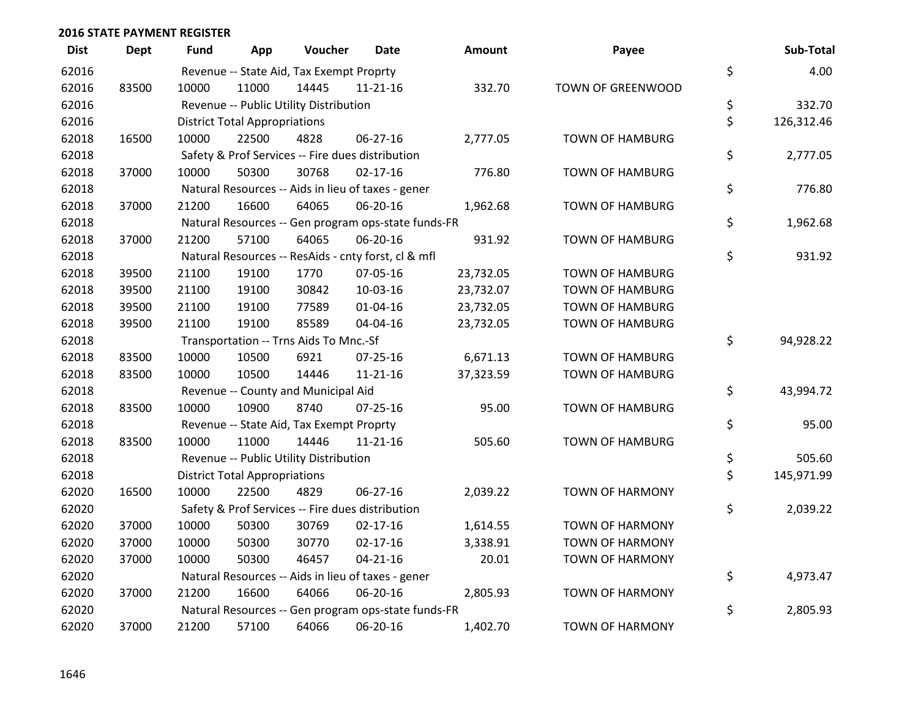| <b>Dist</b> | <b>Dept</b> | <b>Fund</b> | App                                  | Voucher                                             | <b>Date</b>    | <b>Amount</b> | Payee                  | Sub-Total        |
|-------------|-------------|-------------|--------------------------------------|-----------------------------------------------------|----------------|---------------|------------------------|------------------|
| 62016       |             |             |                                      | Revenue -- State Aid, Tax Exempt Proprty            |                |               |                        | \$<br>4.00       |
| 62016       | 83500       | 10000       | 11000                                | 14445                                               | $11 - 21 - 16$ | 332.70        | TOWN OF GREENWOOD      |                  |
| 62016       |             |             |                                      | Revenue -- Public Utility Distribution              |                |               |                        | \$<br>332.70     |
| 62016       |             |             | <b>District Total Appropriations</b> |                                                     |                |               |                        | \$<br>126,312.46 |
| 62018       | 16500       | 10000       | 22500                                | 4828                                                | 06-27-16       | 2,777.05      | <b>TOWN OF HAMBURG</b> |                  |
| 62018       |             |             |                                      | Safety & Prof Services -- Fire dues distribution    |                |               |                        | \$<br>2,777.05   |
| 62018       | 37000       | 10000       | 50300                                | 30768                                               | $02 - 17 - 16$ | 776.80        | TOWN OF HAMBURG        |                  |
| 62018       |             |             |                                      | Natural Resources -- Aids in lieu of taxes - gener  |                |               |                        | \$<br>776.80     |
| 62018       | 37000       | 21200       | 16600                                | 64065                                               | 06-20-16       | 1,962.68      | <b>TOWN OF HAMBURG</b> |                  |
| 62018       |             |             |                                      | Natural Resources -- Gen program ops-state funds-FR |                |               |                        | \$<br>1,962.68   |
| 62018       | 37000       | 21200       | 57100                                | 64065                                               | 06-20-16       | 931.92        | <b>TOWN OF HAMBURG</b> |                  |
| 62018       |             |             |                                      | Natural Resources -- ResAids - cnty forst, cl & mfl |                |               |                        | \$<br>931.92     |
| 62018       | 39500       | 21100       | 19100                                | 1770                                                | 07-05-16       | 23,732.05     | <b>TOWN OF HAMBURG</b> |                  |
| 62018       | 39500       | 21100       | 19100                                | 30842                                               | 10-03-16       | 23,732.07     | <b>TOWN OF HAMBURG</b> |                  |
| 62018       | 39500       | 21100       | 19100                                | 77589                                               | $01 - 04 - 16$ | 23,732.05     | TOWN OF HAMBURG        |                  |
| 62018       | 39500       | 21100       | 19100                                | 85589                                               | 04-04-16       | 23,732.05     | <b>TOWN OF HAMBURG</b> |                  |
| 62018       |             |             |                                      | Transportation -- Trns Aids To Mnc.-Sf              |                |               |                        | \$<br>94,928.22  |
| 62018       | 83500       | 10000       | 10500                                | 6921                                                | 07-25-16       | 6,671.13      | TOWN OF HAMBURG        |                  |
| 62018       | 83500       | 10000       | 10500                                | 14446                                               | $11 - 21 - 16$ | 37,323.59     | <b>TOWN OF HAMBURG</b> |                  |
| 62018       |             |             |                                      | Revenue -- County and Municipal Aid                 |                |               |                        | \$<br>43,994.72  |
| 62018       | 83500       | 10000       | 10900                                | 8740                                                | $07 - 25 - 16$ | 95.00         | <b>TOWN OF HAMBURG</b> |                  |
| 62018       |             |             |                                      | Revenue -- State Aid, Tax Exempt Proprty            |                |               |                        | \$<br>95.00      |
| 62018       | 83500       | 10000       | 11000                                | 14446                                               | $11 - 21 - 16$ | 505.60        | <b>TOWN OF HAMBURG</b> |                  |
| 62018       |             |             |                                      | Revenue -- Public Utility Distribution              |                |               |                        | \$<br>505.60     |
| 62018       |             |             | <b>District Total Appropriations</b> |                                                     |                |               |                        | \$<br>145,971.99 |
| 62020       | 16500       | 10000       | 22500                                | 4829                                                | 06-27-16       | 2,039.22      | <b>TOWN OF HARMONY</b> |                  |
| 62020       |             |             |                                      | Safety & Prof Services -- Fire dues distribution    |                |               |                        | \$<br>2,039.22   |
| 62020       | 37000       | 10000       | 50300                                | 30769                                               | $02 - 17 - 16$ | 1,614.55      | <b>TOWN OF HARMONY</b> |                  |
| 62020       | 37000       | 10000       | 50300                                | 30770                                               | $02 - 17 - 16$ | 3,338.91      | <b>TOWN OF HARMONY</b> |                  |
| 62020       | 37000       | 10000       | 50300                                | 46457                                               | $04 - 21 - 16$ | 20.01         | <b>TOWN OF HARMONY</b> |                  |
| 62020       |             |             |                                      | Natural Resources -- Aids in lieu of taxes - gener  |                |               |                        | \$<br>4,973.47   |
| 62020       | 37000       | 21200       | 16600                                | 64066                                               | 06-20-16       | 2,805.93      | <b>TOWN OF HARMONY</b> |                  |
| 62020       |             |             |                                      | Natural Resources -- Gen program ops-state funds-FR |                |               |                        | \$<br>2,805.93   |
| 62020       | 37000       | 21200       | 57100                                | 64066                                               | 06-20-16       | 1,402.70      | <b>TOWN OF HARMONY</b> |                  |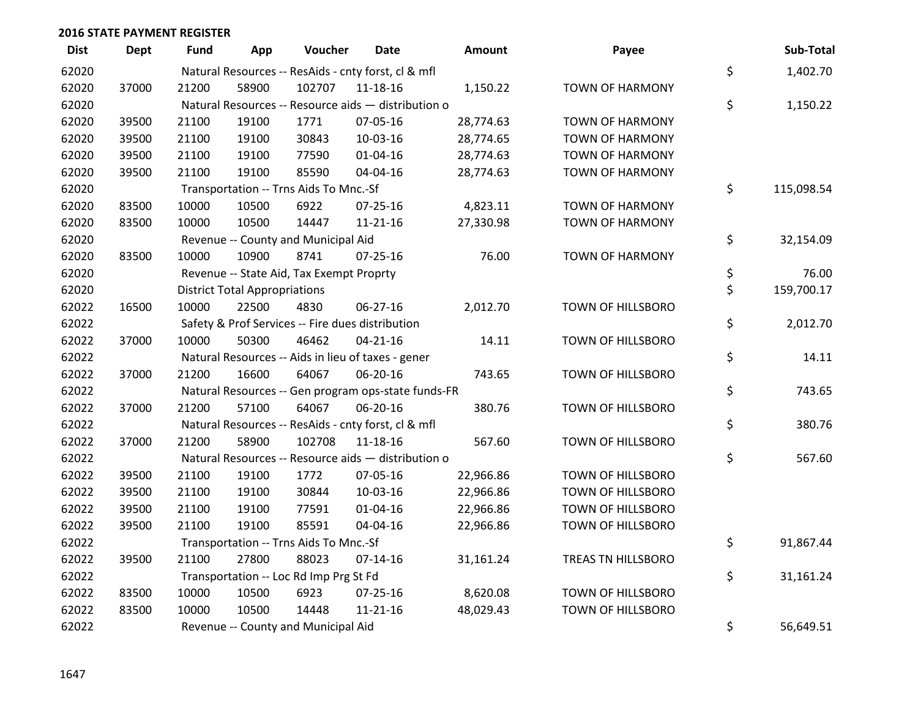| <b>Dist</b> | <b>Dept</b> | <b>Fund</b> | App                                  | Voucher                                  | <b>Date</b>                                         | <b>Amount</b> | Payee                    | Sub-Total        |
|-------------|-------------|-------------|--------------------------------------|------------------------------------------|-----------------------------------------------------|---------------|--------------------------|------------------|
| 62020       |             |             |                                      |                                          | Natural Resources -- ResAids - cnty forst, cl & mfl |               |                          | \$<br>1,402.70   |
| 62020       | 37000       | 21200       | 58900                                | 102707                                   | 11-18-16                                            | 1,150.22      | TOWN OF HARMONY          |                  |
| 62020       |             |             |                                      |                                          | Natural Resources -- Resource aids - distribution o |               |                          | \$<br>1,150.22   |
| 62020       | 39500       | 21100       | 19100                                | 1771                                     | 07-05-16                                            | 28,774.63     | <b>TOWN OF HARMONY</b>   |                  |
| 62020       | 39500       | 21100       | 19100                                | 30843                                    | 10-03-16                                            | 28,774.65     | <b>TOWN OF HARMONY</b>   |                  |
| 62020       | 39500       | 21100       | 19100                                | 77590                                    | $01 - 04 - 16$                                      | 28,774.63     | <b>TOWN OF HARMONY</b>   |                  |
| 62020       | 39500       | 21100       | 19100                                | 85590                                    | 04-04-16                                            | 28,774.63     | <b>TOWN OF HARMONY</b>   |                  |
| 62020       |             |             |                                      | Transportation -- Trns Aids To Mnc.-Sf   |                                                     |               |                          | \$<br>115,098.54 |
| 62020       | 83500       | 10000       | 10500                                | 6922                                     | $07 - 25 - 16$                                      | 4,823.11      | <b>TOWN OF HARMONY</b>   |                  |
| 62020       | 83500       | 10000       | 10500                                | 14447                                    | $11 - 21 - 16$                                      | 27,330.98     | <b>TOWN OF HARMONY</b>   |                  |
| 62020       |             |             |                                      | Revenue -- County and Municipal Aid      |                                                     |               |                          | \$<br>32,154.09  |
| 62020       | 83500       | 10000       | 10900                                | 8741                                     | $07 - 25 - 16$                                      | 76.00         | <b>TOWN OF HARMONY</b>   |                  |
| 62020       |             |             |                                      | Revenue -- State Aid, Tax Exempt Proprty |                                                     |               |                          | \$<br>76.00      |
| 62020       |             |             | <b>District Total Appropriations</b> |                                          |                                                     |               |                          | \$<br>159,700.17 |
| 62022       | 16500       | 10000       | 22500                                | 4830                                     | 06-27-16                                            | 2,012.70      | <b>TOWN OF HILLSBORO</b> |                  |
| 62022       |             |             |                                      |                                          | Safety & Prof Services -- Fire dues distribution    |               |                          | \$<br>2,012.70   |
| 62022       | 37000       | 10000       | 50300                                | 46462                                    | $04 - 21 - 16$                                      | 14.11         | TOWN OF HILLSBORO        |                  |
| 62022       |             |             |                                      |                                          | Natural Resources -- Aids in lieu of taxes - gener  |               |                          | \$<br>14.11      |
| 62022       | 37000       | 21200       | 16600                                | 64067                                    | 06-20-16                                            | 743.65        | TOWN OF HILLSBORO        |                  |
| 62022       |             |             |                                      |                                          | Natural Resources -- Gen program ops-state funds-FR |               |                          | \$<br>743.65     |
| 62022       | 37000       | 21200       | 57100                                | 64067                                    | 06-20-16                                            | 380.76        | TOWN OF HILLSBORO        |                  |
| 62022       |             |             |                                      |                                          | Natural Resources -- ResAids - cnty forst, cl & mfl |               |                          | \$<br>380.76     |
| 62022       | 37000       | 21200       | 58900                                | 102708                                   | 11-18-16                                            | 567.60        | TOWN OF HILLSBORO        |                  |
| 62022       |             |             |                                      |                                          | Natural Resources -- Resource aids - distribution o |               |                          | \$<br>567.60     |
| 62022       | 39500       | 21100       | 19100                                | 1772                                     | 07-05-16                                            | 22,966.86     | <b>TOWN OF HILLSBORO</b> |                  |
| 62022       | 39500       | 21100       | 19100                                | 30844                                    | 10-03-16                                            | 22,966.86     | <b>TOWN OF HILLSBORO</b> |                  |
| 62022       | 39500       | 21100       | 19100                                | 77591                                    | $01 - 04 - 16$                                      | 22,966.86     | TOWN OF HILLSBORO        |                  |
| 62022       | 39500       | 21100       | 19100                                | 85591                                    | 04-04-16                                            | 22,966.86     | TOWN OF HILLSBORO        |                  |
| 62022       |             |             |                                      | Transportation -- Trns Aids To Mnc.-Sf   |                                                     |               |                          | \$<br>91,867.44  |
| 62022       | 39500       | 21100       | 27800                                | 88023                                    | $07 - 14 - 16$                                      | 31,161.24     | TREAS TN HILLSBORO       |                  |
| 62022       |             |             |                                      | Transportation -- Loc Rd Imp Prg St Fd   |                                                     |               |                          | \$<br>31,161.24  |
| 62022       | 83500       | 10000       | 10500                                | 6923                                     | 07-25-16                                            | 8,620.08      | TOWN OF HILLSBORO        |                  |
| 62022       | 83500       | 10000       | 10500                                | 14448                                    | $11 - 21 - 16$                                      | 48,029.43     | TOWN OF HILLSBORO        |                  |
| 62022       |             |             |                                      | Revenue -- County and Municipal Aid      |                                                     |               |                          | \$<br>56,649.51  |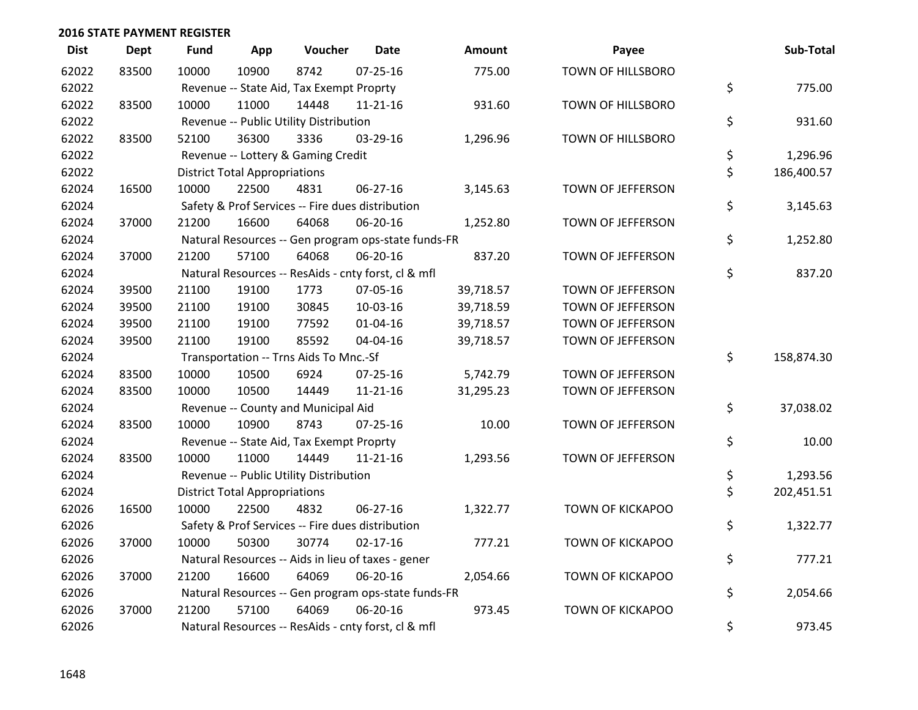| <b>Dist</b> | <b>Dept</b> | <b>Fund</b> | App                                  | Voucher                                             | Date           | <b>Amount</b> | Payee                    | Sub-Total        |
|-------------|-------------|-------------|--------------------------------------|-----------------------------------------------------|----------------|---------------|--------------------------|------------------|
| 62022       | 83500       | 10000       | 10900                                | 8742                                                | $07 - 25 - 16$ | 775.00        | <b>TOWN OF HILLSBORO</b> |                  |
| 62022       |             |             |                                      | Revenue -- State Aid, Tax Exempt Proprty            |                |               |                          | \$<br>775.00     |
| 62022       | 83500       | 10000       | 11000                                | 14448                                               | $11 - 21 - 16$ | 931.60        | TOWN OF HILLSBORO        |                  |
| 62022       |             |             |                                      | Revenue -- Public Utility Distribution              |                |               |                          | \$<br>931.60     |
| 62022       | 83500       | 52100       | 36300                                | 3336                                                | 03-29-16       | 1,296.96      | TOWN OF HILLSBORO        |                  |
| 62022       |             |             |                                      | Revenue -- Lottery & Gaming Credit                  |                |               |                          | \$<br>1,296.96   |
| 62022       |             |             | <b>District Total Appropriations</b> |                                                     |                |               |                          | \$<br>186,400.57 |
| 62024       | 16500       | 10000       | 22500                                | 4831                                                | 06-27-16       | 3,145.63      | TOWN OF JEFFERSON        |                  |
| 62024       |             |             |                                      | Safety & Prof Services -- Fire dues distribution    |                |               |                          | \$<br>3,145.63   |
| 62024       | 37000       | 21200       | 16600                                | 64068                                               | 06-20-16       | 1,252.80      | TOWN OF JEFFERSON        |                  |
| 62024       |             |             |                                      | Natural Resources -- Gen program ops-state funds-FR |                |               |                          | \$<br>1,252.80   |
| 62024       | 37000       | 21200       | 57100                                | 64068                                               | 06-20-16       | 837.20        | TOWN OF JEFFERSON        |                  |
| 62024       |             |             |                                      | Natural Resources -- ResAids - cnty forst, cl & mfl |                |               |                          | \$<br>837.20     |
| 62024       | 39500       | 21100       | 19100                                | 1773                                                | 07-05-16       | 39,718.57     | TOWN OF JEFFERSON        |                  |
| 62024       | 39500       | 21100       | 19100                                | 30845                                               | 10-03-16       | 39,718.59     | TOWN OF JEFFERSON        |                  |
| 62024       | 39500       | 21100       | 19100                                | 77592                                               | $01 - 04 - 16$ | 39,718.57     | TOWN OF JEFFERSON        |                  |
| 62024       | 39500       | 21100       | 19100                                | 85592                                               | 04-04-16       | 39,718.57     | TOWN OF JEFFERSON        |                  |
| 62024       |             |             |                                      | Transportation -- Trns Aids To Mnc.-Sf              |                |               |                          | \$<br>158,874.30 |
| 62024       | 83500       | 10000       | 10500                                | 6924                                                | $07 - 25 - 16$ | 5,742.79      | TOWN OF JEFFERSON        |                  |
| 62024       | 83500       | 10000       | 10500                                | 14449                                               | $11 - 21 - 16$ | 31,295.23     | TOWN OF JEFFERSON        |                  |
| 62024       |             |             |                                      | Revenue -- County and Municipal Aid                 |                |               |                          | \$<br>37,038.02  |
| 62024       | 83500       | 10000       | 10900                                | 8743                                                | $07 - 25 - 16$ | 10.00         | TOWN OF JEFFERSON        |                  |
| 62024       |             |             |                                      | Revenue -- State Aid, Tax Exempt Proprty            |                |               |                          | \$<br>10.00      |
| 62024       | 83500       | 10000       | 11000                                | 14449                                               | $11 - 21 - 16$ | 1,293.56      | TOWN OF JEFFERSON        |                  |
| 62024       |             |             |                                      | Revenue -- Public Utility Distribution              |                |               |                          | \$<br>1,293.56   |
| 62024       |             |             | <b>District Total Appropriations</b> |                                                     |                |               |                          | \$<br>202,451.51 |
| 62026       | 16500       | 10000       | 22500                                | 4832                                                | 06-27-16       | 1,322.77      | TOWN OF KICKAPOO         |                  |
| 62026       |             |             |                                      | Safety & Prof Services -- Fire dues distribution    |                |               |                          | \$<br>1,322.77   |
| 62026       | 37000       | 10000       | 50300                                | 30774                                               | $02 - 17 - 16$ | 777.21        | <b>TOWN OF KICKAPOO</b>  |                  |
| 62026       |             |             |                                      | Natural Resources -- Aids in lieu of taxes - gener  |                |               |                          | \$<br>777.21     |
| 62026       | 37000       | 21200       | 16600                                | 64069                                               | 06-20-16       | 2,054.66      | TOWN OF KICKAPOO         |                  |
| 62026       |             |             |                                      | Natural Resources -- Gen program ops-state funds-FR |                |               |                          | \$<br>2,054.66   |
| 62026       | 37000       | 21200       | 57100                                | 64069                                               | 06-20-16       | 973.45        | <b>TOWN OF KICKAPOO</b>  |                  |
| 62026       |             |             |                                      | Natural Resources -- ResAids - cnty forst, cl & mfl |                |               |                          | \$<br>973.45     |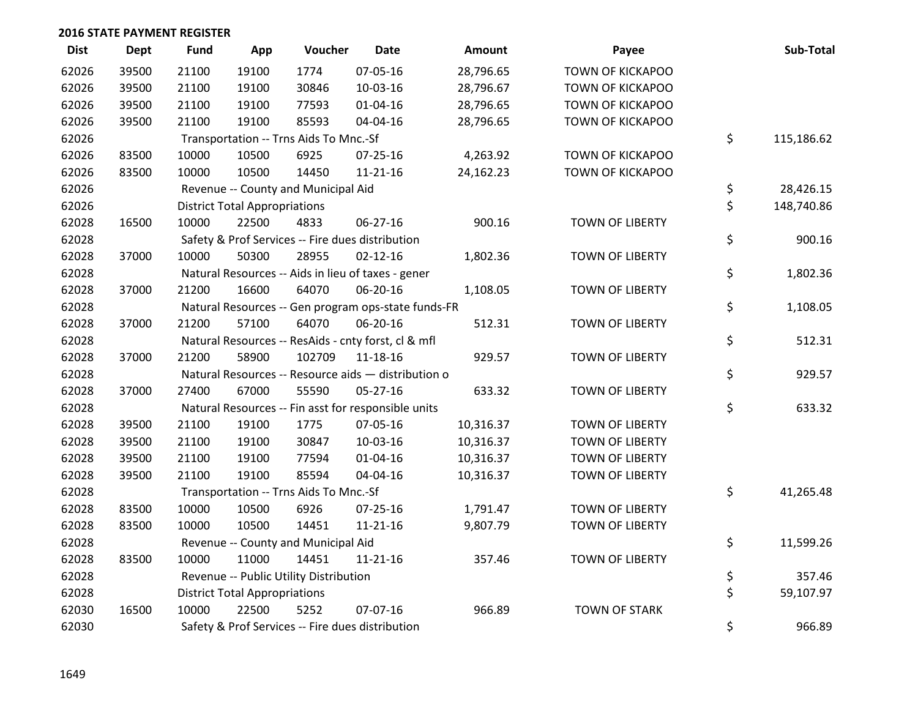| <b>Dist</b> | <b>Dept</b> | <b>Fund</b> | App                                  | Voucher                                | <b>Date</b>                                         | Amount    | Payee                   | Sub-Total        |
|-------------|-------------|-------------|--------------------------------------|----------------------------------------|-----------------------------------------------------|-----------|-------------------------|------------------|
| 62026       | 39500       | 21100       | 19100                                | 1774                                   | 07-05-16                                            | 28,796.65 | <b>TOWN OF KICKAPOO</b> |                  |
| 62026       | 39500       | 21100       | 19100                                | 30846                                  | 10-03-16                                            | 28,796.67 | TOWN OF KICKAPOO        |                  |
| 62026       | 39500       | 21100       | 19100                                | 77593                                  | $01 - 04 - 16$                                      | 28,796.65 | TOWN OF KICKAPOO        |                  |
| 62026       | 39500       | 21100       | 19100                                | 85593                                  | 04-04-16                                            | 28,796.65 | TOWN OF KICKAPOO        |                  |
| 62026       |             |             |                                      | Transportation -- Trns Aids To Mnc.-Sf |                                                     |           |                         | \$<br>115,186.62 |
| 62026       | 83500       | 10000       | 10500                                | 6925                                   | $07 - 25 - 16$                                      | 4,263.92  | TOWN OF KICKAPOO        |                  |
| 62026       | 83500       | 10000       | 10500                                | 14450                                  | $11 - 21 - 16$                                      | 24,162.23 | <b>TOWN OF KICKAPOO</b> |                  |
| 62026       |             |             |                                      | Revenue -- County and Municipal Aid    |                                                     |           |                         | \$<br>28,426.15  |
| 62026       |             |             | <b>District Total Appropriations</b> |                                        |                                                     |           |                         | \$<br>148,740.86 |
| 62028       | 16500       | 10000       | 22500                                | 4833                                   | 06-27-16                                            | 900.16    | TOWN OF LIBERTY         |                  |
| 62028       |             |             |                                      |                                        | Safety & Prof Services -- Fire dues distribution    |           |                         | \$<br>900.16     |
| 62028       | 37000       | 10000       | 50300                                | 28955                                  | $02 - 12 - 16$                                      | 1,802.36  | TOWN OF LIBERTY         |                  |
| 62028       |             |             |                                      |                                        | Natural Resources -- Aids in lieu of taxes - gener  |           |                         | \$<br>1,802.36   |
| 62028       | 37000       | 21200       | 16600                                | 64070                                  | 06-20-16                                            | 1,108.05  | <b>TOWN OF LIBERTY</b>  |                  |
| 62028       |             |             |                                      |                                        | Natural Resources -- Gen program ops-state funds-FR |           |                         | \$<br>1,108.05   |
| 62028       | 37000       | 21200       | 57100                                | 64070                                  | 06-20-16                                            | 512.31    | <b>TOWN OF LIBERTY</b>  |                  |
| 62028       |             |             |                                      |                                        | Natural Resources -- ResAids - cnty forst, cl & mfl |           |                         | \$<br>512.31     |
| 62028       | 37000       | 21200       | 58900                                | 102709                                 | 11-18-16                                            | 929.57    | <b>TOWN OF LIBERTY</b>  |                  |
| 62028       |             |             |                                      |                                        | Natural Resources -- Resource aids - distribution o |           |                         | \$<br>929.57     |
| 62028       | 37000       | 27400       | 67000                                | 55590                                  | 05-27-16                                            | 633.32    | <b>TOWN OF LIBERTY</b>  |                  |
| 62028       |             |             |                                      |                                        | Natural Resources -- Fin asst for responsible units |           |                         | \$<br>633.32     |
| 62028       | 39500       | 21100       | 19100                                | 1775                                   | 07-05-16                                            | 10,316.37 | <b>TOWN OF LIBERTY</b>  |                  |
| 62028       | 39500       | 21100       | 19100                                | 30847                                  | 10-03-16                                            | 10,316.37 | <b>TOWN OF LIBERTY</b>  |                  |
| 62028       | 39500       | 21100       | 19100                                | 77594                                  | 01-04-16                                            | 10,316.37 | <b>TOWN OF LIBERTY</b>  |                  |
| 62028       | 39500       | 21100       | 19100                                | 85594                                  | 04-04-16                                            | 10,316.37 | <b>TOWN OF LIBERTY</b>  |                  |
| 62028       |             |             |                                      | Transportation -- Trns Aids To Mnc.-Sf |                                                     |           |                         | \$<br>41,265.48  |
| 62028       | 83500       | 10000       | 10500                                | 6926                                   | 07-25-16                                            | 1,791.47  | <b>TOWN OF LIBERTY</b>  |                  |
| 62028       | 83500       | 10000       | 10500                                | 14451                                  | $11 - 21 - 16$                                      | 9,807.79  | <b>TOWN OF LIBERTY</b>  |                  |
| 62028       |             |             |                                      | Revenue -- County and Municipal Aid    |                                                     |           |                         | \$<br>11,599.26  |
| 62028       | 83500       | 10000       | 11000                                | 14451                                  | 11-21-16                                            | 357.46    | <b>TOWN OF LIBERTY</b>  |                  |
| 62028       |             |             |                                      | Revenue -- Public Utility Distribution |                                                     |           |                         | \$<br>357.46     |
| 62028       |             |             | <b>District Total Appropriations</b> |                                        |                                                     |           |                         | \$<br>59,107.97  |
| 62030       | 16500       | 10000       | 22500                                | 5252                                   | 07-07-16                                            | 966.89    | <b>TOWN OF STARK</b>    |                  |
| 62030       |             |             |                                      |                                        | Safety & Prof Services -- Fire dues distribution    |           |                         | \$<br>966.89     |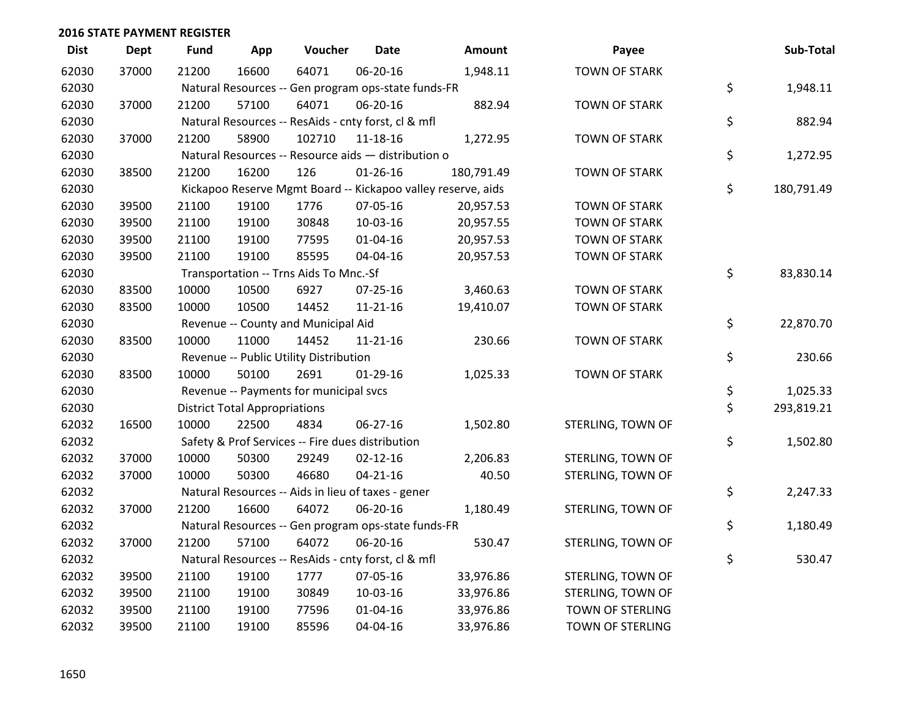| <b>Dist</b> | <b>Dept</b> | <b>Fund</b> | App                                  | Voucher                                             | <b>Date</b>    | Amount                                                       | Payee                   | Sub-Total        |
|-------------|-------------|-------------|--------------------------------------|-----------------------------------------------------|----------------|--------------------------------------------------------------|-------------------------|------------------|
| 62030       | 37000       | 21200       | 16600                                | 64071                                               | 06-20-16       | 1,948.11                                                     | <b>TOWN OF STARK</b>    |                  |
| 62030       |             |             |                                      | Natural Resources -- Gen program ops-state funds-FR |                |                                                              |                         | \$<br>1,948.11   |
| 62030       | 37000       | 21200       | 57100                                | 64071                                               | 06-20-16       | 882.94                                                       | <b>TOWN OF STARK</b>    |                  |
| 62030       |             |             |                                      | Natural Resources -- ResAids - cnty forst, cl & mfl |                |                                                              |                         | \$<br>882.94     |
| 62030       | 37000       | 21200       | 58900                                | 102710                                              | $11 - 18 - 16$ | 1,272.95                                                     | <b>TOWN OF STARK</b>    |                  |
| 62030       |             |             |                                      | Natural Resources -- Resource aids - distribution o |                |                                                              |                         | \$<br>1,272.95   |
| 62030       | 38500       | 21200       | 16200                                | 126                                                 | $01 - 26 - 16$ | 180,791.49                                                   | <b>TOWN OF STARK</b>    |                  |
| 62030       |             |             |                                      |                                                     |                | Kickapoo Reserve Mgmt Board -- Kickapoo valley reserve, aids |                         | \$<br>180,791.49 |
| 62030       | 39500       | 21100       | 19100                                | 1776                                                | 07-05-16       | 20,957.53                                                    | <b>TOWN OF STARK</b>    |                  |
| 62030       | 39500       | 21100       | 19100                                | 30848                                               | 10-03-16       | 20,957.55                                                    | <b>TOWN OF STARK</b>    |                  |
| 62030       | 39500       | 21100       | 19100                                | 77595                                               | 01-04-16       | 20,957.53                                                    | <b>TOWN OF STARK</b>    |                  |
| 62030       | 39500       | 21100       | 19100                                | 85595                                               | 04-04-16       | 20,957.53                                                    | <b>TOWN OF STARK</b>    |                  |
| 62030       |             |             |                                      | Transportation -- Trns Aids To Mnc.-Sf              |                |                                                              |                         | \$<br>83,830.14  |
| 62030       | 83500       | 10000       | 10500                                | 6927                                                | $07 - 25 - 16$ | 3,460.63                                                     | <b>TOWN OF STARK</b>    |                  |
| 62030       | 83500       | 10000       | 10500                                | 14452                                               | $11 - 21 - 16$ | 19,410.07                                                    | <b>TOWN OF STARK</b>    |                  |
| 62030       |             |             |                                      | Revenue -- County and Municipal Aid                 |                |                                                              |                         | \$<br>22,870.70  |
| 62030       | 83500       | 10000       | 11000                                | 14452                                               | $11 - 21 - 16$ | 230.66                                                       | <b>TOWN OF STARK</b>    |                  |
| 62030       |             |             |                                      | Revenue -- Public Utility Distribution              |                |                                                              |                         | \$<br>230.66     |
| 62030       | 83500       | 10000       | 50100                                | 2691                                                | $01-29-16$     | 1,025.33                                                     | <b>TOWN OF STARK</b>    |                  |
| 62030       |             |             |                                      | Revenue -- Payments for municipal svcs              |                |                                                              |                         | \$<br>1,025.33   |
| 62030       |             |             | <b>District Total Appropriations</b> |                                                     |                |                                                              |                         | \$<br>293,819.21 |
| 62032       | 16500       | 10000       | 22500                                | 4834                                                | 06-27-16       | 1,502.80                                                     | STERLING, TOWN OF       |                  |
| 62032       |             |             |                                      | Safety & Prof Services -- Fire dues distribution    |                |                                                              |                         | \$<br>1,502.80   |
| 62032       | 37000       | 10000       | 50300                                | 29249                                               | $02 - 12 - 16$ | 2,206.83                                                     | STERLING, TOWN OF       |                  |
| 62032       | 37000       | 10000       | 50300                                | 46680                                               | $04 - 21 - 16$ | 40.50                                                        | STERLING, TOWN OF       |                  |
| 62032       |             |             |                                      | Natural Resources -- Aids in lieu of taxes - gener  |                |                                                              |                         | \$<br>2,247.33   |
| 62032       | 37000       | 21200       | 16600                                | 64072                                               | 06-20-16       | 1,180.49                                                     | STERLING, TOWN OF       |                  |
| 62032       |             |             |                                      | Natural Resources -- Gen program ops-state funds-FR |                |                                                              |                         | \$<br>1,180.49   |
| 62032       | 37000       | 21200       | 57100                                | 64072                                               | 06-20-16       | 530.47                                                       | STERLING, TOWN OF       |                  |
| 62032       |             |             |                                      | Natural Resources -- ResAids - cnty forst, cl & mfl |                |                                                              |                         | \$<br>530.47     |
| 62032       | 39500       | 21100       | 19100                                | 1777                                                | 07-05-16       | 33,976.86                                                    | STERLING, TOWN OF       |                  |
| 62032       | 39500       | 21100       | 19100                                | 30849                                               | 10-03-16       | 33,976.86                                                    | STERLING, TOWN OF       |                  |
| 62032       | 39500       | 21100       | 19100                                | 77596                                               | $01 - 04 - 16$ | 33,976.86                                                    | <b>TOWN OF STERLING</b> |                  |
| 62032       | 39500       | 21100       | 19100                                | 85596                                               | 04-04-16       | 33,976.86                                                    | TOWN OF STERLING        |                  |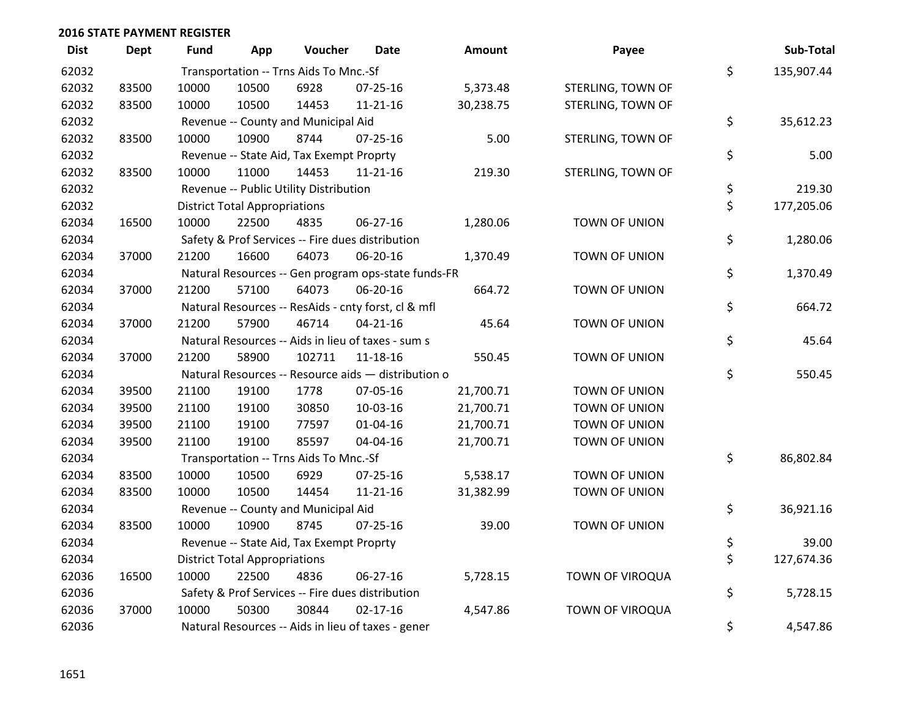| <b>Dist</b> | <b>Dept</b> | <b>Fund</b> | App                                  | Voucher                                  | <b>Date</b>                                         | <b>Amount</b> | Payee             | Sub-Total        |
|-------------|-------------|-------------|--------------------------------------|------------------------------------------|-----------------------------------------------------|---------------|-------------------|------------------|
| 62032       |             |             |                                      | Transportation -- Trns Aids To Mnc.-Sf   |                                                     |               |                   | \$<br>135,907.44 |
| 62032       | 83500       | 10000       | 10500                                | 6928                                     | $07 - 25 - 16$                                      | 5,373.48      | STERLING, TOWN OF |                  |
| 62032       | 83500       | 10000       | 10500                                | 14453                                    | $11 - 21 - 16$                                      | 30,238.75     | STERLING, TOWN OF |                  |
| 62032       |             |             |                                      | Revenue -- County and Municipal Aid      |                                                     |               |                   | \$<br>35,612.23  |
| 62032       | 83500       | 10000       | 10900                                | 8744                                     | 07-25-16                                            | 5.00          | STERLING, TOWN OF |                  |
| 62032       |             |             |                                      | Revenue -- State Aid, Tax Exempt Proprty |                                                     |               |                   | \$<br>5.00       |
| 62032       | 83500       | 10000       | 11000                                | 14453                                    | $11 - 21 - 16$                                      | 219.30        | STERLING, TOWN OF |                  |
| 62032       |             |             |                                      | Revenue -- Public Utility Distribution   |                                                     |               |                   | \$<br>219.30     |
| 62032       |             |             | <b>District Total Appropriations</b> |                                          |                                                     |               |                   | \$<br>177,205.06 |
| 62034       | 16500       | 10000       | 22500                                | 4835                                     | 06-27-16                                            | 1,280.06      | TOWN OF UNION     |                  |
| 62034       |             |             |                                      |                                          | Safety & Prof Services -- Fire dues distribution    |               |                   | \$<br>1,280.06   |
| 62034       | 37000       | 21200       | 16600                                | 64073                                    | 06-20-16                                            | 1,370.49      | TOWN OF UNION     |                  |
| 62034       |             |             |                                      |                                          | Natural Resources -- Gen program ops-state funds-FR |               |                   | \$<br>1,370.49   |
| 62034       | 37000       | 21200       | 57100                                | 64073                                    | 06-20-16                                            | 664.72        | TOWN OF UNION     |                  |
| 62034       |             |             |                                      |                                          | Natural Resources -- ResAids - cnty forst, cl & mfl |               |                   | \$<br>664.72     |
| 62034       | 37000       | 21200       | 57900                                | 46714                                    | $04 - 21 - 16$                                      | 45.64         | TOWN OF UNION     |                  |
| 62034       |             |             |                                      |                                          | Natural Resources -- Aids in lieu of taxes - sum s  |               |                   | \$<br>45.64      |
| 62034       | 37000       | 21200       | 58900                                | 102711                                   | 11-18-16                                            | 550.45        | TOWN OF UNION     |                  |
| 62034       |             |             |                                      |                                          | Natural Resources -- Resource aids - distribution o |               |                   | \$<br>550.45     |
| 62034       | 39500       | 21100       | 19100                                | 1778                                     | 07-05-16                                            | 21,700.71     | TOWN OF UNION     |                  |
| 62034       | 39500       | 21100       | 19100                                | 30850                                    | 10-03-16                                            | 21,700.71     | TOWN OF UNION     |                  |
| 62034       | 39500       | 21100       | 19100                                | 77597                                    | $01 - 04 - 16$                                      | 21,700.71     | TOWN OF UNION     |                  |
| 62034       | 39500       | 21100       | 19100                                | 85597                                    | 04-04-16                                            | 21,700.71     | TOWN OF UNION     |                  |
| 62034       |             |             |                                      | Transportation -- Trns Aids To Mnc.-Sf   |                                                     |               |                   | \$<br>86,802.84  |
| 62034       | 83500       | 10000       | 10500                                | 6929                                     | $07 - 25 - 16$                                      | 5,538.17      | TOWN OF UNION     |                  |
| 62034       | 83500       | 10000       | 10500                                | 14454                                    | $11 - 21 - 16$                                      | 31,382.99     | TOWN OF UNION     |                  |
| 62034       |             |             |                                      | Revenue -- County and Municipal Aid      |                                                     |               |                   | \$<br>36,921.16  |
| 62034       | 83500       | 10000       | 10900                                | 8745                                     | $07 - 25 - 16$                                      | 39.00         | TOWN OF UNION     |                  |
| 62034       |             |             |                                      | Revenue -- State Aid, Tax Exempt Proprty |                                                     |               |                   | \$<br>39.00      |
| 62034       |             |             | <b>District Total Appropriations</b> |                                          |                                                     |               |                   | \$<br>127,674.36 |
| 62036       | 16500       | 10000       | 22500                                | 4836                                     | $06 - 27 - 16$                                      | 5,728.15      | TOWN OF VIROQUA   |                  |
| 62036       |             |             |                                      |                                          | Safety & Prof Services -- Fire dues distribution    |               |                   | \$<br>5,728.15   |
| 62036       | 37000       | 10000       | 50300                                | 30844                                    | $02 - 17 - 16$                                      | 4,547.86      | TOWN OF VIROQUA   |                  |
| 62036       |             |             |                                      |                                          | Natural Resources -- Aids in lieu of taxes - gener  |               |                   | \$<br>4,547.86   |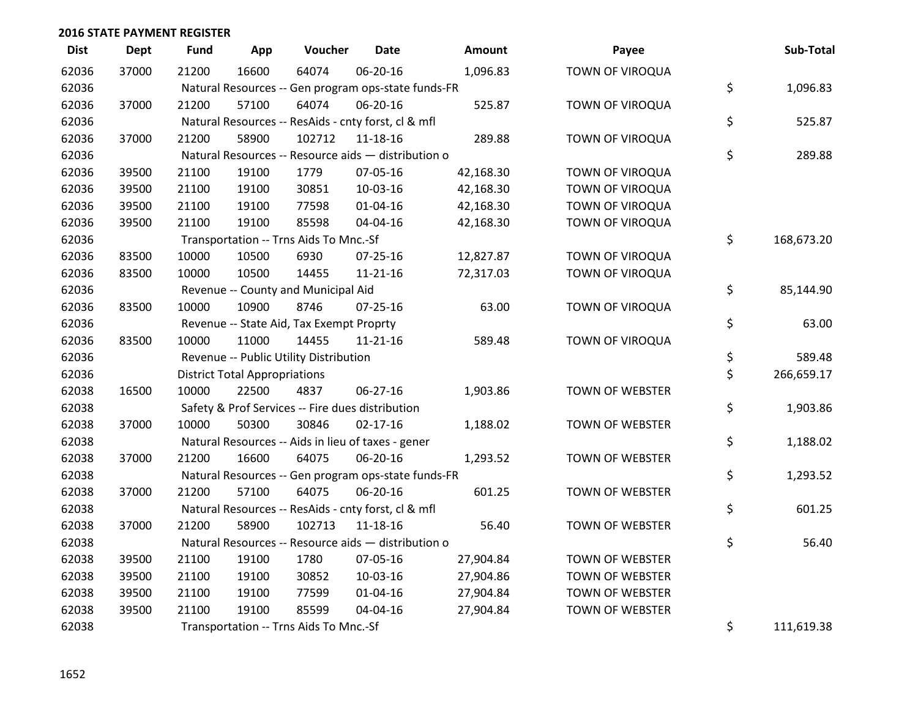| <b>Dist</b> | <b>Dept</b> | <b>Fund</b> | App                                  | Voucher                                             | <b>Date</b>    | Amount    | Payee                  | Sub-Total        |
|-------------|-------------|-------------|--------------------------------------|-----------------------------------------------------|----------------|-----------|------------------------|------------------|
| 62036       | 37000       | 21200       | 16600                                | 64074                                               | 06-20-16       | 1,096.83  | TOWN OF VIROQUA        |                  |
| 62036       |             |             |                                      | Natural Resources -- Gen program ops-state funds-FR |                |           |                        | \$<br>1,096.83   |
| 62036       | 37000       | 21200       | 57100                                | 64074                                               | 06-20-16       | 525.87    | TOWN OF VIROQUA        |                  |
| 62036       |             |             |                                      | Natural Resources -- ResAids - cnty forst, cl & mfl |                |           |                        | \$<br>525.87     |
| 62036       | 37000       | 21200       | 58900                                | 102712                                              | $11 - 18 - 16$ | 289.88    | TOWN OF VIROQUA        |                  |
| 62036       |             |             |                                      | Natural Resources -- Resource aids - distribution o |                |           |                        | \$<br>289.88     |
| 62036       | 39500       | 21100       | 19100                                | 1779                                                | 07-05-16       | 42,168.30 | TOWN OF VIROQUA        |                  |
| 62036       | 39500       | 21100       | 19100                                | 30851                                               | 10-03-16       | 42,168.30 | TOWN OF VIROQUA        |                  |
| 62036       | 39500       | 21100       | 19100                                | 77598                                               | $01 - 04 - 16$ | 42,168.30 | TOWN OF VIROQUA        |                  |
| 62036       | 39500       | 21100       | 19100                                | 85598                                               | 04-04-16       | 42,168.30 | TOWN OF VIROQUA        |                  |
| 62036       |             |             |                                      | Transportation -- Trns Aids To Mnc.-Sf              |                |           |                        | \$<br>168,673.20 |
| 62036       | 83500       | 10000       | 10500                                | 6930                                                | 07-25-16       | 12,827.87 | TOWN OF VIROQUA        |                  |
| 62036       | 83500       | 10000       | 10500                                | 14455                                               | $11 - 21 - 16$ | 72,317.03 | TOWN OF VIROQUA        |                  |
| 62036       |             |             |                                      | Revenue -- County and Municipal Aid                 |                |           |                        | \$<br>85,144.90  |
| 62036       | 83500       | 10000       | 10900                                | 8746                                                | $07 - 25 - 16$ | 63.00     | TOWN OF VIROQUA        |                  |
| 62036       |             |             |                                      | Revenue -- State Aid, Tax Exempt Proprty            |                |           |                        | \$<br>63.00      |
| 62036       | 83500       | 10000       | 11000                                | 14455                                               | 11-21-16       | 589.48    | TOWN OF VIROQUA        |                  |
| 62036       |             |             |                                      | Revenue -- Public Utility Distribution              |                |           |                        | \$<br>589.48     |
| 62036       |             |             | <b>District Total Appropriations</b> |                                                     |                |           |                        | \$<br>266,659.17 |
| 62038       | 16500       | 10000       | 22500                                | 4837                                                | 06-27-16       | 1,903.86  | TOWN OF WEBSTER        |                  |
| 62038       |             |             |                                      | Safety & Prof Services -- Fire dues distribution    |                |           |                        | \$<br>1,903.86   |
| 62038       | 37000       | 10000       | 50300                                | 30846                                               | $02 - 17 - 16$ | 1,188.02  | TOWN OF WEBSTER        |                  |
| 62038       |             |             |                                      | Natural Resources -- Aids in lieu of taxes - gener  |                |           |                        | \$<br>1,188.02   |
| 62038       | 37000       | 21200       | 16600                                | 64075                                               | 06-20-16       | 1,293.52  | <b>TOWN OF WEBSTER</b> |                  |
| 62038       |             |             |                                      | Natural Resources -- Gen program ops-state funds-FR |                |           |                        | \$<br>1,293.52   |
| 62038       | 37000       | 21200       | 57100                                | 64075                                               | 06-20-16       | 601.25    | TOWN OF WEBSTER        |                  |
| 62038       |             |             |                                      | Natural Resources -- ResAids - cnty forst, cl & mfl |                |           |                        | \$<br>601.25     |
| 62038       | 37000       | 21200       | 58900                                | 102713                                              | 11-18-16       | 56.40     | TOWN OF WEBSTER        |                  |
| 62038       |             |             |                                      | Natural Resources -- Resource aids - distribution o |                |           |                        | \$<br>56.40      |
| 62038       | 39500       | 21100       | 19100                                | 1780                                                | 07-05-16       | 27,904.84 | <b>TOWN OF WEBSTER</b> |                  |
| 62038       | 39500       | 21100       | 19100                                | 30852                                               | 10-03-16       | 27,904.86 | TOWN OF WEBSTER        |                  |
| 62038       | 39500       | 21100       | 19100                                | 77599                                               | 01-04-16       | 27,904.84 | TOWN OF WEBSTER        |                  |
| 62038       | 39500       | 21100       | 19100                                | 85599                                               | 04-04-16       | 27,904.84 | TOWN OF WEBSTER        |                  |
| 62038       |             |             |                                      | Transportation -- Trns Aids To Mnc.-Sf              |                |           |                        | \$<br>111,619.38 |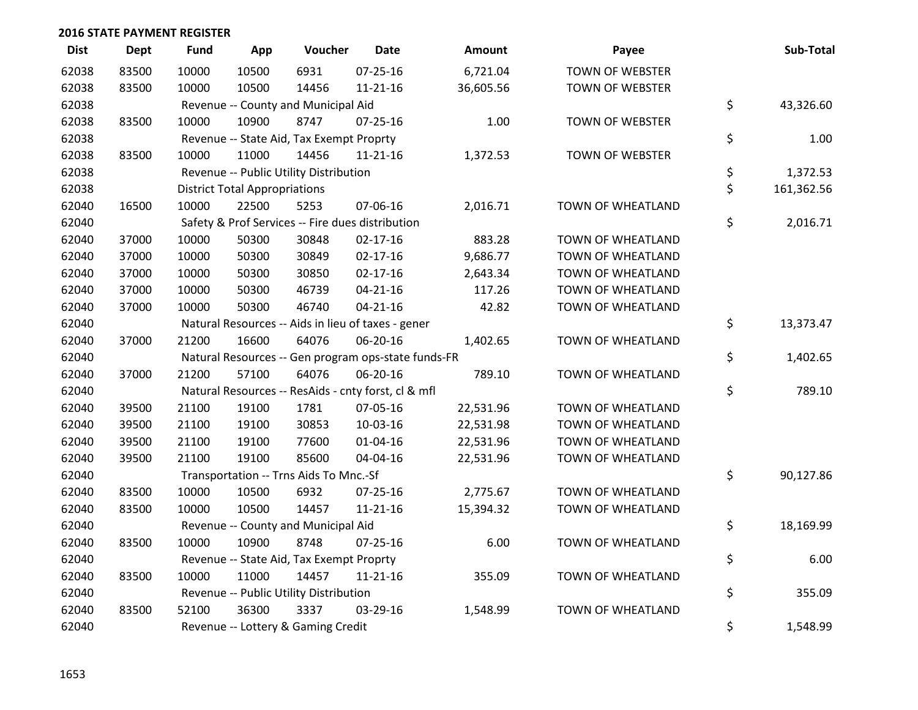| <b>Dist</b> | <b>Dept</b> | <b>Fund</b> | App                                  | Voucher                                  | <b>Date</b>                                         | <b>Amount</b> | Payee                  | Sub-Total        |
|-------------|-------------|-------------|--------------------------------------|------------------------------------------|-----------------------------------------------------|---------------|------------------------|------------------|
| 62038       | 83500       | 10000       | 10500                                | 6931                                     | 07-25-16                                            | 6,721.04      | TOWN OF WEBSTER        |                  |
| 62038       | 83500       | 10000       | 10500                                | 14456                                    | $11 - 21 - 16$                                      | 36,605.56     | <b>TOWN OF WEBSTER</b> |                  |
| 62038       |             |             |                                      | Revenue -- County and Municipal Aid      |                                                     |               |                        | \$<br>43,326.60  |
| 62038       | 83500       | 10000       | 10900                                | 8747                                     | $07 - 25 - 16$                                      | 1.00          | <b>TOWN OF WEBSTER</b> |                  |
| 62038       |             |             |                                      | Revenue -- State Aid, Tax Exempt Proprty |                                                     |               |                        | \$<br>1.00       |
| 62038       | 83500       | 10000       | 11000                                | 14456                                    | $11 - 21 - 16$                                      | 1,372.53      | TOWN OF WEBSTER        |                  |
| 62038       |             |             |                                      | Revenue -- Public Utility Distribution   |                                                     |               |                        | \$<br>1,372.53   |
| 62038       |             |             | <b>District Total Appropriations</b> |                                          |                                                     |               |                        | \$<br>161,362.56 |
| 62040       | 16500       | 10000       | 22500                                | 5253                                     | 07-06-16                                            | 2,016.71      | TOWN OF WHEATLAND      |                  |
| 62040       |             |             |                                      |                                          | Safety & Prof Services -- Fire dues distribution    |               |                        | \$<br>2,016.71   |
| 62040       | 37000       | 10000       | 50300                                | 30848                                    | $02 - 17 - 16$                                      | 883.28        | TOWN OF WHEATLAND      |                  |
| 62040       | 37000       | 10000       | 50300                                | 30849                                    | $02 - 17 - 16$                                      | 9,686.77      | TOWN OF WHEATLAND      |                  |
| 62040       | 37000       | 10000       | 50300                                | 30850                                    | $02 - 17 - 16$                                      | 2,643.34      | TOWN OF WHEATLAND      |                  |
| 62040       | 37000       | 10000       | 50300                                | 46739                                    | $04 - 21 - 16$                                      | 117.26        | TOWN OF WHEATLAND      |                  |
| 62040       | 37000       | 10000       | 50300                                | 46740                                    | $04 - 21 - 16$                                      | 42.82         | TOWN OF WHEATLAND      |                  |
| 62040       |             |             |                                      |                                          | Natural Resources -- Aids in lieu of taxes - gener  |               |                        | \$<br>13,373.47  |
| 62040       | 37000       | 21200       | 16600                                | 64076                                    | 06-20-16                                            | 1,402.65      | TOWN OF WHEATLAND      |                  |
| 62040       |             |             |                                      |                                          | Natural Resources -- Gen program ops-state funds-FR |               |                        | \$<br>1,402.65   |
| 62040       | 37000       | 21200       | 57100                                | 64076                                    | 06-20-16                                            | 789.10        | TOWN OF WHEATLAND      |                  |
| 62040       |             |             |                                      |                                          | Natural Resources -- ResAids - cnty forst, cl & mfl |               |                        | \$<br>789.10     |
| 62040       | 39500       | 21100       | 19100                                | 1781                                     | 07-05-16                                            | 22,531.96     | TOWN OF WHEATLAND      |                  |
| 62040       | 39500       | 21100       | 19100                                | 30853                                    | 10-03-16                                            | 22,531.98     | TOWN OF WHEATLAND      |                  |
| 62040       | 39500       | 21100       | 19100                                | 77600                                    | $01 - 04 - 16$                                      | 22,531.96     | TOWN OF WHEATLAND      |                  |
| 62040       | 39500       | 21100       | 19100                                | 85600                                    | 04-04-16                                            | 22,531.96     | TOWN OF WHEATLAND      |                  |
| 62040       |             |             |                                      | Transportation -- Trns Aids To Mnc.-Sf   |                                                     |               |                        | \$<br>90,127.86  |
| 62040       | 83500       | 10000       | 10500                                | 6932                                     | 07-25-16                                            | 2,775.67      | TOWN OF WHEATLAND      |                  |
| 62040       | 83500       | 10000       | 10500                                | 14457                                    | $11 - 21 - 16$                                      | 15,394.32     | TOWN OF WHEATLAND      |                  |
| 62040       |             |             |                                      | Revenue -- County and Municipal Aid      |                                                     |               |                        | \$<br>18,169.99  |
| 62040       | 83500       | 10000       | 10900                                | 8748                                     | 07-25-16                                            | 6.00          | TOWN OF WHEATLAND      |                  |
| 62040       |             |             |                                      | Revenue -- State Aid, Tax Exempt Proprty |                                                     |               |                        | \$<br>6.00       |
| 62040       | 83500       | 10000       | 11000                                | 14457                                    | $11 - 21 - 16$                                      | 355.09        | TOWN OF WHEATLAND      |                  |
| 62040       |             |             |                                      | Revenue -- Public Utility Distribution   |                                                     |               |                        | \$<br>355.09     |
| 62040       | 83500       | 52100       | 36300                                | 3337                                     | 03-29-16                                            | 1,548.99      | TOWN OF WHEATLAND      |                  |
| 62040       |             |             |                                      | Revenue -- Lottery & Gaming Credit       |                                                     |               |                        | \$<br>1,548.99   |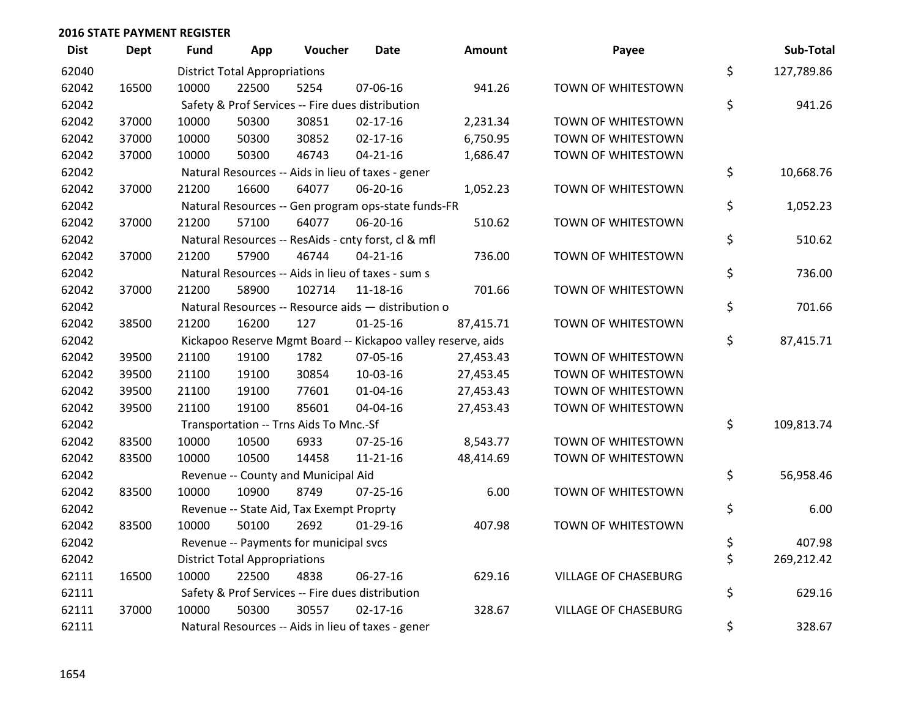| <b>Dist</b> | <b>Dept</b> | <b>Fund</b> | App                                  | Voucher                                  | <b>Date</b>                                         | <b>Amount</b>                                                | Payee                       | Sub-Total        |
|-------------|-------------|-------------|--------------------------------------|------------------------------------------|-----------------------------------------------------|--------------------------------------------------------------|-----------------------------|------------------|
| 62040       |             |             | <b>District Total Appropriations</b> |                                          |                                                     |                                                              |                             | \$<br>127,789.86 |
| 62042       | 16500       | 10000       | 22500                                | 5254                                     | 07-06-16                                            | 941.26                                                       | TOWN OF WHITESTOWN          |                  |
| 62042       |             |             |                                      |                                          | Safety & Prof Services -- Fire dues distribution    |                                                              |                             | \$<br>941.26     |
| 62042       | 37000       | 10000       | 50300                                | 30851                                    | $02 - 17 - 16$                                      | 2,231.34                                                     | TOWN OF WHITESTOWN          |                  |
| 62042       | 37000       | 10000       | 50300                                | 30852                                    | $02 - 17 - 16$                                      | 6,750.95                                                     | TOWN OF WHITESTOWN          |                  |
| 62042       | 37000       | 10000       | 50300                                | 46743                                    | $04 - 21 - 16$                                      | 1,686.47                                                     | TOWN OF WHITESTOWN          |                  |
| 62042       |             |             |                                      |                                          | Natural Resources -- Aids in lieu of taxes - gener  |                                                              |                             | \$<br>10,668.76  |
| 62042       | 37000       | 21200       | 16600                                | 64077                                    | 06-20-16                                            | 1,052.23                                                     | TOWN OF WHITESTOWN          |                  |
| 62042       |             |             |                                      |                                          | Natural Resources -- Gen program ops-state funds-FR |                                                              |                             | \$<br>1,052.23   |
| 62042       | 37000       | 21200       | 57100                                | 64077                                    | 06-20-16                                            | 510.62                                                       | TOWN OF WHITESTOWN          |                  |
| 62042       |             |             |                                      |                                          | Natural Resources -- ResAids - cnty forst, cl & mfl |                                                              |                             | \$<br>510.62     |
| 62042       | 37000       | 21200       | 57900                                | 46744                                    | $04 - 21 - 16$                                      | 736.00                                                       | TOWN OF WHITESTOWN          |                  |
| 62042       |             |             |                                      |                                          | Natural Resources -- Aids in lieu of taxes - sum s  |                                                              |                             | \$<br>736.00     |
| 62042       | 37000       | 21200       | 58900                                | 102714                                   | 11-18-16                                            | 701.66                                                       | TOWN OF WHITESTOWN          |                  |
| 62042       |             |             |                                      |                                          | Natural Resources -- Resource aids - distribution o |                                                              |                             | \$<br>701.66     |
| 62042       | 38500       | 21200       | 16200                                | 127                                      | $01 - 25 - 16$                                      | 87,415.71                                                    | TOWN OF WHITESTOWN          |                  |
| 62042       |             |             |                                      |                                          |                                                     | Kickapoo Reserve Mgmt Board -- Kickapoo valley reserve, aids |                             | \$<br>87,415.71  |
| 62042       | 39500       | 21100       | 19100                                | 1782                                     | 07-05-16                                            | 27,453.43                                                    | TOWN OF WHITESTOWN          |                  |
| 62042       | 39500       | 21100       | 19100                                | 30854                                    | 10-03-16                                            | 27,453.45                                                    | TOWN OF WHITESTOWN          |                  |
| 62042       | 39500       | 21100       | 19100                                | 77601                                    | $01 - 04 - 16$                                      | 27,453.43                                                    | TOWN OF WHITESTOWN          |                  |
| 62042       | 39500       | 21100       | 19100                                | 85601                                    | 04-04-16                                            | 27,453.43                                                    | TOWN OF WHITESTOWN          |                  |
| 62042       |             |             |                                      | Transportation -- Trns Aids To Mnc.-Sf   |                                                     |                                                              |                             | \$<br>109,813.74 |
| 62042       | 83500       | 10000       | 10500                                | 6933                                     | $07 - 25 - 16$                                      | 8,543.77                                                     | TOWN OF WHITESTOWN          |                  |
| 62042       | 83500       | 10000       | 10500                                | 14458                                    | $11 - 21 - 16$                                      | 48,414.69                                                    | TOWN OF WHITESTOWN          |                  |
| 62042       |             |             |                                      | Revenue -- County and Municipal Aid      |                                                     |                                                              |                             | \$<br>56,958.46  |
| 62042       | 83500       | 10000       | 10900                                | 8749                                     | $07 - 25 - 16$                                      | 6.00                                                         | TOWN OF WHITESTOWN          |                  |
| 62042       |             |             |                                      | Revenue -- State Aid, Tax Exempt Proprty |                                                     |                                                              |                             | \$<br>6.00       |
| 62042       | 83500       | 10000       | 50100                                | 2692                                     | $01-29-16$                                          | 407.98                                                       | TOWN OF WHITESTOWN          |                  |
| 62042       |             |             |                                      | Revenue -- Payments for municipal svcs   |                                                     |                                                              |                             | \$<br>407.98     |
| 62042       |             |             | <b>District Total Appropriations</b> |                                          |                                                     |                                                              |                             | \$<br>269,212.42 |
| 62111       | 16500       | 10000       | 22500                                | 4838                                     | $06 - 27 - 16$                                      | 629.16                                                       | <b>VILLAGE OF CHASEBURG</b> |                  |
| 62111       |             |             |                                      |                                          | Safety & Prof Services -- Fire dues distribution    |                                                              |                             | \$<br>629.16     |
| 62111       | 37000       | 10000       | 50300                                | 30557                                    | $02 - 17 - 16$                                      | 328.67                                                       | <b>VILLAGE OF CHASEBURG</b> |                  |
| 62111       |             |             |                                      |                                          | Natural Resources -- Aids in lieu of taxes - gener  |                                                              |                             | \$<br>328.67     |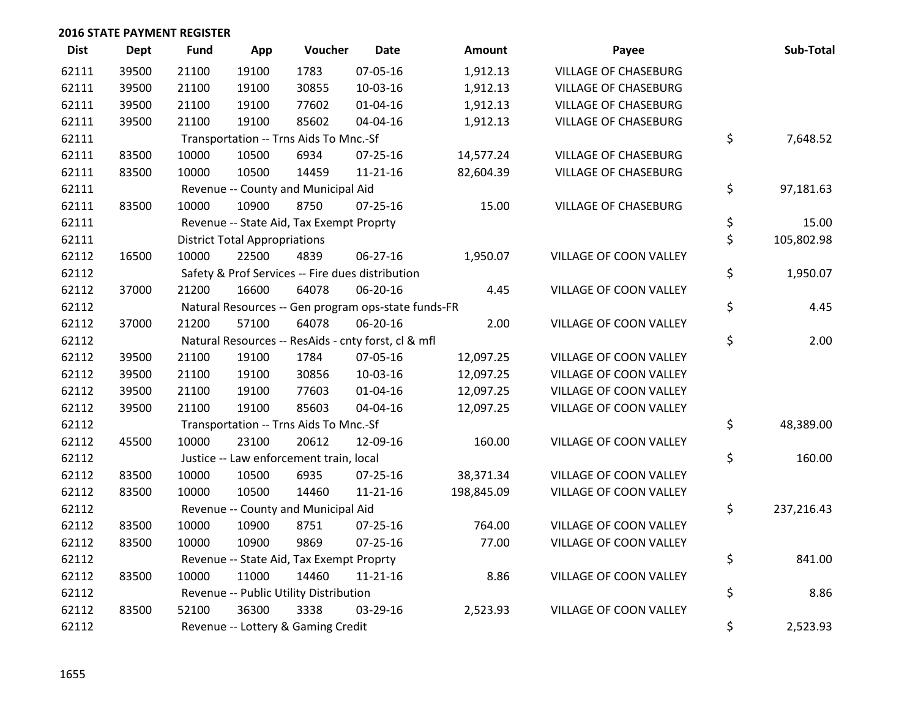| <b>Dist</b> | <b>Dept</b> | <b>Fund</b> | App                                  | Voucher                                          | <b>Date</b>                                         | <b>Amount</b> | Payee                       | Sub-Total        |
|-------------|-------------|-------------|--------------------------------------|--------------------------------------------------|-----------------------------------------------------|---------------|-----------------------------|------------------|
| 62111       | 39500       | 21100       | 19100                                | 1783                                             | 07-05-16                                            | 1,912.13      | <b>VILLAGE OF CHASEBURG</b> |                  |
| 62111       | 39500       | 21100       | 19100                                | 30855                                            | 10-03-16                                            | 1,912.13      | <b>VILLAGE OF CHASEBURG</b> |                  |
| 62111       | 39500       | 21100       | 19100                                | 77602                                            | $01 - 04 - 16$                                      | 1,912.13      | <b>VILLAGE OF CHASEBURG</b> |                  |
| 62111       | 39500       | 21100       | 19100                                | 85602                                            | 04-04-16                                            | 1,912.13      | <b>VILLAGE OF CHASEBURG</b> |                  |
| 62111       |             |             |                                      | Transportation -- Trns Aids To Mnc.-Sf           |                                                     |               |                             | \$<br>7,648.52   |
| 62111       | 83500       | 10000       | 10500                                | 6934                                             | $07 - 25 - 16$                                      | 14,577.24     | <b>VILLAGE OF CHASEBURG</b> |                  |
| 62111       | 83500       | 10000       | 10500                                | 14459                                            | $11 - 21 - 16$                                      | 82,604.39     | <b>VILLAGE OF CHASEBURG</b> |                  |
| 62111       |             |             |                                      | Revenue -- County and Municipal Aid              |                                                     |               |                             | \$<br>97,181.63  |
| 62111       | 83500       | 10000       | 10900                                | 8750                                             | 07-25-16                                            | 15.00         | <b>VILLAGE OF CHASEBURG</b> |                  |
| 62111       |             |             |                                      | Revenue -- State Aid, Tax Exempt Proprty         |                                                     |               |                             | \$<br>15.00      |
| 62111       |             |             | <b>District Total Appropriations</b> |                                                  |                                                     |               |                             | \$<br>105,802.98 |
| 62112       | 16500       | 10000       | 22500                                | 4839                                             | 06-27-16                                            | 1,950.07      | VILLAGE OF COON VALLEY      |                  |
| 62112       |             |             |                                      | Safety & Prof Services -- Fire dues distribution |                                                     |               |                             | \$<br>1,950.07   |
| 62112       | 37000       | 21200       | 16600                                | 64078                                            | 06-20-16                                            | 4.45          | VILLAGE OF COON VALLEY      |                  |
| 62112       |             |             |                                      |                                                  | Natural Resources -- Gen program ops-state funds-FR |               |                             | \$<br>4.45       |
| 62112       | 37000       | 21200       | 57100                                | 64078                                            | 06-20-16                                            | 2.00          | VILLAGE OF COON VALLEY      |                  |
| 62112       |             |             |                                      |                                                  | Natural Resources -- ResAids - cnty forst, cl & mfl |               |                             | \$<br>2.00       |
| 62112       | 39500       | 21100       | 19100                                | 1784                                             | 07-05-16                                            | 12,097.25     | VILLAGE OF COON VALLEY      |                  |
| 62112       | 39500       | 21100       | 19100                                | 30856                                            | 10-03-16                                            | 12,097.25     | VILLAGE OF COON VALLEY      |                  |
| 62112       | 39500       | 21100       | 19100                                | 77603                                            | 01-04-16                                            | 12,097.25     | VILLAGE OF COON VALLEY      |                  |
| 62112       | 39500       | 21100       | 19100                                | 85603                                            | 04-04-16                                            | 12,097.25     | VILLAGE OF COON VALLEY      |                  |
| 62112       |             |             |                                      | Transportation -- Trns Aids To Mnc.-Sf           |                                                     |               |                             | \$<br>48,389.00  |
| 62112       | 45500       | 10000       | 23100                                | 20612                                            | 12-09-16                                            | 160.00        | VILLAGE OF COON VALLEY      |                  |
| 62112       |             |             |                                      | Justice -- Law enforcement train, local          |                                                     |               |                             | \$<br>160.00     |
| 62112       | 83500       | 10000       | 10500                                | 6935                                             | $07 - 25 - 16$                                      | 38,371.34     | VILLAGE OF COON VALLEY      |                  |
| 62112       | 83500       | 10000       | 10500                                | 14460                                            | $11 - 21 - 16$                                      | 198,845.09    | VILLAGE OF COON VALLEY      |                  |
| 62112       |             |             |                                      | Revenue -- County and Municipal Aid              |                                                     |               |                             | \$<br>237,216.43 |
| 62112       | 83500       | 10000       | 10900                                | 8751                                             | 07-25-16                                            | 764.00        | VILLAGE OF COON VALLEY      |                  |
| 62112       | 83500       | 10000       | 10900                                | 9869                                             | $07 - 25 - 16$                                      | 77.00         | VILLAGE OF COON VALLEY      |                  |
| 62112       |             |             |                                      | Revenue -- State Aid, Tax Exempt Proprty         |                                                     |               |                             | \$<br>841.00     |
| 62112       | 83500       | 10000       | 11000                                | 14460                                            | $11 - 21 - 16$                                      | 8.86          | VILLAGE OF COON VALLEY      |                  |
| 62112       |             |             |                                      | Revenue -- Public Utility Distribution           |                                                     |               |                             | \$<br>8.86       |
| 62112       | 83500       | 52100       | 36300                                | 3338                                             | 03-29-16                                            | 2,523.93      | VILLAGE OF COON VALLEY      |                  |
| 62112       |             |             |                                      | Revenue -- Lottery & Gaming Credit               |                                                     |               |                             | \$<br>2,523.93   |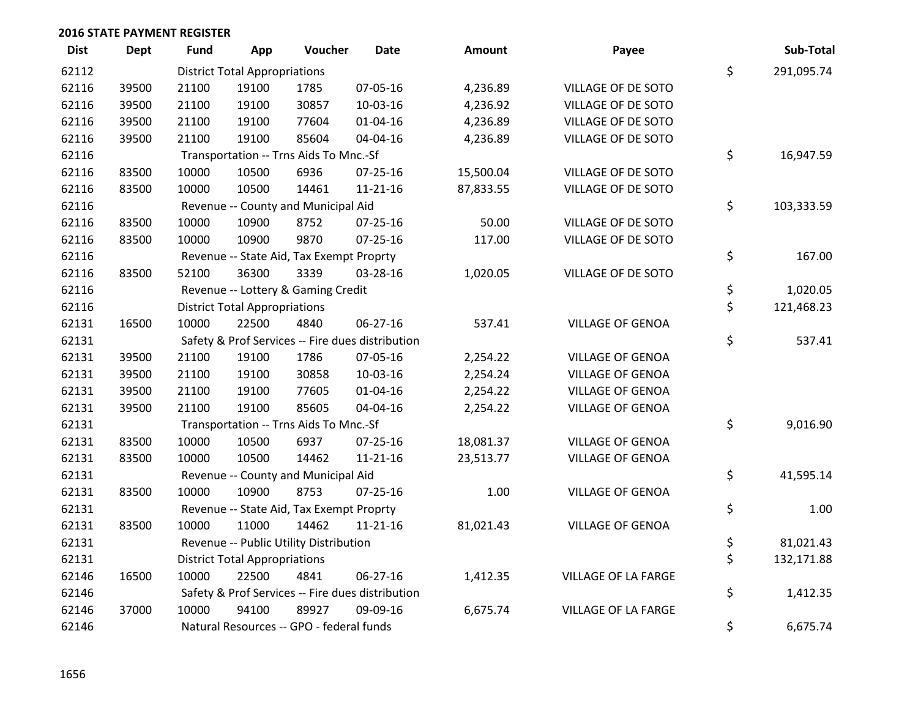| <b>Dist</b> | <b>Dept</b> | Fund  | App                                  | Voucher                                  | Date                                             | <b>Amount</b> | Payee                   | Sub-Total        |
|-------------|-------------|-------|--------------------------------------|------------------------------------------|--------------------------------------------------|---------------|-------------------------|------------------|
| 62112       |             |       | <b>District Total Appropriations</b> |                                          |                                                  |               |                         | \$<br>291,095.74 |
| 62116       | 39500       | 21100 | 19100                                | 1785                                     | 07-05-16                                         | 4,236.89      | VILLAGE OF DE SOTO      |                  |
| 62116       | 39500       | 21100 | 19100                                | 30857                                    | 10-03-16                                         | 4,236.92      | VILLAGE OF DE SOTO      |                  |
| 62116       | 39500       | 21100 | 19100                                | 77604                                    | $01 - 04 - 16$                                   | 4,236.89      | VILLAGE OF DE SOTO      |                  |
| 62116       | 39500       | 21100 | 19100                                | 85604                                    | 04-04-16                                         | 4,236.89      | VILLAGE OF DE SOTO      |                  |
| 62116       |             |       |                                      | Transportation -- Trns Aids To Mnc.-Sf   |                                                  |               |                         | \$<br>16,947.59  |
| 62116       | 83500       | 10000 | 10500                                | 6936                                     | 07-25-16                                         | 15,500.04     | VILLAGE OF DE SOTO      |                  |
| 62116       | 83500       | 10000 | 10500                                | 14461                                    | 11-21-16                                         | 87,833.55     | VILLAGE OF DE SOTO      |                  |
| 62116       |             |       |                                      | Revenue -- County and Municipal Aid      |                                                  |               |                         | \$<br>103,333.59 |
| 62116       | 83500       | 10000 | 10900                                | 8752                                     | $07 - 25 - 16$                                   | 50.00         | VILLAGE OF DE SOTO      |                  |
| 62116       | 83500       | 10000 | 10900                                | 9870                                     | $07 - 25 - 16$                                   | 117.00        | VILLAGE OF DE SOTO      |                  |
| 62116       |             |       |                                      | Revenue -- State Aid, Tax Exempt Proprty |                                                  |               |                         | \$<br>167.00     |
| 62116       | 83500       | 52100 | 36300                                | 3339                                     | 03-28-16                                         | 1,020.05      | VILLAGE OF DE SOTO      |                  |
| 62116       |             |       |                                      | Revenue -- Lottery & Gaming Credit       |                                                  |               |                         | \$<br>1,020.05   |
| 62116       |             |       | <b>District Total Appropriations</b> |                                          |                                                  |               |                         | \$<br>121,468.23 |
| 62131       | 16500       | 10000 | 22500                                | 4840                                     | 06-27-16                                         | 537.41        | <b>VILLAGE OF GENOA</b> |                  |
| 62131       |             |       |                                      |                                          | Safety & Prof Services -- Fire dues distribution |               |                         | \$<br>537.41     |
| 62131       | 39500       | 21100 | 19100                                | 1786                                     | 07-05-16                                         | 2,254.22      | <b>VILLAGE OF GENOA</b> |                  |
| 62131       | 39500       | 21100 | 19100                                | 30858                                    | 10-03-16                                         | 2,254.24      | <b>VILLAGE OF GENOA</b> |                  |
| 62131       | 39500       | 21100 | 19100                                | 77605                                    | $01 - 04 - 16$                                   | 2,254.22      | <b>VILLAGE OF GENOA</b> |                  |
| 62131       | 39500       | 21100 | 19100                                | 85605                                    | 04-04-16                                         | 2,254.22      | <b>VILLAGE OF GENOA</b> |                  |
| 62131       |             |       |                                      | Transportation -- Trns Aids To Mnc.-Sf   |                                                  |               |                         | \$<br>9,016.90   |
| 62131       | 83500       | 10000 | 10500                                | 6937                                     | 07-25-16                                         | 18,081.37     | <b>VILLAGE OF GENOA</b> |                  |
| 62131       | 83500       | 10000 | 10500                                | 14462                                    | $11 - 21 - 16$                                   | 23,513.77     | <b>VILLAGE OF GENOA</b> |                  |
| 62131       |             |       |                                      | Revenue -- County and Municipal Aid      |                                                  |               |                         | \$<br>41,595.14  |
| 62131       | 83500       | 10000 | 10900                                | 8753                                     | $07 - 25 - 16$                                   | 1.00          | <b>VILLAGE OF GENOA</b> |                  |
| 62131       |             |       |                                      | Revenue -- State Aid, Tax Exempt Proprty |                                                  |               |                         | \$<br>1.00       |
| 62131       | 83500       | 10000 | 11000                                | 14462                                    | $11 - 21 - 16$                                   | 81,021.43     | <b>VILLAGE OF GENOA</b> |                  |
| 62131       |             |       |                                      | Revenue -- Public Utility Distribution   |                                                  |               |                         | \$<br>81,021.43  |
| 62131       |             |       | <b>District Total Appropriations</b> |                                          |                                                  |               |                         | \$<br>132,171.88 |
| 62146       | 16500       | 10000 | 22500                                | 4841                                     | 06-27-16                                         | 1,412.35      | VILLAGE OF LA FARGE     |                  |
| 62146       |             |       |                                      |                                          | Safety & Prof Services -- Fire dues distribution |               |                         | \$<br>1,412.35   |
| 62146       | 37000       | 10000 | 94100                                | 89927                                    | 09-09-16                                         | 6,675.74      | VILLAGE OF LA FARGE     |                  |
| 62146       |             |       |                                      | Natural Resources -- GPO - federal funds |                                                  |               |                         | \$<br>6,675.74   |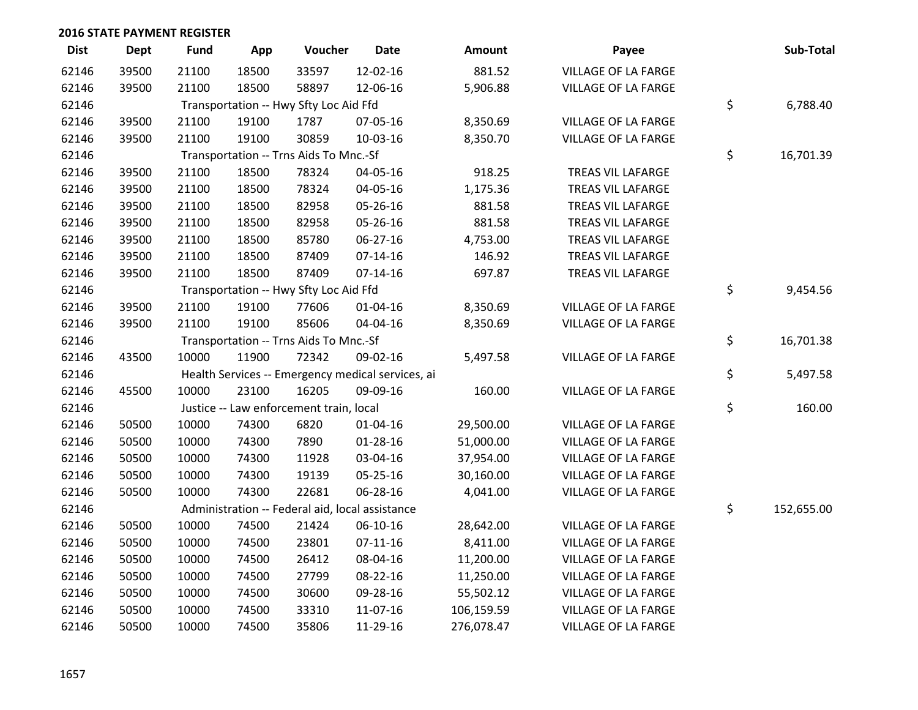| <b>Dist</b> | <b>Dept</b> | <b>Fund</b> | App   | Voucher                                           | <b>Date</b>    | Amount     | Payee                      | Sub-Total        |
|-------------|-------------|-------------|-------|---------------------------------------------------|----------------|------------|----------------------------|------------------|
| 62146       | 39500       | 21100       | 18500 | 33597                                             | 12-02-16       | 881.52     | <b>VILLAGE OF LA FARGE</b> |                  |
| 62146       | 39500       | 21100       | 18500 | 58897                                             | 12-06-16       | 5,906.88   | VILLAGE OF LA FARGE        |                  |
| 62146       |             |             |       | Transportation -- Hwy Sfty Loc Aid Ffd            |                |            |                            | \$<br>6,788.40   |
| 62146       | 39500       | 21100       | 19100 | 1787                                              | 07-05-16       | 8,350.69   | VILLAGE OF LA FARGE        |                  |
| 62146       | 39500       | 21100       | 19100 | 30859                                             | 10-03-16       | 8,350.70   | <b>VILLAGE OF LA FARGE</b> |                  |
| 62146       |             |             |       | Transportation -- Trns Aids To Mnc.-Sf            |                |            |                            | \$<br>16,701.39  |
| 62146       | 39500       | 21100       | 18500 | 78324                                             | 04-05-16       | 918.25     | TREAS VIL LAFARGE          |                  |
| 62146       | 39500       | 21100       | 18500 | 78324                                             | 04-05-16       | 1,175.36   | TREAS VIL LAFARGE          |                  |
| 62146       | 39500       | 21100       | 18500 | 82958                                             | 05-26-16       | 881.58     | TREAS VIL LAFARGE          |                  |
| 62146       | 39500       | 21100       | 18500 | 82958                                             | 05-26-16       | 881.58     | TREAS VIL LAFARGE          |                  |
| 62146       | 39500       | 21100       | 18500 | 85780                                             | 06-27-16       | 4,753.00   | TREAS VIL LAFARGE          |                  |
| 62146       | 39500       | 21100       | 18500 | 87409                                             | $07-14-16$     | 146.92     | TREAS VIL LAFARGE          |                  |
| 62146       | 39500       | 21100       | 18500 | 87409                                             | $07 - 14 - 16$ | 697.87     | TREAS VIL LAFARGE          |                  |
| 62146       |             |             |       | Transportation -- Hwy Sfty Loc Aid Ffd            |                |            |                            | \$<br>9,454.56   |
| 62146       | 39500       | 21100       | 19100 | 77606                                             | $01 - 04 - 16$ | 8,350.69   | VILLAGE OF LA FARGE        |                  |
| 62146       | 39500       | 21100       | 19100 | 85606                                             | 04-04-16       | 8,350.69   | VILLAGE OF LA FARGE        |                  |
| 62146       |             |             |       | Transportation -- Trns Aids To Mnc.-Sf            |                |            |                            | \$<br>16,701.38  |
| 62146       | 43500       | 10000       | 11900 | 72342                                             | 09-02-16       | 5,497.58   | VILLAGE OF LA FARGE        |                  |
| 62146       |             |             |       | Health Services -- Emergency medical services, ai |                |            |                            | \$<br>5,497.58   |
| 62146       | 45500       | 10000       | 23100 | 16205                                             | 09-09-16       | 160.00     | <b>VILLAGE OF LA FARGE</b> |                  |
| 62146       |             |             |       | Justice -- Law enforcement train, local           |                |            |                            | \$<br>160.00     |
| 62146       | 50500       | 10000       | 74300 | 6820                                              | $01 - 04 - 16$ | 29,500.00  | VILLAGE OF LA FARGE        |                  |
| 62146       | 50500       | 10000       | 74300 | 7890                                              | 01-28-16       | 51,000.00  | VILLAGE OF LA FARGE        |                  |
| 62146       | 50500       | 10000       | 74300 | 11928                                             | 03-04-16       | 37,954.00  | VILLAGE OF LA FARGE        |                  |
| 62146       | 50500       | 10000       | 74300 | 19139                                             | 05-25-16       | 30,160.00  | VILLAGE OF LA FARGE        |                  |
| 62146       | 50500       | 10000       | 74300 | 22681                                             | 06-28-16       | 4,041.00   | VILLAGE OF LA FARGE        |                  |
| 62146       |             |             |       | Administration -- Federal aid, local assistance   |                |            |                            | \$<br>152,655.00 |
| 62146       | 50500       | 10000       | 74500 | 21424                                             | 06-10-16       | 28,642.00  | VILLAGE OF LA FARGE        |                  |
| 62146       | 50500       | 10000       | 74500 | 23801                                             | $07-11-16$     | 8,411.00   | <b>VILLAGE OF LA FARGE</b> |                  |
| 62146       | 50500       | 10000       | 74500 | 26412                                             | 08-04-16       | 11,200.00  | VILLAGE OF LA FARGE        |                  |
| 62146       | 50500       | 10000       | 74500 | 27799                                             | 08-22-16       | 11,250.00  | VILLAGE OF LA FARGE        |                  |
| 62146       | 50500       | 10000       | 74500 | 30600                                             | 09-28-16       | 55,502.12  | VILLAGE OF LA FARGE        |                  |
| 62146       | 50500       | 10000       | 74500 | 33310                                             | 11-07-16       | 106,159.59 | VILLAGE OF LA FARGE        |                  |
| 62146       | 50500       | 10000       | 74500 | 35806                                             | 11-29-16       | 276,078.47 | VILLAGE OF LA FARGE        |                  |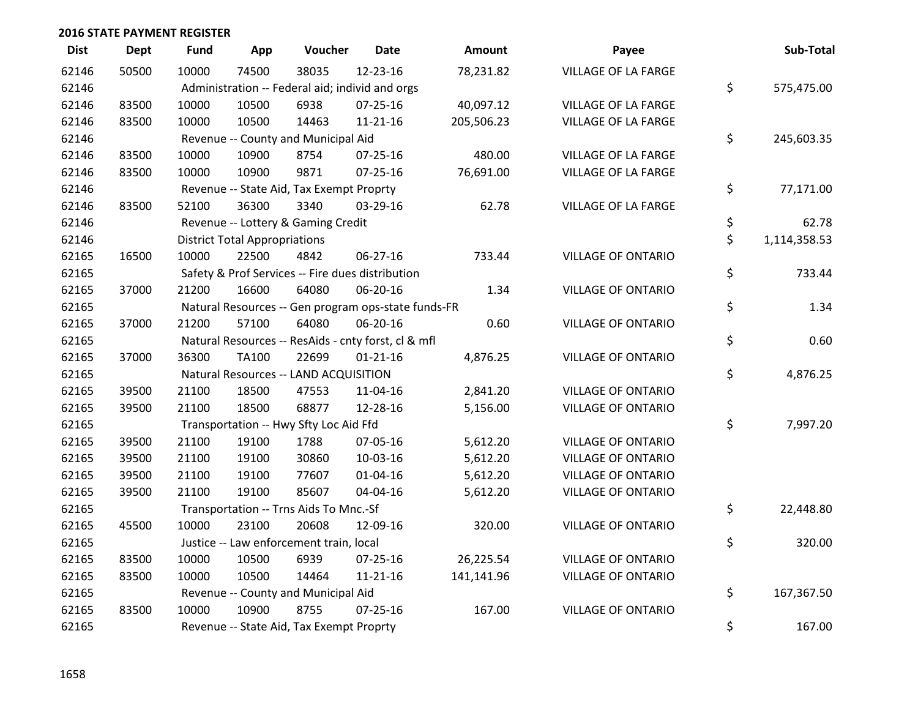| <b>Dist</b> | <b>Dept</b> | <b>Fund</b> | App                                  | Voucher                                             | <b>Date</b>    | Amount     | Payee                      | Sub-Total          |
|-------------|-------------|-------------|--------------------------------------|-----------------------------------------------------|----------------|------------|----------------------------|--------------------|
| 62146       | 50500       | 10000       | 74500                                | 38035                                               | 12-23-16       | 78,231.82  | <b>VILLAGE OF LA FARGE</b> |                    |
| 62146       |             |             |                                      | Administration -- Federal aid; individ and orgs     |                |            |                            | \$<br>575,475.00   |
| 62146       | 83500       | 10000       | 10500                                | 6938                                                | $07 - 25 - 16$ | 40,097.12  | <b>VILLAGE OF LA FARGE</b> |                    |
| 62146       | 83500       | 10000       | 10500                                | 14463                                               | $11 - 21 - 16$ | 205,506.23 | VILLAGE OF LA FARGE        |                    |
| 62146       |             |             |                                      | Revenue -- County and Municipal Aid                 |                |            |                            | \$<br>245,603.35   |
| 62146       | 83500       | 10000       | 10900                                | 8754                                                | $07 - 25 - 16$ | 480.00     | <b>VILLAGE OF LA FARGE</b> |                    |
| 62146       | 83500       | 10000       | 10900                                | 9871                                                | $07 - 25 - 16$ | 76,691.00  | VILLAGE OF LA FARGE        |                    |
| 62146       |             |             |                                      | Revenue -- State Aid, Tax Exempt Proprty            |                |            |                            | \$<br>77,171.00    |
| 62146       | 83500       | 52100       | 36300                                | 3340                                                | 03-29-16       | 62.78      | VILLAGE OF LA FARGE        |                    |
| 62146       |             |             |                                      | Revenue -- Lottery & Gaming Credit                  |                |            |                            | \$<br>62.78        |
| 62146       |             |             | <b>District Total Appropriations</b> |                                                     |                |            |                            | \$<br>1,114,358.53 |
| 62165       | 16500       | 10000       | 22500                                | 4842                                                | 06-27-16       | 733.44     | <b>VILLAGE OF ONTARIO</b>  |                    |
| 62165       |             |             |                                      | Safety & Prof Services -- Fire dues distribution    |                |            |                            | \$<br>733.44       |
| 62165       | 37000       | 21200       | 16600                                | 64080                                               | 06-20-16       | 1.34       | <b>VILLAGE OF ONTARIO</b>  |                    |
| 62165       |             |             |                                      | Natural Resources -- Gen program ops-state funds-FR |                |            |                            | \$<br>1.34         |
| 62165       | 37000       | 21200       | 57100                                | 64080                                               | 06-20-16       | 0.60       | <b>VILLAGE OF ONTARIO</b>  |                    |
| 62165       |             |             |                                      | Natural Resources -- ResAids - cnty forst, cl & mfl |                |            |                            | \$<br>0.60         |
| 62165       | 37000       | 36300       | <b>TA100</b>                         | 22699                                               | $01 - 21 - 16$ | 4,876.25   | <b>VILLAGE OF ONTARIO</b>  |                    |
| 62165       |             |             |                                      | Natural Resources -- LAND ACQUISITION               |                |            |                            | \$<br>4,876.25     |
| 62165       | 39500       | 21100       | 18500                                | 47553                                               | 11-04-16       | 2,841.20   | <b>VILLAGE OF ONTARIO</b>  |                    |
| 62165       | 39500       | 21100       | 18500                                | 68877                                               | 12-28-16       | 5,156.00   | <b>VILLAGE OF ONTARIO</b>  |                    |
| 62165       |             |             |                                      | Transportation -- Hwy Sfty Loc Aid Ffd              |                |            |                            | \$<br>7,997.20     |
| 62165       | 39500       | 21100       | 19100                                | 1788                                                | 07-05-16       | 5,612.20   | <b>VILLAGE OF ONTARIO</b>  |                    |
| 62165       | 39500       | 21100       | 19100                                | 30860                                               | 10-03-16       | 5,612.20   | <b>VILLAGE OF ONTARIO</b>  |                    |
| 62165       | 39500       | 21100       | 19100                                | 77607                                               | $01 - 04 - 16$ | 5,612.20   | <b>VILLAGE OF ONTARIO</b>  |                    |
| 62165       | 39500       | 21100       | 19100                                | 85607                                               | 04-04-16       | 5,612.20   | <b>VILLAGE OF ONTARIO</b>  |                    |
| 62165       |             |             |                                      | Transportation -- Trns Aids To Mnc.-Sf              |                |            |                            | \$<br>22,448.80    |
| 62165       | 45500       | 10000       | 23100                                | 20608                                               | 12-09-16       | 320.00     | <b>VILLAGE OF ONTARIO</b>  |                    |
| 62165       |             |             |                                      | Justice -- Law enforcement train, local             |                |            |                            | \$<br>320.00       |
| 62165       | 83500       | 10000       | 10500                                | 6939                                                | 07-25-16       | 26,225.54  | <b>VILLAGE OF ONTARIO</b>  |                    |
| 62165       | 83500       | 10000       | 10500                                | 14464                                               | 11-21-16       | 141,141.96 | <b>VILLAGE OF ONTARIO</b>  |                    |
| 62165       |             |             |                                      | Revenue -- County and Municipal Aid                 |                |            |                            | \$<br>167,367.50   |
| 62165       | 83500       | 10000       | 10900                                | 8755                                                | $07 - 25 - 16$ | 167.00     | <b>VILLAGE OF ONTARIO</b>  |                    |
| 62165       |             |             |                                      | Revenue -- State Aid, Tax Exempt Proprty            |                |            |                            | \$<br>167.00       |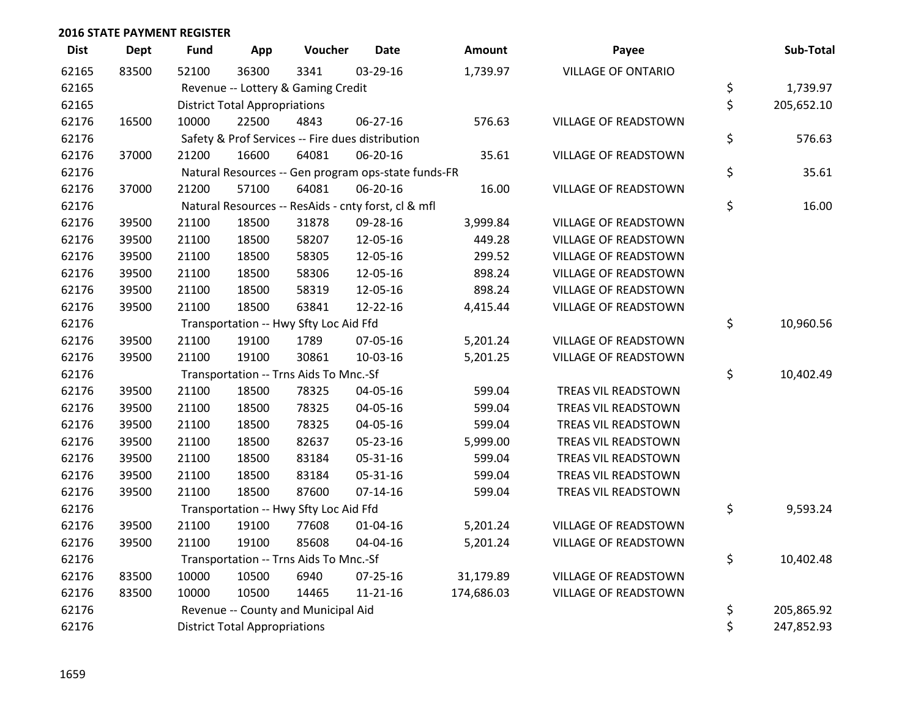| <b>Dist</b> | <b>Dept</b> | <b>Fund</b> | App                                              | Voucher                                | <b>Date</b>                                         | <b>Amount</b> | Payee                       |    | Sub-Total  |  |
|-------------|-------------|-------------|--------------------------------------------------|----------------------------------------|-----------------------------------------------------|---------------|-----------------------------|----|------------|--|
| 62165       | 83500       | 52100       | 36300                                            | 3341                                   | 03-29-16                                            | 1,739.97      | <b>VILLAGE OF ONTARIO</b>   |    |            |  |
| 62165       |             |             |                                                  | Revenue -- Lottery & Gaming Credit     |                                                     |               |                             | \$ | 1,739.97   |  |
| 62165       |             |             | <b>District Total Appropriations</b>             |                                        |                                                     |               |                             | \$ | 205,652.10 |  |
| 62176       | 16500       | 10000       | 22500                                            | 4843                                   | 06-27-16                                            | 576.63        | <b>VILLAGE OF READSTOWN</b> |    |            |  |
| 62176       |             |             | Safety & Prof Services -- Fire dues distribution |                                        |                                                     |               |                             |    |            |  |
| 62176       | 37000       | 21200       | 16600                                            | 64081                                  | 06-20-16                                            | 35.61         | <b>VILLAGE OF READSTOWN</b> |    |            |  |
| 62176       |             |             |                                                  |                                        | Natural Resources -- Gen program ops-state funds-FR |               |                             | \$ | 35.61      |  |
| 62176       | 37000       | 21200       | 57100                                            | 64081                                  | 06-20-16                                            | 16.00         | <b>VILLAGE OF READSTOWN</b> |    |            |  |
| 62176       |             |             |                                                  |                                        | Natural Resources -- ResAids - cnty forst, cl & mfl |               |                             | \$ | 16.00      |  |
| 62176       | 39500       | 21100       | 18500                                            | 31878                                  | 09-28-16                                            | 3,999.84      | <b>VILLAGE OF READSTOWN</b> |    |            |  |
| 62176       | 39500       | 21100       | 18500                                            | 58207                                  | 12-05-16                                            | 449.28        | VILLAGE OF READSTOWN        |    |            |  |
| 62176       | 39500       | 21100       | 18500                                            | 58305                                  | 12-05-16                                            | 299.52        | <b>VILLAGE OF READSTOWN</b> |    |            |  |
| 62176       | 39500       | 21100       | 18500                                            | 58306                                  | 12-05-16                                            | 898.24        | <b>VILLAGE OF READSTOWN</b> |    |            |  |
| 62176       | 39500       | 21100       | 18500                                            | 58319                                  | 12-05-16                                            | 898.24        | <b>VILLAGE OF READSTOWN</b> |    |            |  |
| 62176       | 39500       | 21100       | 18500                                            | 63841                                  | 12-22-16                                            | 4,415.44      | <b>VILLAGE OF READSTOWN</b> |    |            |  |
| 62176       |             |             |                                                  | Transportation -- Hwy Sfty Loc Aid Ffd |                                                     |               |                             | \$ | 10,960.56  |  |
| 62176       | 39500       | 21100       | 19100                                            | 1789                                   | 07-05-16                                            | 5,201.24      | VILLAGE OF READSTOWN        |    |            |  |
| 62176       | 39500       | 21100       | 19100                                            | 30861                                  | 10-03-16                                            | 5,201.25      | <b>VILLAGE OF READSTOWN</b> |    |            |  |
| 62176       |             |             |                                                  | Transportation -- Trns Aids To Mnc.-Sf |                                                     |               |                             | \$ | 10,402.49  |  |
| 62176       | 39500       | 21100       | 18500                                            | 78325                                  | 04-05-16                                            | 599.04        | TREAS VIL READSTOWN         |    |            |  |
| 62176       | 39500       | 21100       | 18500                                            | 78325                                  | 04-05-16                                            | 599.04        | TREAS VIL READSTOWN         |    |            |  |
| 62176       | 39500       | 21100       | 18500                                            | 78325                                  | 04-05-16                                            | 599.04        | TREAS VIL READSTOWN         |    |            |  |
| 62176       | 39500       | 21100       | 18500                                            | 82637                                  | 05-23-16                                            | 5,999.00      | TREAS VIL READSTOWN         |    |            |  |
| 62176       | 39500       | 21100       | 18500                                            | 83184                                  | 05-31-16                                            | 599.04        | TREAS VIL READSTOWN         |    |            |  |
| 62176       | 39500       | 21100       | 18500                                            | 83184                                  | 05-31-16                                            | 599.04        | TREAS VIL READSTOWN         |    |            |  |
| 62176       | 39500       | 21100       | 18500                                            | 87600                                  | $07 - 14 - 16$                                      | 599.04        | TREAS VIL READSTOWN         |    |            |  |
| 62176       |             |             |                                                  | Transportation -- Hwy Sfty Loc Aid Ffd |                                                     |               |                             | \$ | 9,593.24   |  |
| 62176       | 39500       | 21100       | 19100                                            | 77608                                  | $01 - 04 - 16$                                      | 5,201.24      | VILLAGE OF READSTOWN        |    |            |  |
| 62176       | 39500       | 21100       | 19100                                            | 85608                                  | 04-04-16                                            | 5,201.24      | <b>VILLAGE OF READSTOWN</b> |    |            |  |
| 62176       |             |             |                                                  | Transportation -- Trns Aids To Mnc.-Sf |                                                     |               |                             | \$ | 10,402.48  |  |
| 62176       | 83500       | 10000       | 10500                                            | 6940                                   | 07-25-16                                            | 31,179.89     | VILLAGE OF READSTOWN        |    |            |  |
| 62176       | 83500       | 10000       | 10500                                            | 14465                                  | $11 - 21 - 16$                                      | 174,686.03    | VILLAGE OF READSTOWN        |    |            |  |
| 62176       |             |             |                                                  | Revenue -- County and Municipal Aid    |                                                     |               |                             | \$ | 205,865.92 |  |
| 62176       |             |             | <b>District Total Appropriations</b>             |                                        |                                                     |               |                             | \$ | 247,852.93 |  |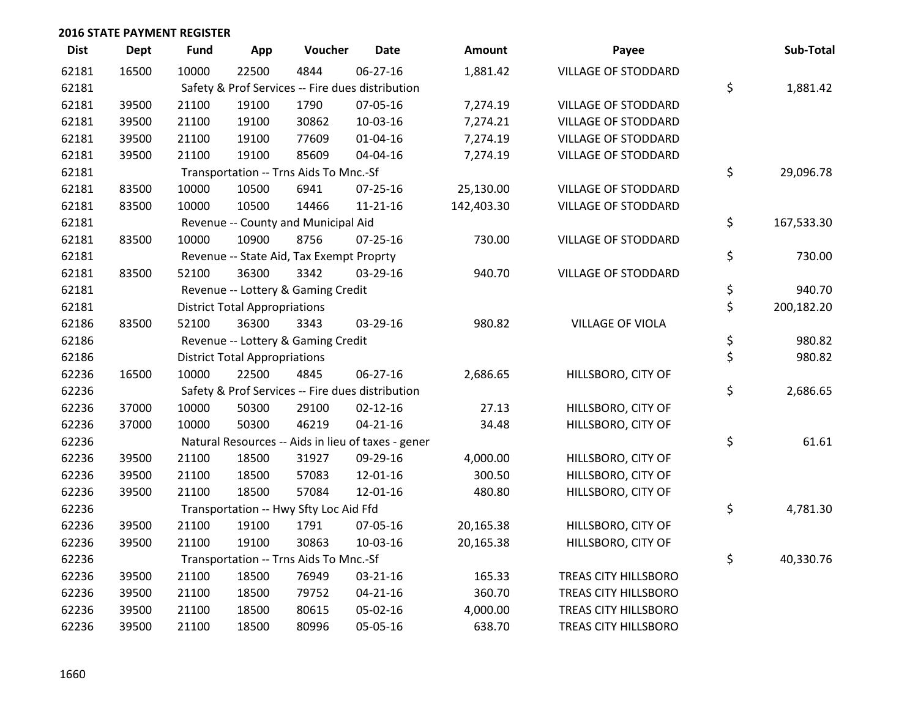| <b>Dist</b> | <b>Dept</b> | <b>Fund</b>                                      | App                                  | Voucher                                          | <b>Date</b>                                        | Amount     | Payee                      | Sub-Total        |
|-------------|-------------|--------------------------------------------------|--------------------------------------|--------------------------------------------------|----------------------------------------------------|------------|----------------------------|------------------|
| 62181       | 16500       | 10000                                            | 22500                                | 4844                                             | 06-27-16                                           | 1,881.42   | <b>VILLAGE OF STODDARD</b> |                  |
| 62181       |             | Safety & Prof Services -- Fire dues distribution | \$<br>1,881.42                       |                                                  |                                                    |            |                            |                  |
| 62181       | 39500       | 21100                                            | 19100                                | 1790                                             | 07-05-16                                           | 7,274.19   | VILLAGE OF STODDARD        |                  |
| 62181       | 39500       | 21100                                            | 19100                                | 30862                                            | 10-03-16                                           | 7,274.21   | <b>VILLAGE OF STODDARD</b> |                  |
| 62181       | 39500       | 21100                                            | 19100                                | 77609                                            | $01 - 04 - 16$                                     | 7,274.19   | <b>VILLAGE OF STODDARD</b> |                  |
| 62181       | 39500       | 21100                                            | 19100                                | 85609                                            | 04-04-16                                           | 7,274.19   | <b>VILLAGE OF STODDARD</b> |                  |
| 62181       |             |                                                  |                                      | Transportation -- Trns Aids To Mnc.-Sf           |                                                    |            |                            | \$<br>29,096.78  |
| 62181       | 83500       | 10000                                            | 10500                                | 6941                                             | 07-25-16                                           | 25,130.00  | VILLAGE OF STODDARD        |                  |
| 62181       | 83500       | 10000                                            | 10500                                | 14466                                            | $11 - 21 - 16$                                     | 142,403.30 | VILLAGE OF STODDARD        |                  |
| 62181       |             |                                                  |                                      | Revenue -- County and Municipal Aid              |                                                    |            |                            | \$<br>167,533.30 |
| 62181       | 83500       | 10000                                            | 10900                                | 8756                                             | $07 - 25 - 16$                                     | 730.00     | <b>VILLAGE OF STODDARD</b> |                  |
| 62181       |             |                                                  |                                      | Revenue -- State Aid, Tax Exempt Proprty         |                                                    |            |                            | \$<br>730.00     |
| 62181       | 83500       | 52100                                            | 36300                                | 3342                                             | $03 - 29 - 16$                                     | 940.70     | <b>VILLAGE OF STODDARD</b> |                  |
| 62181       |             |                                                  |                                      | Revenue -- Lottery & Gaming Credit               |                                                    |            |                            | \$<br>940.70     |
| 62181       |             |                                                  | <b>District Total Appropriations</b> |                                                  |                                                    |            |                            | \$<br>200,182.20 |
| 62186       | 83500       | 52100                                            | 36300                                | 3343                                             | 03-29-16                                           | 980.82     | <b>VILLAGE OF VIOLA</b>    |                  |
| 62186       |             |                                                  |                                      | Revenue -- Lottery & Gaming Credit               |                                                    |            |                            | \$<br>980.82     |
| 62186       |             |                                                  | <b>District Total Appropriations</b> |                                                  |                                                    |            |                            | \$<br>980.82     |
| 62236       | 16500       | 10000                                            | 22500                                | 4845                                             | 06-27-16                                           | 2,686.65   | HILLSBORO, CITY OF         |                  |
| 62236       |             |                                                  |                                      | Safety & Prof Services -- Fire dues distribution |                                                    |            |                            | \$<br>2,686.65   |
| 62236       | 37000       | 10000                                            | 50300                                | 29100                                            | $02 - 12 - 16$                                     | 27.13      | HILLSBORO, CITY OF         |                  |
| 62236       | 37000       | 10000                                            | 50300                                | 46219                                            | $04 - 21 - 16$                                     | 34.48      | HILLSBORO, CITY OF         |                  |
| 62236       |             |                                                  |                                      |                                                  | Natural Resources -- Aids in lieu of taxes - gener |            |                            | \$<br>61.61      |
| 62236       | 39500       | 21100                                            | 18500                                | 31927                                            | 09-29-16                                           | 4,000.00   | HILLSBORO, CITY OF         |                  |
| 62236       | 39500       | 21100                                            | 18500                                | 57083                                            | 12-01-16                                           | 300.50     | HILLSBORO, CITY OF         |                  |
| 62236       | 39500       | 21100                                            | 18500                                | 57084                                            | 12-01-16                                           | 480.80     | HILLSBORO, CITY OF         |                  |
| 62236       |             |                                                  |                                      | Transportation -- Hwy Sfty Loc Aid Ffd           |                                                    |            |                            | \$<br>4,781.30   |
| 62236       | 39500       | 21100                                            | 19100                                | 1791                                             | 07-05-16                                           | 20,165.38  | HILLSBORO, CITY OF         |                  |
| 62236       | 39500       | 21100                                            | 19100                                | 30863                                            | 10-03-16                                           | 20,165.38  | HILLSBORO, CITY OF         |                  |
| 62236       |             |                                                  |                                      | Transportation -- Trns Aids To Mnc.-Sf           |                                                    |            |                            | \$<br>40,330.76  |
| 62236       | 39500       | 21100                                            | 18500                                | 76949                                            | 03-21-16                                           | 165.33     | TREAS CITY HILLSBORO       |                  |
| 62236       | 39500       | 21100                                            | 18500                                | 79752                                            | $04 - 21 - 16$                                     | 360.70     | TREAS CITY HILLSBORO       |                  |
| 62236       | 39500       | 21100                                            | 18500                                | 80615                                            | 05-02-16                                           | 4,000.00   | TREAS CITY HILLSBORO       |                  |
| 62236       | 39500       | 21100                                            | 18500                                | 80996                                            | 05-05-16                                           | 638.70     | TREAS CITY HILLSBORO       |                  |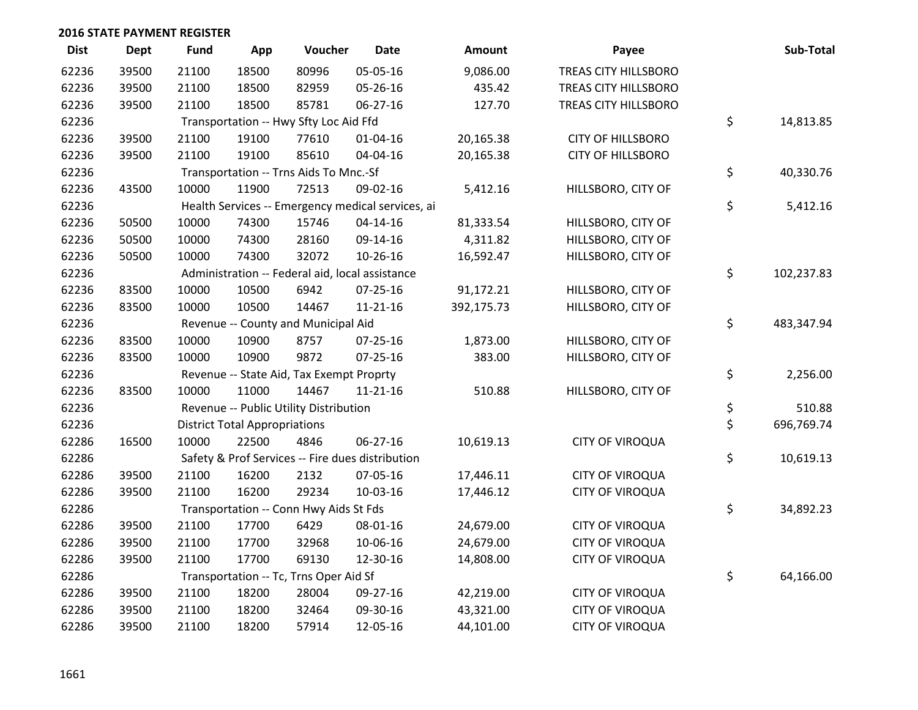| <b>Dist</b> | <b>Dept</b> | Fund  | App                                  | Voucher                                         | <b>Date</b>                                       | <b>Amount</b> | Payee                    | Sub-Total        |
|-------------|-------------|-------|--------------------------------------|-------------------------------------------------|---------------------------------------------------|---------------|--------------------------|------------------|
| 62236       | 39500       | 21100 | 18500                                | 80996                                           | 05-05-16                                          | 9,086.00      | TREAS CITY HILLSBORO     |                  |
| 62236       | 39500       | 21100 | 18500                                | 82959                                           | 05-26-16                                          | 435.42        | TREAS CITY HILLSBORO     |                  |
| 62236       | 39500       | 21100 | 18500                                | 85781                                           | 06-27-16                                          | 127.70        | TREAS CITY HILLSBORO     |                  |
| 62236       |             |       |                                      | Transportation -- Hwy Sfty Loc Aid Ffd          |                                                   |               |                          | \$<br>14,813.85  |
| 62236       | 39500       | 21100 | 19100                                | 77610                                           | $01 - 04 - 16$                                    | 20,165.38     | <b>CITY OF HILLSBORO</b> |                  |
| 62236       | 39500       | 21100 | 19100                                | 85610                                           | 04-04-16                                          | 20,165.38     | <b>CITY OF HILLSBORO</b> |                  |
| 62236       |             |       |                                      | Transportation -- Trns Aids To Mnc.-Sf          |                                                   |               |                          | \$<br>40,330.76  |
| 62236       | 43500       | 10000 | 11900                                | 72513                                           | 09-02-16                                          | 5,412.16      | HILLSBORO, CITY OF       |                  |
| 62236       |             |       |                                      |                                                 | Health Services -- Emergency medical services, ai |               |                          | \$<br>5,412.16   |
| 62236       | 50500       | 10000 | 74300                                | 15746                                           | $04 - 14 - 16$                                    | 81,333.54     | HILLSBORO, CITY OF       |                  |
| 62236       | 50500       | 10000 | 74300                                | 28160                                           | 09-14-16                                          | 4,311.82      | HILLSBORO, CITY OF       |                  |
| 62236       | 50500       | 10000 | 74300                                | 32072                                           | 10-26-16                                          | 16,592.47     | HILLSBORO, CITY OF       |                  |
| 62236       |             |       |                                      | Administration -- Federal aid, local assistance |                                                   |               |                          | \$<br>102,237.83 |
| 62236       | 83500       | 10000 | 10500                                | 6942                                            | 07-25-16                                          | 91,172.21     | HILLSBORO, CITY OF       |                  |
| 62236       | 83500       | 10000 | 10500                                | 14467                                           | $11 - 21 - 16$                                    | 392,175.73    | HILLSBORO, CITY OF       |                  |
| 62236       |             |       |                                      | Revenue -- County and Municipal Aid             |                                                   |               |                          | \$<br>483,347.94 |
| 62236       | 83500       | 10000 | 10900                                | 8757                                            | 07-25-16                                          | 1,873.00      | HILLSBORO, CITY OF       |                  |
| 62236       | 83500       | 10000 | 10900                                | 9872                                            | 07-25-16                                          | 383.00        | HILLSBORO, CITY OF       |                  |
| 62236       |             |       |                                      | Revenue -- State Aid, Tax Exempt Proprty        |                                                   |               |                          | \$<br>2,256.00   |
| 62236       | 83500       | 10000 | 11000                                | 14467                                           | $11 - 21 - 16$                                    | 510.88        | HILLSBORO, CITY OF       |                  |
| 62236       |             |       |                                      | Revenue -- Public Utility Distribution          |                                                   |               |                          | \$<br>510.88     |
| 62236       |             |       | <b>District Total Appropriations</b> |                                                 |                                                   |               |                          | \$<br>696,769.74 |
| 62286       | 16500       | 10000 | 22500                                | 4846                                            | $06 - 27 - 16$                                    | 10,619.13     | <b>CITY OF VIROQUA</b>   |                  |
| 62286       |             |       |                                      |                                                 | Safety & Prof Services -- Fire dues distribution  |               |                          | \$<br>10,619.13  |
| 62286       | 39500       | 21100 | 16200                                | 2132                                            | 07-05-16                                          | 17,446.11     | <b>CITY OF VIROQUA</b>   |                  |
| 62286       | 39500       | 21100 | 16200                                | 29234                                           | $10-03-16$                                        | 17,446.12     | <b>CITY OF VIROQUA</b>   |                  |
| 62286       |             |       |                                      | Transportation -- Conn Hwy Aids St Fds          |                                                   |               |                          | \$<br>34,892.23  |
| 62286       | 39500       | 21100 | 17700                                | 6429                                            | 08-01-16                                          | 24,679.00     | <b>CITY OF VIROQUA</b>   |                  |
| 62286       | 39500       | 21100 | 17700                                | 32968                                           | 10-06-16                                          | 24,679.00     | <b>CITY OF VIROQUA</b>   |                  |
| 62286       | 39500       | 21100 | 17700                                | 69130                                           | 12-30-16                                          | 14,808.00     | <b>CITY OF VIROQUA</b>   |                  |
| 62286       |             |       |                                      | Transportation -- Tc, Trns Oper Aid Sf          |                                                   |               |                          | \$<br>64,166.00  |
| 62286       | 39500       | 21100 | 18200                                | 28004                                           | 09-27-16                                          | 42,219.00     | <b>CITY OF VIROQUA</b>   |                  |
| 62286       | 39500       | 21100 | 18200                                | 32464                                           | 09-30-16                                          | 43,321.00     | <b>CITY OF VIROQUA</b>   |                  |
| 62286       | 39500       | 21100 | 18200                                | 57914                                           | 12-05-16                                          | 44,101.00     | <b>CITY OF VIROQUA</b>   |                  |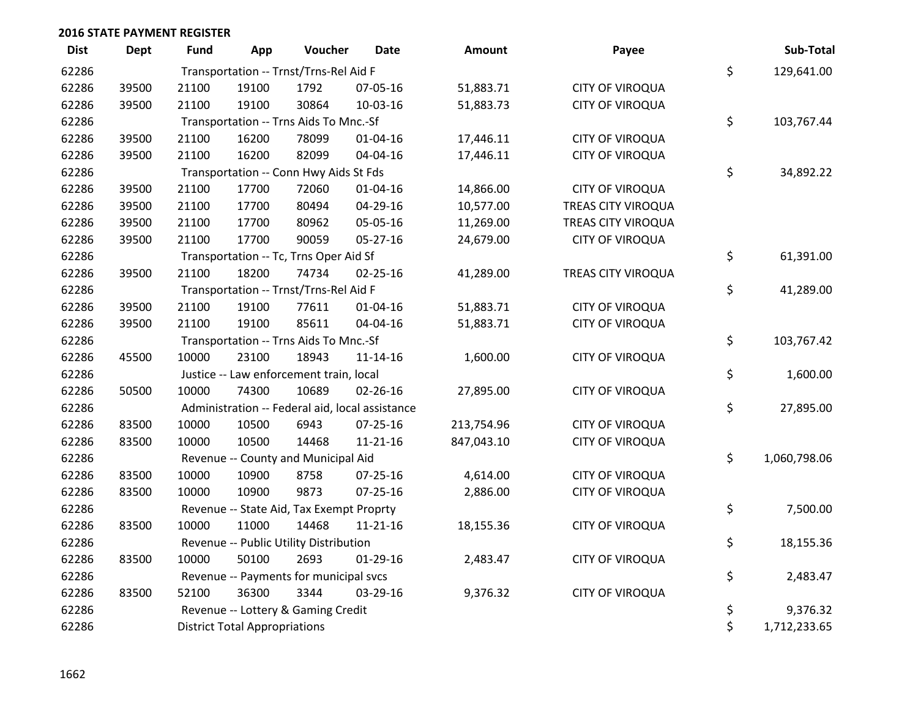| <b>Dist</b> | <b>Dept</b> | <b>Fund</b>                            | App                                  | Voucher                                         | <b>Date</b>    | <b>Amount</b> | Payee                  |    | Sub-Total    |
|-------------|-------------|----------------------------------------|--------------------------------------|-------------------------------------------------|----------------|---------------|------------------------|----|--------------|
| 62286       |             | Transportation -- Trnst/Trns-Rel Aid F |                                      |                                                 |                |               |                        |    | 129,641.00   |
| 62286       | 39500       | 21100                                  | 19100                                | 1792                                            | 07-05-16       | 51,883.71     | <b>CITY OF VIROQUA</b> | \$ |              |
| 62286       | 39500       | 21100                                  | 19100                                | 30864                                           | 10-03-16       | 51,883.73     | <b>CITY OF VIROQUA</b> |    |              |
| 62286       |             |                                        |                                      | Transportation -- Trns Aids To Mnc.-Sf          |                |               |                        | \$ | 103,767.44   |
| 62286       | 39500       | 21100                                  | 16200                                | 78099                                           | $01 - 04 - 16$ | 17,446.11     | <b>CITY OF VIROQUA</b> |    |              |
| 62286       | 39500       | 21100                                  | 16200                                | 82099                                           | 04-04-16       | 17,446.11     | <b>CITY OF VIROQUA</b> |    |              |
| 62286       |             |                                        |                                      | Transportation -- Conn Hwy Aids St Fds          |                |               |                        | \$ | 34,892.22    |
| 62286       | 39500       | 21100                                  | 17700                                | 72060                                           | $01 - 04 - 16$ | 14,866.00     | <b>CITY OF VIROQUA</b> |    |              |
| 62286       | 39500       | 21100                                  | 17700                                | 80494                                           | 04-29-16       | 10,577.00     | TREAS CITY VIROQUA     |    |              |
| 62286       | 39500       | 21100                                  | 17700                                | 80962                                           | 05-05-16       | 11,269.00     | TREAS CITY VIROQUA     |    |              |
| 62286       | 39500       | 21100                                  | 17700                                | 90059                                           | 05-27-16       | 24,679.00     | <b>CITY OF VIROQUA</b> |    |              |
| 62286       |             |                                        |                                      | Transportation -- Tc, Trns Oper Aid Sf          |                |               |                        | \$ | 61,391.00    |
| 62286       | 39500       | 21100                                  | 18200                                | 74734                                           | 02-25-16       | 41,289.00     | TREAS CITY VIROQUA     |    |              |
| 62286       |             |                                        |                                      | Transportation -- Trnst/Trns-Rel Aid F          |                |               |                        | \$ | 41,289.00    |
| 62286       | 39500       | 21100                                  | 19100                                | 77611                                           | 01-04-16       | 51,883.71     | <b>CITY OF VIROQUA</b> |    |              |
| 62286       | 39500       | 21100                                  | 19100                                | 85611                                           | 04-04-16       | 51,883.71     | <b>CITY OF VIROQUA</b> |    |              |
| 62286       |             |                                        |                                      | Transportation -- Trns Aids To Mnc.-Sf          |                |               |                        | \$ | 103,767.42   |
| 62286       | 45500       | 10000                                  | 23100                                | 18943                                           | $11 - 14 - 16$ | 1,600.00      | <b>CITY OF VIROQUA</b> |    |              |
| 62286       |             |                                        |                                      | Justice -- Law enforcement train, local         |                |               |                        | \$ | 1,600.00     |
| 62286       | 50500       | 10000                                  | 74300                                | 10689                                           | 02-26-16       | 27,895.00     | <b>CITY OF VIROQUA</b> |    |              |
| 62286       |             |                                        |                                      | Administration -- Federal aid, local assistance |                |               |                        | \$ | 27,895.00    |
| 62286       | 83500       | 10000                                  | 10500                                | 6943                                            | 07-25-16       | 213,754.96    | <b>CITY OF VIROQUA</b> |    |              |
| 62286       | 83500       | 10000                                  | 10500                                | 14468                                           | $11 - 21 - 16$ | 847,043.10    | <b>CITY OF VIROQUA</b> |    |              |
| 62286       |             |                                        |                                      | Revenue -- County and Municipal Aid             |                |               |                        | \$ | 1,060,798.06 |
| 62286       | 83500       | 10000                                  | 10900                                | 8758                                            | $07 - 25 - 16$ | 4,614.00      | <b>CITY OF VIROQUA</b> |    |              |
| 62286       | 83500       | 10000                                  | 10900                                | 9873                                            | $07 - 25 - 16$ | 2,886.00      | <b>CITY OF VIROQUA</b> |    |              |
| 62286       |             |                                        |                                      | Revenue -- State Aid, Tax Exempt Proprty        |                |               |                        | \$ | 7,500.00     |
| 62286       | 83500       | 10000                                  | 11000                                | 14468                                           | $11 - 21 - 16$ | 18,155.36     | <b>CITY OF VIROQUA</b> |    |              |
| 62286       |             |                                        |                                      | Revenue -- Public Utility Distribution          |                |               |                        | \$ | 18,155.36    |
| 62286       | 83500       | 10000                                  | 50100                                | 2693                                            | $01-29-16$     | 2,483.47      | <b>CITY OF VIROQUA</b> |    |              |
| 62286       |             |                                        |                                      | Revenue -- Payments for municipal svcs          |                |               |                        | \$ | 2,483.47     |
| 62286       | 83500       | 52100                                  | 36300                                | 3344                                            | 03-29-16       | 9,376.32      | <b>CITY OF VIROQUA</b> |    |              |
| 62286       |             |                                        |                                      | Revenue -- Lottery & Gaming Credit              |                |               |                        | \$ | 9,376.32     |
| 62286       |             |                                        | <b>District Total Appropriations</b> |                                                 |                |               |                        | \$ | 1,712,233.65 |